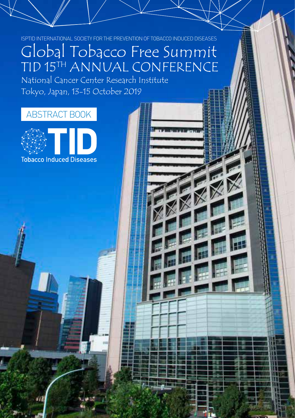ISPTID INTERNATIONAL SOCIETY FOR THE PREVENTION OF TOBACCO INDUCED DISEASES

# Global Tobacco Free Summit TID 15TH ANNUAL CONFERENCE

National Cancer Center Research Institute Tokyo, Japan, 13-15 October 2019

# ABSTRACT BOOK

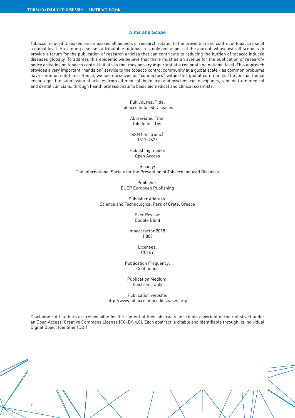# **Aims and Scope**

Tobacco Induced Diseases encompasses all aspects of research related to the prevention and control of tobacco use at a global level. Preventing diseases attributable to tobacco is only one aspect of the journal, whose overall scope is to provide a forum for the publication of research articles that can contribute to reducing the burden of tobacco induced diseases globally. To address this epidemic we believe that there must be an avenue for the publication of research/ policy activities on tobacco control initiatives that may be very important at a regional and national level. This approach provides a very important "hands on" service to the tobacco control community at a global scale - as common problems have common solutions. Hence, we see ourselves as "connectors" within this global community. The journal hence encourages the submission of articles from all medical, biological and psychosocial disciplines, ranging from medical and dental clinicians, through health professionals to basic biomedical and clinical scientists.

> Full Journal Title: Tobacco Induced Diseases

> > Abbreviated Title: Tob. Induc. Dis.

ISSN (electronic): 1617-9625

Publishing model: Open Access

Society: The International Society for the Prevention of Tobacco Induced Diseases

> Publisher: EUEP European Publishing

Publisher Address: Science and Technological Park of Crete, Greece

> Peer Review: Double Blind

Impact factor 2018: 1.889

> Licenses: CC-BY

Publication Frequency: Continuous

Publication Medium: Electronic Only

Publication website: http://www.tobaccoinduceddiseases.org/

Disclaimer: All authors are responsible for the content of their abstracts and retain copyright of their abstract under an Open Access, Creative Commons License (CC-BY-4.0). Each abstract is citable and identifiable through its individual Digital Object Identifier (DOI)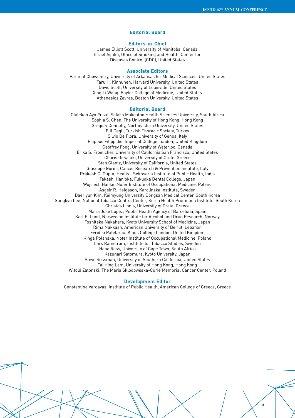**3**

# **Editorial Board**

# **Editors-in-Chief**

James Elliott Scott, University of Manitoba, Canada Israel Agaku, Office of Smoking and Health, Center for Diseases Control (CDC), United States

#### **Associate Editors**

Parimal Chowdhury, University of Arkansas for Medical Sciences, United States Taru H. Kinnunen, Harvard University, United States David Scott, University of Louisville, United States Xing Li Wang, Baylor College of Medicine, United States Athanasios Zavras, Boston University, United States

#### **Editorial Board**

Olalekan Ayo-Yusuf, Sefako Makgatho Health Sciences University, South Africa Sophia S. Chan, The University of Hong Kong, Hong Kong Gregory Connolly, Northeastern University, United States Elif Dagli, Turkish Thoracic Society, Turkey Silvio De Flora, University of Genoa, Italy Filippos Filippidis, Imperial College London, United Kingdom Geoffrey Fong, University of Waterloo, Canada Erika S. Froelicher, University of California San Francisco, United States Charis Girvalaki, University of Crete, Greece Stan Glantz, University of California, United States Giuseppe Gorini, Cancer Research & Prevention Institute, Italy Prakash C. Gupta, Healis - Sekhsaria Institute of Public Health, India Takashi Hanioka, Fukuoka Dental College, Japan Wojciech Hanke, Nofer Institute of Occupational Medicine, Poland Asgeir R. Helgason, Karolinska Institute, Sweden DaeHyun Kim, Keimyung University Dongsan Medical Center, South Korea Sungkyu Lee, National Tobacco Control Center, Korea Health Promotion Institute, South Korea Christos Lionis, University of Crete, Greece Maria Jose Lopez, Public Health Agency of Barcelona, Spain Karl E. Lund, Norwegian Institute for Alcohol and Drug Research, Norway Toshitaka Nakahara, Kyoto University School of Medicine, Japan Rima Nakkash, American University of Beirut, Lebanon Evridiki Patelarou, Kings College London, United Kingdom Kinga Polanska, Nofer Institute of Occupational Medicine, Poland Lars Ramstrom, Institute for Tobacco Studies, Sweden Hana Ross, University of Cape Town, South Africa Kazunari Satomura, Kyoto University, Japan Steve Sussman, University of Southern California, United States Tai Hing Lam, University of Hong Kong, Hong Kong Witold Zatonski, The Maria Sklodowsska-Curie Memorial Cancer Center, Poland

#### **Development Editor**

Constantine Vardavas, Institute of Public Health, American College of Greece, Greece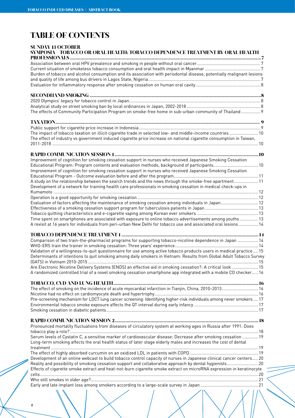# **TABLE OF CONTENTS**

# **SUNDAY 13 OCTOBER SYMPOSIA - TOBACCO OR ORAL HEALTH: TOBACCO DEPENDENCE TREATMENT BY ORAL HEALTH PROFESSIONALS .................................................................................................................................................7** Association between oral HPV prevalence and smoking in people without oral cancer..................................................... 7 Current situation of smokeless tobacco consumption and oral health impact in Myanmar .............................................. 7 Burden of tobacco and alcohol consumption and its association with periodontal disease, potentially malignant lesions and quality of life among bus drivers in Lagos State, Nigeria............................................................................................. 7 Evaluation for inflammatory response after smoking cessation on human oral cavity...................................................... 8 **SECONDHAND SMOKING ..................................................................................................................................8** 2020 Olympics' legacy for tobacco control in Japan............................................................................................................. 8 Analytical study on street smoking ban by local ordinances in Japan, 2002-2018 ............................................................. 8 The effects of Community Participation Program on smoke-free home in sub-urban community of Thailand ................ 9 **TAXATION........................................................................................................................................................... 9** Public support for cigarette price increase in Indonesia..................................................................................................... 9 The impact of tobacco taxation on illicit cigarette trade in selected low- and middle-income countries ........................ 10 The effect of industry vs government induced cigarette price increase on national cigarette consumption in Taiwan, 2011-2018 ........................................................................................................................................................................... 10 **RAPID COMMUNICATION SESSION 1 .............................................................................................................10** Improvement of cognition for smoking cessation support in nurses who received Japanese Smoking Cessation Educational Program: Program contents and evaluation methods, background of participants..................................... 10 Improvement of cognition for smoking cessation support in nurses who received Japanese Smoking Cessation Educational Program - Outcome evaluation before and after the program...................................................................... 11 A study on the relationship between the search trends and the news through the smoke-free apartment.................... 11 Development of a network for training health care professionals in smoking cessation in medical check-ups in Kumamoto .......................................................................................................................................................................... 12 Operation is a good opportunity for smoking cessation .................................................................................................... 12 Evaluation of factors affecting the maintenance of smoking cessation among individuals in Japan............................... 12 Effectiveness of a smoking cessation support program for tuberculosis patients in Japan ............................................ 13 Tobacco quitting characteristics and e-cigarette vaping among Korean ever smokers ................................................... 13 Time spent on smartphones are associated with exposure to online tobacco advertisements among youths ............... 13 A revisit at 16 years for individuals from peri-urban New Delhi for tobacco use and associated oral lesions ................ 14 **TOBACCO DEPENDENCE TREATMENT 1 ........................................................................................................ 14** Comparison of two train-the-pharmacist programs for supporting tobacco-nicotine dependence in Japan ................. 14 WHO-ERS train the trainer in smoking cessation: Three years' experience..................................................................... 14 Validation of a willingness-to-quit questionnaire for use among active tobacco products users in medical practice .... 15 Determinants of intentions to quit smoking among daily smokers in Vietnam: Results from Global Adult Tobacco Survey (GATS) in Vietnam 2010-2015 ............................................................................................................................................. 15 Are Electronic Nicotine Delivery Systems (ENDS) an effective aid in smoking cessation?: A critical look ...................... 15 A randomized controlled trial of a novel smoking cessation smartphone app integrated with a mobile CO checker..... 16 **TOBACCO, CVD AND LUNG HEALTH..............................................................................................................16** The effect of smoking on the incidence of acute myocardial infarction in Tianjin, China, 2010–2013.............................. 16 Nicotine had no effect on cardiomyocyte death and hypertrophy...................................................................................... 16 Pre-screening mechanism for LDCT lung cancer screening: Identifying higher-risk individuals among never smokers .... 17 Environmental tobacco smoke exposure affects the QT interval during early infancy ..................................................... 17 Smoking cessation in diabetic patients.............................................................................................................................. 17 **RAPID COMMUNICATION SESSION 2............................................................................................................. 18** Pronounced mortality fluctuations from diseases of circulatory system at working ages in Russia after 1991: Does tobacco play a role? ............................................................................................................................................................ 18 Serum levels of Cystatin C, a sensitive marker of cardiovascular disease: Decrease after smoking cessation ............. 19 Long-term smoking affects the oral health status of later stage elderly males and increases the cost of dental treatment ............................................................................................................................................................................ 19 The effect of highly absorbed curcumin on an oxidized LDL in patients with COPD......................................................... 19 Development of an online webcast to build tobacco control capacity of nurses in Japanese clinical cancer centers..... 20 Reality and possibility of smoking cessation support and collaborative approach by dental hygienists.......................... 20 Effects of cigarette smoke extract and heat-not-burn cigarette smoke extract on microRNA expression in keratinocyte cells..................................................................................................................................................................................... 20 Who still smokes in older age?........................................................................................................................................... 21 Early and late implant loss among smokers according to a large-scale survey in Japan................................................ 21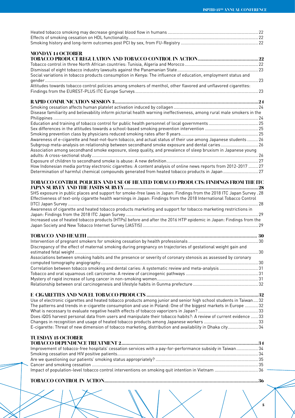| <b>MONDAY 14 OCTOBER</b>                                                                                               |  |
|------------------------------------------------------------------------------------------------------------------------|--|
|                                                                                                                        |  |
|                                                                                                                        |  |
|                                                                                                                        |  |
| Social variations in tobacco products consumption in Kenya: The influence of education, employment status and          |  |
| Attitudes towards tobacco control policies among smokers of menthol, other flavored and unflavored cigarettes:         |  |
|                                                                                                                        |  |
|                                                                                                                        |  |
|                                                                                                                        |  |
| Disease familiarity and believability inform pictorial health warning ineffectiveness, among rural male smokers in the |  |
|                                                                                                                        |  |
|                                                                                                                        |  |
|                                                                                                                        |  |
|                                                                                                                        |  |
| Awareness of e-cigarette and heat-not-burn tobacco, and actual status of their use among Japanese students  26         |  |
| Subgroup meta-analysis on relationship between secondhand smoke exposure and dental caries 26                          |  |
| Association among secondhand smoke exposure, sleep quality, and prevalence of sleep bruxism in Japanese young          |  |
|                                                                                                                        |  |
|                                                                                                                        |  |
| How Indonesian media portray electronic cigarettes: A content analysis of online news reports from 2012-2017  27       |  |
| Determination of harmful chemical compounds generated from heated tobacco products in Japan 27                         |  |
| TOBACCO CONTROL POLICIES AND USE OF HEATED TOBACCO PRODUCTS: FINDINGS FROM THE ITC                                     |  |
|                                                                                                                        |  |
| SHS exposure in public places and support for smoke-free laws in Japan: Findings from the 2018 ITC Japan Survey .28    |  |
| Effectiveness of text-only cigarette health warnings in Japan: Findings from the 2018 International Tobacco Control    |  |
|                                                                                                                        |  |
| Awareness of cigarette and heated tobacco products marketing and support for tobacco marketing restrictions in         |  |
|                                                                                                                        |  |
| Increased use of heated tobacco products (HTPs) before and after the 2016 HTP epidemic in Japan: Findings from the     |  |
|                                                                                                                        |  |
|                                                                                                                        |  |
|                                                                                                                        |  |
|                                                                                                                        |  |
| Discrepancy of the effect of maternal smoking during pregnancy on trajectories of gestational weight gain and          |  |
|                                                                                                                        |  |
| Associations between smoking habits and the presence or severity of coronary stenosis as assessed by coronary          |  |
|                                                                                                                        |  |
| Correlation between tobacco smoking and dental caries: A systematic review and meta-analysis 31                        |  |
|                                                                                                                        |  |
|                                                                                                                        |  |
|                                                                                                                        |  |
|                                                                                                                        |  |
|                                                                                                                        |  |
| Use of electronic cigarettes and heated tobacco products among junior and senior high school students in Taiwan32      |  |
| The patterns and trends in e-cigarette consumption and use in Poland: One of the biggest markets in Europe  32         |  |
|                                                                                                                        |  |
| Does iQOS harvest personal data from users and manipulate their tobacco habits?: A review of current evidence  33      |  |
|                                                                                                                        |  |
| E-cigarette: Threat of new dimension of tobacco marketing, distribution and availability in Dhaka city 34              |  |
| <b>TUESDAY 15 OCTOBER</b>                                                                                              |  |
|                                                                                                                        |  |
| Improvement of tobacco-free hospitals' cessation services with a pay-for-performance subsidy in Taiwan 34              |  |
|                                                                                                                        |  |
|                                                                                                                        |  |
|                                                                                                                        |  |
| Impact of population-level tobacco control interventions on smoking quit intention in Vietnam 36                       |  |
|                                                                                                                        |  |

**TOBACCO CONTROL IN ACTION.....................................................................................................................36**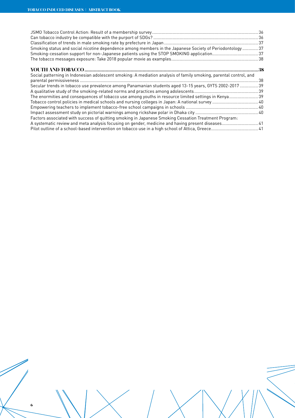| Smoking status and social nicotine dependence among members in the Japanese Society of Periodontology 37          |    |
|-------------------------------------------------------------------------------------------------------------------|----|
| Smoking-cessation support for non-Japanese patients using the STOP SMOKING application 37                         |    |
|                                                                                                                   |    |
|                                                                                                                   | 38 |
| Social patterning in Indonesian adolescent smoking: A mediation analysis of family smoking, parental control, and |    |
|                                                                                                                   |    |
| Secular trends in tobacco use prevalence among Panamanian students aged 13-15 years, GYTS 2002-2017  39           |    |
|                                                                                                                   |    |
| The enormities and consequences of tobacco use among youths in resource limited settings in Kenya 39              |    |
|                                                                                                                   |    |
|                                                                                                                   |    |
|                                                                                                                   |    |
| Factors associated with success of quitting smoking in Japanese Smoking Cessation Treatment Program:              |    |
| A systematic review and meta analysis focusing on gender, medicine and having present diseases 41                 |    |
|                                                                                                                   |    |
|                                                                                                                   |    |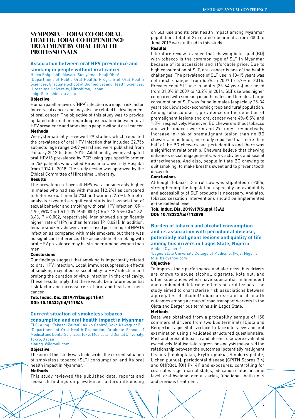# **SYMPOSIA - TOBACCO OR ORAL HEALTH: TOBACCO DEPENDENCE TREATMENT BY ORAL HEALTH PROFESSIONALS**

# **Association between oral HPV prevalence and smoking in people without oral cancer**

Hideo Shigeishi<sup>1</sup>, Masaru Sugiyama<sup>1</sup>, Kouji Ohta<sup>1</sup> 1 Department of Public Oral Health, Program of Oral Health Sciences, Graduate School of Biomedical and Health Sciences, Hiroshima University, Hiroshima, Japan shige@hiroshima-u.ac.jp

#### **Objective**

Human papillomavirus (HPV) infection is a major risk factor for cervical cancer and may also be related to development of oral cancer. The objective of this study was to provide updated information regarding association between oral HPV prevalence and smoking in people without oral cancer. Methods

We systematically reviewed 29 studies which reported the prevalence of oral HPV infection that included 22,756 subjects (age range 2-89 years) and were published from January 2012 to June 2015. Additionally, we investigated oral HPV16 prevalence by PCR using type specific primer in 256 patients who visited Hiroshima University Hospital from 2014 to 2018. The study design was approved by the Ethical Committee of Hiroshima University.

#### Results

The prevalence of overall HPV was considerably higher in males who had sex with males (12.2%) as compared to heterosexual men (4.7%) and women (2.9%). A metaanalysis revealed a significant statistical association of sexual behavior and smoking with oral HPV infection (OR = 1.90, 95% CI = 1.51-2.39, P <0.0001; OR = 2.13, 95% CI = 1.32- 3.43, P = 0.002, respectively). Men showed a significantly higher rate of HPV16 than females (P=0.021). In addition, female smokers showed an increased percentage of HPV16 infection as compared with male smokers, but there was no significant difference. The association of smoking with oral HPV prevalence may be stronger among women than men.

#### Conclusions

Our findings suggest that smoking is importantly related to oral HPV infection. Local immunosuppressive effects of smoking may affect susceptibility to HPV infection and prolong the duration of virus infection in the oral cavity. These results imply that there would be a future potential risk factor and increase risk of oral and head and neck cancer.

Tob. Induc. Dis. 2019;17(Suppl 1):A1 DOI: 10.18332/tid/111546

# **Current situation of smokeless tobacco consumption and oral health impact in Myanmar**

Ei Ei Aung<sup>1</sup>, Takashi Zaitsu<sup>1</sup>, Akiko Oshiro<sup>1</sup>, Yoko Kawaguchi<sup>1</sup> 1 Department of Oral Health Promotion, Graduate School of Medical and Dental Sciences, Tokyo Medical and Dental University, Tokyo, Japan

eiaung18@gmail.com

# Objective

The aim of this study was to describe the current situation of smokeless tobacco (SLT) consumption and its oral health impact in Myanmar.

# Methods

This study reviewed the published data, reports and research findings on prevalence, factors influencing

on SLT use and its oral health impact among Myanmar population. Total of 27 related documents from 2000 to June 2019 were utilized in this study.

# Results

Literature review revealed that chewing betel quid (BQ) with tobacco is the common type of SLT in Myanmar because of its accessible and affordable price. Due to high consumption of SLT, oral cancer is one of the health challenges. The prevalence of SLT use in 13-15 years was not much changed from 6.5% in 2007 to 5.7% in 2016. Prevalence of SLT use in adults (25-64 years) increased from 31.0% in 2009 to 43.2% in 2014. SLT use was higher compared with smoking in both males and females. Large consumption of SLT was found in males (especially 25-34 years old), low socio-economic group and rural population. Among tobacco users, prevalence on the detection of premalignant lesions and oral cancer were 4%-8.5% and 1.3%, respectively. Moreover, BQ chewers without tobacco and with tobacco were 6 and 29 times, respectively, increase in risk of premalignant lesion than no BQ chewers. In addition, one study reported that more than half of the BQ chewers had periodontitis and there was a significant relationship. Chewers believe that chewing enhances social engagements, work activities and sexual attractiveness. And also, people initiate BQ chewing to quit smoking, to make breaths sweet and to prevent tooth decay etc.

#### Conclusions

Although Tobacco Control Law was stipulated in 2006, strengthening the legislation especially on availability and accessibility of SLT products is necessary. And also, tobacco cessation interventions should be implemented at the national level.

# Tob. Induc. Dis. 2019;17(Suppl 1):A2 DOI: 10.18332/tid/112098

# **Burden of tobacco and alcohol consumption and its association with periodontal disease, potentially malignant lesions and quality of life among bus drivers in Lagos State, Nigeria** Afolabi Oyapero<sup>1</sup>

1 Lagos State University College of Medicine, Ikeja, Nigeria fola\_ba@yahoo.com

#### Objective

To improve their performance and alertness, bus drivers are known to abuse alcohol, cigarette, kola nut, and other substances which have substantial independent and combined deleterious effects on oral tissues. The study aimed to characterize risk associations between aggregates of alcohol/tobacco use and oral health outcomes among a group of road transport workers in the Ojota and Berger bus terminals in Lagos State.

# Methods

Data was obtained from a probability sample of 150 commercial drivers from two bus terminals (Ojota and Berger) in Lagos State via face-to-face interviews and oral examination using a validated structured questionnaire. Past and present tobacco and alcohol use were evaluated evocatively. Multivariate regression analysis measured the relationship between the outcomes [potentially malignant lesions (Leukoplakia, Erythroplakia, Smokers palate, Lichen planus), periodontal disease (CPITN Scores 3,4) and OHRQoL (OHIP-14)] and exposures, controlling for covariates -age, marital status, education status, income level, oral hygiene, dental caries, functional tooth units and previous treatment.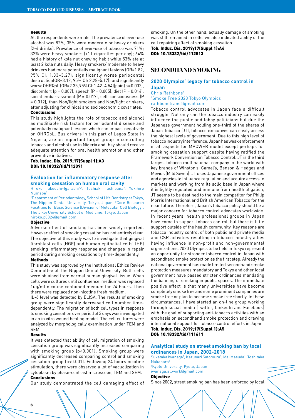#### Results

All the respondents were male. The prevalence of ever-use alcohol was 82%, 35% were moderate or heavy drinkers (2-4 drinks). Prevalence of ever-use of tobacco was 71%; 32% were heavy smokers (>11 cigarettes per day); 64% had a history of kola nut chewing habit while 53% ate at least 2 kola nuts daily. Heavy smokers/ moderate to heavy drinkers had more potentially malignant lesions (OR=1.89, 95% CI: 1.33–3.27); significantly worse periodontal destruction(OR=3.12, 95% CI: 2.28–5.17); and significantly worse OHRQoL (OR=2.35, 95% CI: 1.42–4.54)[pain (p = 0.002), discomfort (p = 0.007), speech (P = 0.005), diet (P = 0.014), social embarrassment (P = 0.017), self-consciousness (P = 0.012)] than Non/light smokers and Non/light drinkers, after adjusting for clinical and socioeconomic covariates. Conclusions

This study highlights the role of tobacco and alcohol as modifiable risk factors for periodontal disease and potentially malignant lesions which can impact negatively on OHRQoL. Bus drivers in this part of Lagos State in Nigeria, are an important target group in controlling tobacco and alcohol use in Nigeria and they should receive adequate attention for oral health promotion and other preventive initiatives.

# Tob. Induc. Dis. 2019;17(Suppl 1):A3 DOI: 10.18332/tid/112091

# **Evaluation for inflammatory response after smoking cessation on human oral cavity**

Hiroko Takeuchi-Igarashi<sup>1,2</sup>, Toshiaki Tachibana<sup>2</sup>, Yukihiro Numabe1

1 Department of Periodontology, School of Life Dentistry at Tokyo, The Nippon Dental University, Tokyo, Japan, <sup>2</sup>Core Research Facilities for Basic Science (Division of Molecular Cell Biology), The Jikei University School of Medicine, Tokyo, Japan hiroko.p0324@gmail.com

#### Objective

Adverse effect of smoking has been widely reported. However effect of smoking cessation has not entirely clear. The objective of this study was to investigate that gingival fibroblast cells (HGF) and human epithelial cells' (HE) smoking inflammatory response and changes in repair period during smoking cessations by time-dependently.

# Methods

This study was approved by the Institutional Ethics Review Committee of The Nippon Dental University. Both cells were obtained from normal human gingival tissue. When cells were cultured until confluence, medium was replaced 1ug/ml nicotine contained medium for 24 hours. Then there were replaced non-nicotine fresh medium.

IL-6 level was detected by ELISA. The results of smoking group were significantly decreased cell number timedependently. The migration of both cell types in response to smoking cessation over period of 3 days was investigated in an in vitro wound healing model. The cell cultures were analyzed by morphologically examination under TEM and SEM.

#### Results

It was detected that ability of cell migration of smoking cessation group was significantly increased comparing with smoking group (p<0.001). Smoking group were significantly decreased comparing control and smoking cessation group (p<0.001). Following 24 hours nicotine stimulation, there were observed a lot of vacuolization in cytoplasm by phase-contrast microscope, TEM and SEM. Conclusions

Our study demonstrated the cell damaging effect of

smoking. On the other hand, actually damage of smoking was still remained in cells, we also indicated ability of the cell repairing effect of smoking cessation.

Tob. Induc. Dis. 2019;17(Suppl 1):A4 DOI: 10.18332/tid/112513

# **SECONDHAND SMOKING**

# **2020 Olympics' legacy for tobacco control in Japan**

Chris Rathbone1 1 Smoke Free 2020 Tokyo Olympics rathbonetrans@gmail.com

Tobacco control advocates in Japan face a difficult struggle. Not only can the tobacco industry can easily influence the public and lobby politicians but due the Japanese government holding one-third of the shares of Japan Tobacco (JT), tobacco executives can easily access the highest levels of government. Due to this high level of tobacco industry interference, Japan has weak enforcement in all aspects for MPOWER model except perhaps for smoking cessation support despite having ratified the Framework Convention on Tobacco Control. JT is the third largest tobacco multinational company in the world with key brands of Winston's, Camel's, Benson & Hedges and Mevius (Mild Seven). JT uses Japanese government offices and agencies to influence regulation and acquire access to markets and working from its solid base in Japan where it is lightly regulated and immune from health litigation, JT seems to be destined to the main competitor for Philip Morris International and British American Tobacco for the near future. Therefore, Japan's tobacco policy should be a major concern for tobacco control advocates worldwide. In recent years, health professional groups in Japan have come to support tobacco control, but there is little support outside of the health community. Key reasons are tobacco industry control of both public and private media and CSR activities resulting in tobacco industry allies having influence in non-profit and non-governmental organizations. 2020 Olympics to be held in Tokyo represent an opportunity for stronger tobacco control in Japan with secondhand smoke protection as the first step. Already the national government has made limited secondhand smoke protection measures mandatory and Tokyo and other local government have passed stricter ordinances mandating the banning of smoking in public spaces. The immediate positive effect is that many universities have become completely smoke free and some prominent companies are smoke free or plan to become smoke free shortly. In these circumstances, I have started an on-line group working through social media (Twitter, LinkedIn and Facebook) with the goal of supporting anti-tobacco activities with an emphasis on secondhand smoke protection and drawing international support for tobacco control efforts in Japan. Tob. Induc. Dis. 2019;17(Suppl 1):A5

DOI: 10.18332/tid/111611

# **Analytical study on street smoking ban by local ordinances in Japan, 2002-2018**

Suketaka Iwanaga<sup>1</sup>, Kazunari Satomura<sup>1</sup>, Mai Masuda<sup>1</sup>, Toshitaka Nakahara<sup>1</sup>

1 Kyoto University, Kyoto, Japan iwanaga.at.work@gmail.com Objective

Since 2002, street smoking ban has been enforced by local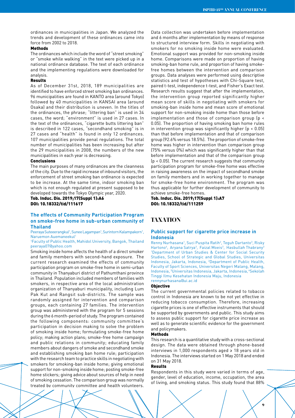ordinances in municipalities in Japan. We analyzed the trends and development of these ordinances came into force from 2002 to 2018.

# Methods

The ordinances which include the word of "street smoking" or "smoke while walking" in the text were picked up in a national ordinance database. The text of each ordinance and the implementing regulations were downloaded for analysis.

#### Results

As of December 31st, 2018, 189 municipalities are identified to have enforced street smoking ban ordinances. 96 municipalities are found in KANTO area (around Tokyo) followed by 40 municipalities in KANSAI area (around Osaka) and their distribution is uneven. In the titles of the ordinances, the phrase; "littering ban" is used in 34 cases, the word; "environment" is used in 27 cases. In the text of the ordinances, "cigarette butts littering ban" is described in 122 cases, "secondhand smoking" is in 27 cases and "health" is found in only 12 ordinances. 107 municipalities provide penal regulations. The total number of municipalities has been increasing but after the 29 municipalities in 2008, the numbers of the new municipalities in each year is decreasing.

#### Conclusions

The main purposes of many ordinances are the cleanness of the city. Due to the rapid increase of inbound visitors, the enforcement of street smoking ban ordinance is expected to be increase. At the same time, indoor smoking ban which is not enough regulated at present supposed to be developed towards the Tokyo Olympic year, 2020.

# Tob. Induc. Dis. 2019;17(Suppl 1):A6 DOI: 10.18332/tid/111617

# **The effects of Community Participation Program on smoke-free home in sub-urban community of Thailand**

Peeraya Suteeerangkul<sup>1</sup>, Sunee Lagampan<sup>1</sup>, Surintorn Kalampakorn<sup>1</sup>, Naruemon Auemaneekul<sup>1</sup>

#### 1 Faculty of Public Health, Mahidol University, Bangok, Thailand peeraya07@yahoo.com

Smoking inside home affects the health of a direct smoker and family members with second-hand exposure. The current research examined the effects of community participation program on smoke-free home in semi-urban community in Thanyaburi district of Pathumthani province in Thailand. Population included members of families with smokers, in respective area of the local administration organization of Thanyaburi municipality, including Lum Pak Kut and Rangsit sub-districts. The sample was randomly assigned for intervention and comparison groups, each containing 27 families. The intervention group was administered with the program for 5 sessions during the 6 month-period of study. The program contained the following components: community committee's participation in decision making to solve the problem of smoking inside home; formulating smoke-free home policy; making action plans; smoke-free home campaign and public relations in community; educating family members about dangers of smoke and secondhand smoke and establishing smoking ban home rule; participation with the research team to practice skills in negotiating with smokers for smoking-ban inside home; giving emotional support for non-smoking inside home; posting smoke-free home stickers; giving advice about sources of help in need of smoking cessation. The comparison group was normally treated by community committee and health volunteers.

Data collection was undertaken before implementation and 6 months after implementation by means of response to structured interview form. Skills in negotiating with smokers for no smoking inside home were evaluated. Emotional support was provided for non-smoking inside home. Comparisons were made on proportion of having smoking-ban home rule, and proportion of having smokefree homes between the intervention and comparison groups. Data analyses were performed using descriptive statistics and test of hypotheses with Chi-Square test, paired t-test, independence t-test, and Fisher's Exact test. Research results suggest that after the implementation, the intervention group reported significantly higher mean score of skills in negotiating with smokers for smoking-ban inside home and mean score of emotional support for non-smoking inside home than those before implementation and those of comparison group (p < 0.05). The proportion of having smoking ban home rules in intervention group was significantly higher (p < 0.05) than that before implementation and that of comparison group (92.6% versus 18.5%). The proportion of smoke-free home was higher in intervention than comparison group (75% versus 0%) which was significantly higher than that before implementation and that of the comparison group (p < 0.05). The current research suggests that community participation program for smoke-free home was effective in raising awareness on the impact of secondhand smoke on family members and in working together to manage for smoke-free home environment. The program was thus applicable for further development of community to achieve smoke-free homes.

Tob. Induc. Dis. 2019;17(Suppl 1):A7 DOI: 10.18332/tid/111259

# **TAXATION**

# **Public support for cigarette price increase in Indonesia**

Renny Nurhasana<sup>1</sup>, Suci Puspita Ratih<sup>2</sup>, Teguh Dartanto<sup>3</sup>, Risky Hartono<sup>4</sup>, Aryana Satrya<sup>3</sup>, Faizal Moeis<sup>3</sup>, Hasbullah Thabrany<sup>3</sup> 1 Department of Urban Studies & Center for Social Security Studies, School of Strategic and Global Studies, Universitas Indonesia, Jakarta, Indonesia, 2 Department of Public Health, Faculty of Sport Sciences, Universitas Negeri Malang, Malang, Indonesia, 3 Universitas Indonesia, Jakarta, Indonesia, 4Sekolah Tinggi Ilmu Kesehatan Indonesia Maju, Indonesia rennynurhasana@ui.ac.id

#### **Objective**

The current governmental policies related to tobacco control in Indonesia are known to be not yet effective in reducing tobacco consumption. Therefore, increasing cigarette prices is one of effective instruments that should be supported by governments and public. This study aims to assess public support for cigarette price increase as well as to generate scientific evidence for the government and policymakers.

# Methods

This research is a quantitative study with a cross-sectional design. The data were obtained through phone-based interviews in 1,000 respondents aged ≥ 18 years old in Indonesia. The interviews started on 1 May 2018 and ended on 31 May 2018.

#### Results

Respondents in this study were varied in terms of age, gender, level of education, income, occupation, the area of living, and smoking status. This study found that 88%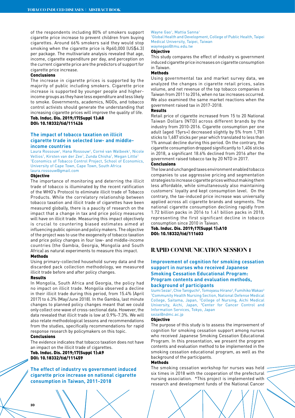of the respondents including 80% of smokers support cigarette price increase to prevent children from buying cigarettes. Around 66% smokers said they would stop smoking when the cigarette price is Rp60,000 (US\$4.3) per package. The multivariate analysis revealed that age, income, cigarette expenditure per day, and perception on the current cigarette price are the predictors of support for cigarette price increase.

# Conclusions

The increase in cigarette prices is supported by the majority of public including smokers. Cigarette price increase is supported by younger people and higherincome groups as they have less expenditure and less likely to smoke. Governments, academics, NGOs, and tobacco control activists should generate the understanding that increasing cigarette prices will improve the quality of life.

Tob. Induc. Dis. 2019;17(Suppl 1):A8 DOI: 10.18332/tid/111426

# **The impact of tobacco taxation on illicit cigarette trade in selected low- and middleincome countries**

Laura Rossouw<sup>1</sup>, Hana Rossouw<sup>1</sup>, Corné van Walbeek<sup>1</sup>, Nicole Vellios<sup>1</sup>, Kirsten van der Zee<sup>1</sup>, Zunda Chisha<sup>1</sup>, Megan Little<sup>1</sup> 1 Economics of Tobacco Control Project, School of Economics, University of Cape Town, Cape Town, South Africa laura.rossouw@gmail.com

# Objective

The importance of monitoring and deterring the illicit trade of tobacco is illuminated by the recent ratification of the WHO's Protocol to eliminate illicit trade of Tobacco Products. While the correlatory relationship between tobacco taxation and illicit trade of cigarettes have been measured globally, there is a paucity of research on the impact that a change in tax and price policy measures will have on illicit trade. Measuring this impact objectively is crucial to countering biased estimates aimed at influencing public opinion and policy makers. The objective of the project was to use the exogeneity of tobacco taxation and price policy changes in four low- and middle-income countries (the Gambia, Georgia, Mongolia and South Africa) as natural experiments to measure this impact.

#### Methods

Using primary-collected household survey data and the discarded pack collection methodology, we measured illicit trade before and after policy changes.

#### Results

In Mongolia, South Africa and Georgia, the policy had no impact on illicit trade. Mongolia observed a decline in their illicit trade during this period, from 15.4% (April 2017) to 6.3% (May/June 2018). In the Gambia, last minute changes to planned policy changes meant that we could only collect one wave of cross-sectional data. However, the data revealed that illicit trade is low at 0.9%-7.3%. We will also relate methodological lessons and recommendations from the studies, specifically recommendations for rapid response research by policymakers on this topic.

#### Conclusions

The evidence indicates that tobacco taxation does not have an impact on the illicit trade of cigarettes.

Tob. Induc. Dis. 2019;17(Suppl 1):A9 DOI: 10.18332/tid/111459

**The effect of industry vs government induced cigarette price increase on national cigarette consumption in Taiwan, 2011-2018**

#### Wayne Gao<sup>1</sup>, Mattia Sanna<sup>1</sup>

1 Global Health and Development, College of Public Health, Taipei Medical University, Taipei, Taiwan waynegao@tmu.edu.tw

# Objective

This study compares the effect of industry vs government induced cigarette price increases on cigarette consumption in Taiwan.

# Methods

Using governmental tax and market survey data, we analyzed the changes in cigarette retail prices, sales volume, and net revenue of the top tobacco companies in Taiwan from 2011 to 2016, when no tax increases occurred. We also examined the same market reactions when the government raised tax in 2017-2018.

# Results

Retail price of cigarette increased from 15 to 20 National Taiwan Dollars (NTD) across different brands by the industry from 2010-2016. Cigarette consumption per one adult (aged 15yrs+) decreased slightly by 5% from 1,781 sticks to 1,687 sticks per year which translated to less than 1% annual decline during this period. On the contrary, the cigarette consumption dropped significantly to 1,406 sticks in 2018, a significant 18.6% declined from 2016 after the government raised tobacco tax by 20 NTD in 2017.

#### Conclusions

The low and unchanged taxes environment enabled tobacco companies to use aggressive pricing and segmentation strategies to increase cigarette prices without making them less affordable, while simultaneously also maintaining customers' loyalty and kept consumption level. On the contrary, the tax-induced price increase was universally applied across all cigarette brands and segments. The national cigarette consumption declining rapidly from 1.72 billion packs in 2016 to 1.41 billion packs in 2018, representing the first significant decline in tobacco consumption since 2010 in Taiwan.

Tob. Induc. Dis. 2019;17(Suppl 1):A10 DOI: 10.18332/tid/111603

# **RAPID COMMUNICATION SESSION 1**

# **Improvement of cognition for smoking cessation support in nurses who received Japanese Smoking Cessation Educational Program: Program contents and evaluation methods, background of participants**

Izumi Sezai<sup>1</sup>, Chie Taniguchi<sup>2</sup>, Tomoyasu Hirano<sup>3</sup>, Fumihiko Wakao<sup>3</sup> 1 Community Health Nursing Section, National Defense Medical College, Saitama, Japan, <sup>2</sup>College of Nursing, Aichi Medical University, Aichi, Japan, <sup>3</sup>Center for Cancer Control and Information Services, Tokyo, Japan sezai@ndmc.ac.jp

# **Objective**

The purpose of this study is to assess the improvement of cognition for smoking cessation support among nurses who received Japanese Smoking Cessation Educational Program. In this presentation, we present the program contents and evaluation method to be implemented in the smoking cessation educational program, as well as the background of the participants.

# Methods

The smoking cessation workshop for nurses was held six times in 2018 with the cooperation of the prefectural nursing association. \*This project is implemented with research and development funds of the National Cancer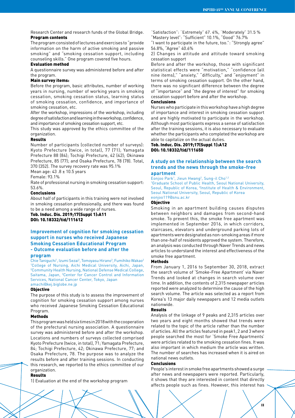Research Center and research funds of the Global Bridge. Program contents

The program consisted of lectures and exercises to "provide information on the harm of active smoking and passive smoking" and "smoking cessation support, including counseling skills." One program covered five hours.

# Evaluation method

A questionnaire survey was administered before and after the program.

#### Main survey items:

Before the program, basic attributes, number of working years in nursing, number of working years in smoking cessation, smoking cessation status, learning status of smoking cessation, confidence, and importance of smoking cessation, etc.

After the workshop, impressions of the workshop, including degree of satisfaction and learning in the workshop, confidence, and importance of smoking cessation support, etc.

This study was approved by the ethics committee of the organization.

# Results

Number of participants (collected number of surveys): Kyoto Prefecture (twice, in total), 77 (71); Yamagata Prefecture 88 (84); Tochigi Prefecture, 42 (42); Okinawa Prefecture, 85 (77); and Osaka Prefecture, 78 (78). Total, 370 (352). The survey recovery rate was 95.1%

Mean age: 43 .8 ± 10.5 years

Female: 93.1%

Rate of professional nursing in smoking cessation support: 53.6%.

# Conclusions

About half of participants in this training were not involved in smoking cessation professionally, and there was found to be a need among a wide range of nurses.

Tob. Induc. Dis. 2019;17(Suppl 1):A11 DOI: 10.18332/tid/111612

# **Improvement of cognition for smoking cessation support in nurses who received Japanese Smoking Cessation Educational Program - Outcome evaluation before and after the**

#### **program**

Chie Taniguchi<sup>1</sup>, Izumi Sezai<sup>2</sup>, Tomoyasu Hirano<sup>3</sup>, Fumihiko Wakao<sup>2</sup> 1 College of Nursing, Aichi Medical University, Aichi, Japan, 2 Community Health Nursing, National Defense Medical College, Saitama, Japan, <sup>3</sup>Center for Cancer Control and Information Services, National Cancer Center, Tokyo, Japan amachi@kej.biglobe.ne.jp

#### **Objective**

The purpose of this study is to assess the improvement of cognition for smoking cessation support among nurses who received Japanese Smoking Cessation Educational Program

# Methods

This program was held six times in 2018 with the cooperation of the prefectural nursing association. A questionnaire survey was administered before and after the workshop. Locations and numbers of surveys collected comprised Kyoto Prefecture (twice, in total), 71; Yamagata Prefecture, 84; Tochigi Prefecture, 42; Okinawa Prefecture, 77; and Osaka Prefecture, 78. The purpose was to analyze the results before and after training sessions. In conducting this research, we reported to the ethics committee of our organization.

#### Results

1) Evaluation at the end of the workshop program

"Satisfaction": "Extremely" 67. 4%, "Moderately" 31.5 % "Mastery level": "Sufficient" 10.1%, "Good" 76.7%

"I want to participate in the future, too.": "Strongly agree" 56.8%, "Agree" 40.6%

2) Changes in attitude and attitude toward smoking cessation support

Before and after the workshop, those with significant statistical effects were "motivation," "confidence (all nine items)," "anxiety," "difficulty," and "enjoyment" in terms of smoking cessation support. On the other hand, there was no significant difference between the degree of "importance" and "the degree of interest" for smoking cessation support before and after the workshop.

# Conclusions

Nurses who participate in this workshop have a high degree of importance and interest in smoking cessation support and are highly motivated to participate in the workshop. Although most participants express a sense of satisfaction after the training sessions, it is also necessary to evaluate whether the participants who completed the workshop are able to capitalize on the actual duties.

# Tob. Induc. Dis. 2019;17(Suppl 1):A12 DOI: 10.18332/tid/111650

# **A study on the relationship between the search trends and the news through the smoke-free apartment**

Eonjoo Park<sup>1</sup>, Jieun Hwang<sup>2</sup>, Sung-il Cho<sup>1,2</sup>

1 Graduate School of Public Health, Seoul National University, Seoul, Republic of Korea, <sup>2</sup>Institute of Health & Environment, Seoul National University, Seoul, Republic of Korea eonjoo119@snu.ac.kr

#### Objective

Smoking in an apartment building causes disputes between neighbors and damages from second-hand smoke. To prevent this, the smoke free apartment was implemented in September 2016, in which corridors, staircases, elevators and underground parking lots of apartments were designated as non-smoking areas if more than one-half of residents approved the system. Therefore, an analysis was conducted through Naver Trends and news articles to understand the interest and effectiveness of the smoke free apartment.

#### Methods

From January 1, 2016 to September 30, 2018, extract the search volume of 'Smoke-Free Apartment' via Naver Trends and looked at changes in search volume over time. In addition, the contents of 2,315 newspaper articles reported were analyzed to determine the cause of the high search volume. The article was selected as a report from Korea's 13 major daily newspapers and 12 media outlets nationwide.

#### Results

Analysis of the linkage of 9 peaks and 2,315 articles over two years and eight months showed that trends were related to the topic of the article rather than the number of articles. All the articles featured in peak1, 2 and 3 where people searched the most for 'Smoke Free Apartments' were articles related to the smoking cessation fines. It was also important in which medium the article was written. The number of searches has increased when it is aired on national news outlets.

### Conclusions

People's interest in smoke free apartments showed a surge after news and newspapers were reported. Particularly, it shows that they are interested in content that directly affects people such as fines. However, this interest has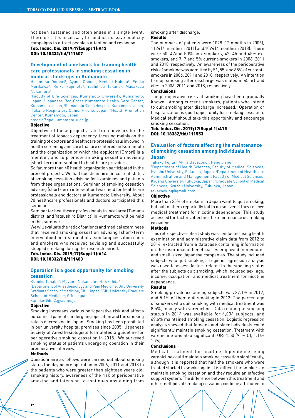not been sustained and often ended in a single event. Therefore, it is necessary to conduct massive publicity campaigns to attract people's attention and response.

Tob. Induc. Dis. 2019;17(Suppl 1):A13 DOI: 10.18332/tid/111607

# **Development of a network for training health care professionals in smoking cessation in medical check-ups in Kumamoto**

Hisamitsu Oomori<sup>1</sup>, Ayumi Onoue<sup>1</sup>, Kenichi Kubota<sup>2</sup>, Emiko Morikawa<sup>2</sup>, Keiko Fujimoto<sup>3</sup>, Yoshihisa Takano<sup>4</sup>, Masakazu Nakamura<sup>5</sup>

1 Faculty of Life Sciences, Kumamoto University, Kumamoto, Japan, <sup>2</sup>Japanese Red Cross Kumamoto Health Care Center, Kumamoto, Japan, <sup>3</sup>Kumamoto Kinoh Hospital, Kumamoto, Japan,<br>"Takano Respiratory Clinic, Hirono, Japan, <sup>5</sup>Health Promotion Takano Respiratory Clinic, Hirono, Japan, <sup>5</sup>Health Promotion Center, Kumamoto, Japan

omorih@gpo.kumamoto-u.ac.jp

#### Objective

Objective of these projects is to train advisors for the treatment of tobacco dependency, focusing mainly on the training of doctors and healthcare professionals involved in health screening and care that are centered on Kumamoto and the organization of which the applicant (Omori) is a member, and to promote smoking cessation advising (short-term intervention) to healthcare providers.

So far, more than 40 health organization participated in the present projects. We had questionnaire on current status of smoking cessation advising for examinees and patients from these organizations. Seminar of smoking cessation advising (short-term intervention) was held for healthcare professionals and doctors at Kumamoto University. About 90 healthcare professionals and doctors participated this seminar.

Seminar for healthcare professionals in local area (Tamana district, and Yatsushiro District) in Kumamoto will be held in this summer.

We will evaluate the ratio of patients and medical examinees that received smoking cessation advising (short-term intervention) or treatment at a smoking cessation clinic and smokers who received advising and successfully stopped smoking during the research period.

Tob. Induc. Dis. 2019;17(Suppl 1):A14 DOI: 10.18332/tid/111483

# **Operation is a good opportunity for smoking cessation**

Kumiko Tanabe<sup>1</sup>, Mayumi Nakanishi<sup>2</sup>, Hiroki lida<sup>2</sup> 1 Department of Anesthesiology and Pain Medicine, Gifu University Graduate School of Medicine, Gifu, Japan, <sup>2</sup>Gifu University Graduate School of Medicine, Gifu, Japan kumiko-t@m2.gyao.ne.jp

#### Objective

Smoking increases various perioperative risk and affects outcome of patients undergoing operation and the smoking rate is decreasing in Japan. Smoking has been prohibited in our university hospital premises since 2005. Japanese Society of Anesthesiologists formulated a guideline for perioperative smoking cessation in 2015. We surveyed smoking status of patients undergoing operation in their preoperative interview.

#### Methods

Questionnaire as follows were carried out about smoking status the day before operation in 2006, 2011 and 2018 to the patients who were greater than eighteen years old: smoking history, awareness of the risk of perioperative smoking and intension to continues abstaining from

smoking after discharge.

# Results

The numbers of patients were 1098 (12 months in 2006), 1124 (6 months in 2011) and 1094 (4 months in 2018). There were 50, 47and 50% non-smokers, 42, 45 and 45% exsmokers, and 7, 7 and 5% current-smokers in 2006, 2011 and 2018, respectively. An awareness of the perioperative risk of smoking was admitted by 51, 55, and 85% of currentsmokers in 2006, 2011 and 2018, respectively. An intention to stop smoking after discharge was stated in 45, 61 and 60% in 2006, 2011 and 2018, respectively.

# Conclusions

The perioperative risks of smoking have been gradually known. Among current-smokers, patients who intend to quit smoking after discharge increased. Operation or hospitalization is good opportunity for smoking cessation. Medical stuff should take this opportunity and encourage smoking cessation.

# Tob. Induc. Dis. 2019;17(Suppl 1):A15 DOI: 10.18332/tid/111553

# **Evaluation of factors affecting the maintenance of smoking cessation among individuals in Japan**

Takako Fujita<sup>1</sup>, Akira Babazono<sup>2</sup>, Peng Jiang<sup>3</sup>

1 Department of Health Sciences, Faculty of Medical Sciences, Kyushu University, Fukuoka, Japan, 2 Department of Healthcare Administration and Management, Faculty of Medical Sciences, Kyushu University, Fukuoka, Japan, <sup>3</sup>Graduate School of Medical Sciences, Kyushu University, Fukuoka, Japan takacooking@gmail.com

#### Objective

More than 25% of smokers in Japan want to quit smoking, but half of them reportedly fail to do so even if they receive medical treatment for nicotine dependence. This study assessed the factors affecting the maintenance of smoking cessation.

# **Methods**

This retrospective cohort study was conducted using health examination and administrative claim data from 2012 to 2014, extracted from a database containing information on the insurance of beneficiaries employed in mediumand small-sized Japanese companies. The study included subjects who quit smoking. Logistic regression analysis was used to assess factors related to the smoking status after the subjects quit smoking, which included sex, age, income, occupation, and medical treatment for nicotine dependence.

#### Results

Smoking prevalence among subjects was 37.1% in 2012, and 5.1% of them quit smoking in 2013. The percentage of smokers who quit smoking with medical treatment was 8.5%, mainly with varenicline. Data relating to smoking status in 2014 was available for 4,034 subjects, and 69.6% maintained smoking cessation. Logistic regression analysis showed that females and older individuals could significantly maintain smoking cessation. Treatment with varenicline was also significant: OR: 1.50 (95% CI, 1.14– 1.96).

# Conclusions

Medical treatment for nicotine dependence using varenicline could maintain smoking cessation significantly, although it is reported that half the smokers who were treated started to smoke again. It is difficult for smokers to maintain smoking cessation and they require an effective support system. The difference between this treatment and other methods of smoking cessation could be attributed to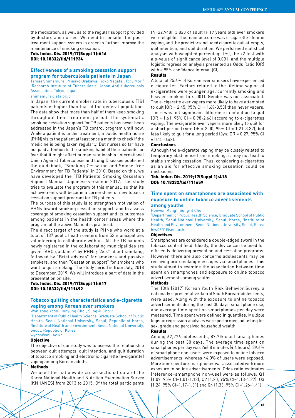Tob. Induc. Dis. 2019;17(Suppl 1):A16 DOI: 10.18332/tid/111934

# **Effectiveness of a smoking cessation support program for tuberculosis patients in Japan**

Tamae Shimamura<sup>1</sup>, Minako Urakawa<sup>1</sup>, Yoko Nagata<sup>1</sup>, Toru Mori<sup>1</sup> 1 Research Institute of Tuberculosis, Japan Anti-tuberculosis Association, Tokyo, Japan

shimamura@jata.or.jp

In Japan, the current smoker rate in tuberculosis (TB) patients is higher than that of the general population. The data show that more than half of them keep smoking throughout their treatment period. The systematic smoking cessation support for TB patients has never been addressed in the Japan's TB control program until now. While a patient is under treatment, a public health nurse (PHN) visits the patient at least once a month to check if the medicine is being taken regularly. But nurses so far have not paid attention to the smoking habit of their patients for fear that it might affect human relationship. International Union Against Tuberculosis and Lung Diseases published the guidebook, "Smoking Cessation and Smoke-free Environment for TB Patients" in 2010. Based on this, we have developed the "TB Patients' Smoking Cessation Support Manual" Japanese version in 2017. This study tries to evaluate the program of this manual, so that its achievements will become a cornerstone of new tobacco cessation support program for TB patients.

The purpose of this study is to strengthen motivation of PHNs toward smoking cessation support, and to assess coverage of smoking cessation support and its outcomes among patients in the health center areas where the program of the above Manual is practiced.

The direct target of the study is PHNs who work at a total of 137 public health centers from 52 municipalities volunteering to collaborate with us. All the TB patients newly registered in the collaborating municipalities are given "ABC guidance" by PHNs; "Ask" about smoking, followed by "Brief advices" for smokers and passive smokers, and then "Cessation support" for smokers who want to quit smoking. The study period is from July, 2018 to December, 2019. We will introduce a part of data in the presentation on site.

Tob. Induc. Dis. 2019;17(Suppl 1):A17 DOI: 10.18332/tid/111492

# **Tobacco quitting characteristics and e-cigarette vaping among Korean ever smokers**

Wonjeong Yoon<sup>1</sup>, Inhyung Cho<sup>1</sup>, Sung-il Cho<sup>1,2</sup>

1 Department of Public Health Science, Graduate School of Public Health, Seoul National University, Seoul, Republic of Korea, 2 Institute of Health and Environment, Seoul National University, Seoul, Republic of Korea

wyoon@snu.ac.kr

# **Objective**

The objective of our study was to assess the relationship between quit attempts, quit intention, and quit duration of tobacco smoking and electronic cigarette (e-cigarette) vaping among Korean adults.

# Methods

We used the nationwide cross-sectional data of the Korea National Health and Nutrition Examination Survey (KNHANES) from 2013 to 2015. Of the total participants (N=22,948), 3,823 of adult (≥ 19 years old) ever smokers were eligible. The main outcome was e-cigarette lifetime vaping, and the predictors included cigarette quit attempts, quit intention, and quit duration. We performed statistical analysis with weighted percentage (%), the χ2 test with a p-value of significance level of 0.001, and the multiple logistic regression analysis presented as Odds Ratio (OR) with a 95% confidence interval (CI).

### Results

A total of 25.6% of Korean ever smokers have experienced e-cigarettes. Factors related to the lifetime vaping of e-cigarettes were younger age, currently smoking and heavier smoking (p < .001). Gender was not associated. The e-cigarette ever vapers more likely to have attempted to quit  $OR = 2.45$ ,  $95\%$   $Cl = 1.69 - 3.53$  than never vapers. There was not significant difference in intention to quit  $[OR = 1.61, 95\% CI = 0.98 - 2.66]$  according to e-cigarettes vaping. The e-cigarette ever vapers more likely to quit for a short period (<6m:  $OR = 2.00$ ,  $95\%$  CI = 1.21-3.32), but less likely to quit for a long period (3y≤: OR = 0.27, 95% CI  $= 0.15 - 0.48$ .

# Conclusions

Although the e-cigarette vaping may be closely related to temporary abstinence from smoking, it may not lead to stable smoking cessation. Thus, considering e-cigarettes as an aid for effective smoking cessation could be misleading.

Tob. Induc. Dis. 2019;17(Suppl 1):A18 DOI: 10.18332/tid/111659

# **Time spent on smartphones are associated with exposure to online tobacco advertisements among youths**

Heewon Kang<sup>1</sup>, Sung-il Cho<sup>1,2</sup>

1 Department of Public Health Science, Graduate School of Public Health, Seoul National University, Seoul, Korea, <sup>2</sup>Institute of Health and Environment, Seoul National University, Seoul, Korea hiw0301@snu.ac.kr

#### Objectives

Smartphones are considered a double-edged sword in the tobacco control field. Ideally, the device can be used for efficiently delivering prevention and cessation programs. However, there are also concerns adolescents may be receiving pro-smoking messages via smartphones. This study aimed to examine the association between time spent on smartphones and exposure to online tobacco advertisements among youths.

#### Methods

The 13th (2017) Korean Youth Risk Behavior Survey, a nationally representative data of South Korean adolescents, were used. Along with the exposure to online tobacco advertisements during the past 30 days, smartphone use, and average time spent on smartphones per day were measured. Time spent were defined in quantiles. Multiple logistic regression analyses were performed, adjusting for sex, grade and perceived household wealth.

#### Results

Among 62,276 adolescents, 87.7% used smartphones during the past 30 days. The average time spent on smartphones per day was 266.8 minutes (4.4 hours). 39.6% of smartphone non-users were exposed to online tobacco advertisements, whereas 44.0% of users were exposed. More time spent on smartphones was associated with more exposure to online advertisements. Odds ratio estimates (reference=smartphone non-use) were as follows: Q1 (1.07, 95% CI=1.01-1.13), Q2 (1.20, 95% CI=1.13-1.27), Q3 (1.24, 95% CI=1.17-1.31) and Q4 (1.33, 95% CI=1.26-1.41).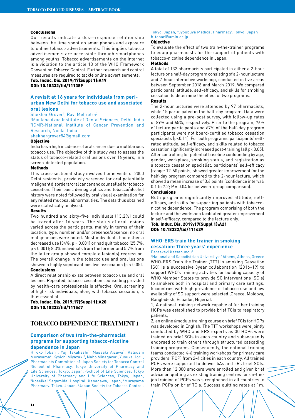#### Conclusions

Our results indicate a dose-response relationship between the time spent on smartphones and exposure to online tobacco advertisements. This implies tobacco advertisements are accessible through smartphones among youths. Tobacco advertisements on the internet is a violation to the article 13 of the WHO Framework Convention Tobacco Control. Further research and control measures are required to tackle online advertisements.

# Tob. Induc. Dis. 2019;17(Suppl 1):A19 DOI: 10.18332/tid/111389

# **A revisit at 16 years for individuals from periurban New Delhi for tobacco use and associated oral lesions**

#### Shekhar Grover<sup>1</sup>, Ravi Mehrotra<sup>2</sup>

1 Maulana Azad Institute of Dental Sciences, Delhi, India 2 ICMR-National Institute of Cancer Prevention and Research, Noida, India

# shekhargrover84@gmail.com

# **Objective**

India has a high incidence of oral cancer due to multifarious tobacco use. The objective of this study was to assess the status of tobacco-related oral lesions over 16 years, in a screen-detected population.

#### Methods

This cross-sectional study involved home visits of 2000 Delhi residents, previously screened for oral potentially malignant disorders/oral cancer and counselled for tobacco cessation. Their basic demographics and tobacco/alcohol history were noted followed by oral visual examination for any related mucosal abnormalities. The data thus obtained were statistically analysed.

#### Results

Two hundred and sixty-five individuals (13.2%) could be traced after 16 years. The status of oral lesions varied across the participants, mainly in terms of their location, type, number, and/or presence/absence; no oral malignancies were noted. Most individuals had either a decreased use (34%, p < 0.001) or had quit tobacco (25.7%, p < 0.001); 8.3% individuals from the former and 5.7% from the latter group showed complete lesion(s) regression. The overall change in the tobacco use and oral lesions showed a highly significant positive association (p < 0.05). Conclusions

A direct relationship exists between tobacco use and oral lesions. Repeated, tobacco cessation counselling provided by health-care professionals is effective. Oral screening of high-risk individuals, along with tobacco cessation, is thus essential.

Tob. Induc. Dis. 2019;17(Suppl 1):A20 DOI: 10.18332/tid/111547

# **TOBACCO DEPENDENCE TREATMENT 1**

# **Comparison of two train-the-pharmacist programs for supporting tobacco-nicotine dependence in Japan**

Hiroko Tobari<sup>1</sup>, Yuji Takahashi<sup>2</sup>, Masaaki Aizawa<sup>3</sup>, Katsushi Murayama<sup>4</sup>, Kyoichi Miyazaki<sup>5</sup>, Naho Minagawa<sup>6</sup>, Yusuke Hori<sup>1</sup>, Pharmacists Committee of Japan Society for Tobacco Control 1 School of Pharmacy, Tokyo University of Pharmacy and Life Sciences, Tokyo, Japan, <sup>2</sup>School of Life Sciences, Tokyo University of Pharmacy and Life Sciences, Tokyo, Japan, 3 Koseikai Sagamidai Hospital, Kanagawa, Japan, 4 Murayama Pharmacy, Tokyo, Japan, 5Japan Society for Tobacco Control,

#### Tokyo, Japan, <sup>6</sup>Jyoubuya Medical Pharmacy, Tokyo, Japan h-tobari@umin.ac.jp

#### **Objective**

To evaluate the effect of two train-the-trainer programs to equip pharmacists for the support of patients with tobacco-nicotine dependence in Japan.

# Methods

A total of 132 pharmacists participated in either a 2-hour lecture or a half-day program consisting of a 2-hour lecture and 2-hour interactive workshop, conducted in five areas between September 2018 and March 2019. We compared participants' attitude, self-efficacy, and skills for smoking cessation to determine the effect of two programs.

# Results

The 2-hour lectures were attended by 97 pharmacists, while 15 participated in the half-day program. Data were collected using a pre-post survey, with follow-up rates of 89% and 65%, respectively. Prior to the program, 76% of lecture participants and 67% of the half-day program participants were not board-certified tobacco cessation specialists (p<0.11). For both programs, participants' selfrated attitude, self-efficacy, and skills related to tobacco cessation significantly increased post-training (all p< 0.05). After controlling for potential baseline confounding by age, gender, workplace, smoking status, and registration as a tobacco cessation specialist, participants' self-efficacy (range: 12-60 points) showed greater improvement for the half-day program compared to the 2-hour lecture, which showed a mean increase of 3.6 points (confidence interval: 0.1 to  $7.2$ ;  $P = 0.04$  for between-group comparison).

#### Conclusions

Both programs significantly improved attitude, selfefficacy, and skills for supporting patients with tobacconicotine dependence. The program comprising of both the lecture and the workshop facilitated greater improvement in self-efficacy, compared to the lecture only.

Tob. Induc. Dis. 2019;17(Suppl 1):A21 DOI: 10.18332/tid/111429

# **WHO-ERS train the trainer in smoking cessation: Three years' experience**

### Paraskevi Katsaounou<sup>1</sup>

1 National and Kapodistrian University of Athens, Athens, Greece WHO-ERS Train the Trainer (TTT) in smoking Cessation (SC) is a successive 3year collaboration (2016-19) to support WHO's training activities for building capacity of WHO Member States to provide SC interventions (SCIs) to smokers both in hospital and primary care settings. 5 countries with high prevalence of tobacco use and low availability of SC support were selected (Greece, Moldova, Bangladesh, Ecuador, Nigeria).

1) A national training network capable of further training HCPs was established to provide brief TCIs to respiratory patients,

2) an online 6module training course on brief TCIs for HCPs was developed in English. The TTT workshops were jointly conducted by WHO and ERS experts as 30 HCPs were trained on brief SCIs in each country and subsequently endorsed to train others through structured cascading training programs. Consequently, the national training teams conducted 4-6 training workshops for primary care providers (PCP) from 2-4 cities in each country. All trained PCPs were supported to deliver 5As and 5Rs brief SCIs. More than 12.000 smokers were enrolled and given brief advice on quitting as existing training centres for on-thejob training of PCPs was strengthened in all countries to train PCPs on brief TCIs. Success quitting rates at 1m.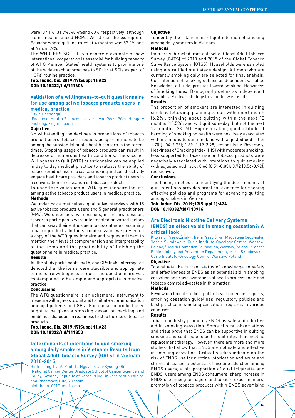were (37.1%, 31.7%, 48.4%and 60% respectively) although from unexperienced HCPs. We stress the example of Ecuador where quitting rates at 4 months was 57.2% and at 6 m. 48.9%.

The WHO–ERS SC TTT is a concrete example of how international cooperation is essential for building capacity of WHO Member States' health systems to promote one of the wide-reach approaches to SC: brief SCIs as part of HCPs' routine practice.

Tob. Induc. Dis. 2019;17(Suppl 1):A22 DOI: 10.18332/tid/111606

# **Validation of a willingness-to-quit questionnaire for use among active tobacco products users in medical practice**

David Onchonga<sup>1</sup>

1 Faculty of Health Sciences, University of Pécs, Pécs, Hungary onchonga7@gmail.com

#### Objective

Notwithstanding the declines in proportions of tobacco product users, tobacco products usage continues to be among the substantial public health concern in the recent times. Stopping usage of tobacco products can result in decrease of numerous health conditions. The succinct Willingness to Quit (WTQ) questionnaire can be applied in day to day medical practice to evaluate the ability of tobacco product users to cease smoking and constructively engage healthcare providers and tobacco product users in a conversation on cessation of tobacco products.

To undertake validation of WTQ questionnaire for use among active tobacco product users in medical practice. Methods

We undertook a meticulous, qualitative interviews with 15 active tobacco products users and 5 general practitioners (GPs). We undertook two sessions, in the first session, research participants were interrogated on varied factors that can sway their enthusiasm to discontinue consuming tobacco products. In the second session, we presented a copy of the WTQ questionnaire and requested them to mention their level of comprehension and interpretability of the items and the practicability of finishing the questionnaire in medical practice.

#### Results

All the study participants (n=15) and GPs (n=5) interrogated denoted that the items were plausible and appropriate to measure willingness to quit. The questionnaire was contemplated to be simple and appropriate in medical practice.

#### **Conclusions**

The WTQ questionnaire is an ephemeral instrument to measure willingness to quit and to initiate a communication amongst patients and GPs. Each tobacco product user ought to be given a smoking cessation backing and enabling a dialogue on readiness to stop the use of tobacco products.

Tob. Induc. Dis. 2019;17(Suppl 1):A23 DOI: 10.18332/tid/111850

# **Determinants of intentions to quit smoking among daily smokers in Vietnam: Results from Global Adult Tobacco Survey (GATS) in Vietnam 2010-2015**

Binh Thang Tran<sup>1</sup>, Minh Tu Nguyen<sup>2</sup>, Jin-Kyoung Oh<sup>1</sup> 1 National Cancer Center Graduate School of Cancer Science and Policy, Goyang, Republic of Korea, <sup>2</sup>Hue University of Medicine and Pharmacy, Hue, Vietnam binhthang1001@gmail.com

#### **Objective**

To identify the relationship of quit intention of smoking among daily smokers in Vietnam.

# Methods

Data are subtracted from dataset of Global Adult Tobacco Survey (GATS) of 2010 and 2015 of the Global Tobacco Surveillance System (GTSS). Households were sampled using a stratified multistage design. All men who are currently smoking daily are selected for final analysis. Quit intention of smoking defines as dependent variable. Knowledge, attitude, practice toward smoking; Heaviness of Smoking Index; Demography define as independent variables. Multivariate logistics model was used.

# Results

The proportion of smokers are interested in quitting smoking following: planning to quit within next month (6.2%); thinking about quitting within the next 12 months (15.5%); and will quit someday, but not the next 12 months (38.5%). High education, good attitude of harming of smoking on health were positively associated with intentions to quit smoking with adjusted odd ratio: 1.70 (1.04-2.75); 1.89 (1.19-2.98), respectively. Reversely, Heaviness of Smoking Index (HIS) with moderate smoking, less supported for taxes rise on tobacco products were negatively associated with intentions to quit smoking with adjusted odd ratio: 0.66 (0.51-0.83); 0.72 (0.56-0.92), respectively.

#### Conclusions

The finding implies that identifying the determinants of quit intentions provides practical evidence for shaping effective policies and programs for advancing quitting among smokers in Vietnam.

# Tob. Induc. Dis. 2019;17(Suppl 1):A24 DOI: 10.18332/tid/110916

# **Are Electronic Nicotine Delivery Systems (ENDS) an effective aid in smoking cessation?: A critical look**

Krzysztof Przewoźniak<sup>1,2</sup>, Irena Przepiórka<sup>3</sup>, Magdalena Cedzynska<sup>3</sup> 1 Maria Sklodowska-Curie Institute-Oncology Centre, Warsaw, Poland, <sup>2</sup> Health Promotion Foundation, Warsaw, Poland, <sup>3</sup> Cancer Epidemiology and Prevention Department, Maria Sklodowska-Curie Institute-Oncology Centre, Warsaw, Poland

#### Objective

To evaluate the current status of knowledge on safety and effectiveness of ENDS as an potential aid in smoking cessation and raise awareness of health professionals and tobacco control advocates in this matter.

#### Methods

Review of clinical studies, public health agencies reports, smoking cessation guidelines, regulatory policies and best practice in smoking cessation programs in various countries.

### Results

Tobacco industry promotes ENDS as safe and effective aid in smoking cessation. Some clinical observations and trials prove that ENDS can be supportive in quitting smoking and contribute to better quit rates than nicotine replacement therapy. However, there are more and more studies that show that ENDS are not safe and effective in smoking cessation. Critical studies indicate on the risk of ENDS use for nicotine intoxication and acute and chronic diseases, a potential of nicotine addiction among ENDS users, a big proportion of dual (cigarette and ENDS) users among ENDS consumers, sharp increase in ENDS use among teenagers and tobacco experimenters, promotion of tobacco products within ENDS advertising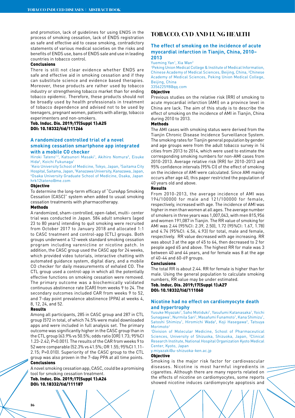and promotion, lack of guidelines for using ENDS in the process of smoking cessation, lack of ENDS registration as safe and effective aid to cease smoking, contradictory statements of various medical societies on the risks and benefits of ENDS use, bans of ENDS sale and use in leading countries in tobacco control.

#### Conclusions

There is still not clear evidence whether ENDS are safe and effective aid in smoking cessation and if they can substitute science and evidence based therapies. Moreover, these products are rather used by tobacco industry or strengthening tobacco market than for ending tobacco epidemic. Therefore, these products should not be broadly used by health professionals in treatment of tobacco dependence and advised not to be used by teenagers, pregnant women, patients with allergy, tobacco experimenters and non-smokers.

# Tob. Induc. Dis. 2019;17(Suppl 1):A25 DOI: 10.18332/tid/111266

# **A randomized controlled trial of a novel smoking cessation smartphone app integrated with a mobile CO checker**

Hiroki Tateno<sup>1,2</sup>, Katsunori Masaki<sup>1</sup>, Akihiro Nomura<sup>3</sup>, Eisuke Hida<sup>4</sup>, Koichi Fukunaga<sup>1</sup>

<sup>1</sup>Keio University School of Medicine, Tokyo, Japan, <sup>2</sup>Saitama City Hospital, Saitama, Japan, <sup>3</sup>Kanazawa University, Kanazawa, Japan,<br>40saka University Graduate School of Medicine, Osaka, Japan, Osaka University Graduate School of Medicine, Osaka, Japan hrk12tateno@me.com

#### Objective

To determine the long-term efficacy of "CureApp Smoking Cessation (CASC)" system when added to usual smoking cessation treatments with pharmacotherapy.

#### Methods

A randomized, sham-controlled, open-label, multi- center trial was conducted in Japan. 584 adult smokers (aged 23 to 80 years) intending to quit smoking were recruited from October 2017 to January 2018 and allocated 1:1 to CASC treatment and control-app (CTL) groups. Both groups underwent a 12-week standard smoking cessation program including varenicline or nicotine patch. In addition, the CASC group used the CASC app for 24 weeks, which provided video tutorials, interactive chatting with automated guidance system, digital diary, and a mobile CO checker for daily measurements of exhaled CO. The CTL group used a control-app in which all the potentially effective functions on smoking cessation were removed. The primary outcome was a biochemically validated continuous abstinence rate (CAR) from weeks 9 to 24. The secondary outcomes included CAR from weeks 9 to 52, and 7-day point prevalence abstinence (PPA) at weeks 4, 8, 12, 24, and 52.

#### Results

Among all participants, 285 in CASC group and 287 in CTL group (572 in total, of which 74.5% were male) downloaded apps and were included in full analysis set. The primary outcome was significantly higher in the CASC group than in the CTL group (63.9% vs 50.5%; odds ratio [OR] 1.73; 95%CI 1.23-2.42; P=0.001). The results of the CAR from weeks 9 to 52 were comparable (52.3% vs 41.5%; OR 1.55; 95%CI 1.11- 2.15; P=0.010). Superiority of the CASC group to the CTL group was also proven in the 7-day PPA at all time points. **Conclusions** 

A novel smoking cessation app, CASC, could be a promising tool for smoking cessation treatment.

Tob. Induc. Dis. 2019;17(Suppl 1):A26 DOI: 10.18332/tid/111187

# **TOBACCO, CVD AND LUNG HEALTH**

# **The effect of smoking on the incidence of acute myocardial infarction in Tianjin, China, 2010– 2013**

#### Yueming Yan<sup>1</sup>, Xia Wan<sup>2</sup>

1 Peking Union Medical College & Institute of Medical Information, Chinese Academy of Medical Sciences, Beijing, China, 2 Chinese Academy of Medical Sciences, Peking Union Medical College, Beijing, China

# 335622598@qq.com

# Objective

Previous studies on the relative risk (RR) of smoking to acute myocardial infarction (AMI) on a province level in China are lack. The aim of this study is to describe the effect of smoking on the incidence of AMI in Tianjin, China during 2010 to 2013.

# **Methods**

The AMI cases with smoking status were derived from the Tianjin Chronic Disease Incidence Surveillance System. The smoking rates for Tianjin general population by gender and age groups were from the adult tobacco survey in 14 cities from 2013 to 2014, which were used to estimate the corresponding smoking numbers for non-AMI cases from 2010-2013. Average relative risk (RR) for 2010-2013 and 95% confidence intervals (95% CI) of the effect of smoking on the incidence of AMI were calculated. Since AMI mainly occurs after age 40, this paper restricted the population of 40 years old and above.

#### Results

From 2010-2013, the average incidence of AMI was 194/100000 for male and 121/100000 for female, respectively, increased with age. The incidence of AMI was higher in men than women at all ages. The average number of smokers in three years was 1,007,043, with men 815,956 and women 191,087 in Tianjin. The RR value of smoking for AMI was 2.44 (95%CI: 2.39, 2.50), 1.72 (95%CI: 1.67, 1.78) and 4.74 (95%CI: 4.56, 4.93) for total, male and female, respectively. RR value decreased with age increasing. RR was about 3 at the age of 45 to 64, then decreased to 2 for people aged 65 and above. The highest RR for male was 3 between 40 and 44 years, and for female was 8 at the age of 40-44 and 60-69 groups.

#### Conclusions

The total RR is about 2.44. RR for female is higher than for male. Using the general population to calculate smoking numbers, RR value may be under estimated.

# Tob. Induc. Dis. 2019;17(Suppl 1):A27 DOI: 10.18332/tid/111060

# **Nicotine had no effect on cardiomyocyte death and hypertrophy**

Yusuke Miyazaki<sup>1</sup>, Saho Motiduki<sup>1</sup>, Yasufumi Katanasaka<sup>1</sup>, Yoichi Sunagawa<sup>1</sup>, Nurmila Sari<sup>1</sup>, Masafumi Funamoto<sup>1</sup>, Kana Shimizu<sup>1</sup>, Satoshi Shimizu<sup>1</sup>, Hiromichi Wada<sup>2</sup>, Koji Hasegawa<sup>2</sup>, Tatsuya Morimoto<sup>1</sup>

1 Division of Molecular Medicine, School of Pharmaceutical Sciences, University of Shizuoka, Shizuoka, Japan, <sup>2</sup>Clinical Research Institute, National Hospital Organization Kyoto Medical Center, Kyoto, Japan

y.miyazaki@u-shizuoka-ken.ac.jp

# Objective

Smoking is the major risk factor for cardiovascular diseases. Nicotine is most harmful ingredients in cigarettes. Although there are many reports related on the effects of nicotine on cardiomyocytes, some reports showed nicotine induces cardiomyocyte apoptosis and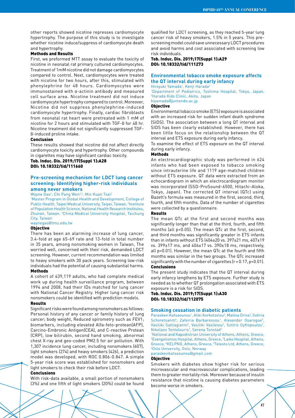other reports showed nicotine represses cardiomyocyte hypertrophy. The purpose of this study is to investigate whether nicotine induce/suppress of cardiomyocyte death and hypertrophy.

# Methods and Results

First, we preformed MTT assay to evaluate the toxicity of nicotine in neonatal rat primary cultured cardiomyocytes. Treatment of 1mM nicotine did not damage cardiomyocytes compared to control. Next, cardiomyocytes were treated with nicotine for two hours, after this, stimulated with phenylephrine for 48 hours. Cardiomyocytes were immunostained with α-actinin antibody and measured cell surface area. Nicotine treatment did not induce cardiomyocyte hypertrophy compared to control. Moreover, Nicotine did not suppress phenylephrine-induced cardiomyocyte hypertrophy. Finally, cardiac fibroblasts from neonatal rat heart were pretreated with 1 mM of nicotine for 2 hours and stimulated with TGF-β for 48 hr. Nicotine treatment did not significantly suppressed TGFβ-induced proline intake.

# Conclusion

These results showed that nicotine did not affect directly cardiomyocyte toxicity and hypertrophy. Other compounds in cigarettes may have significant cardiac toxicity.

# Tob. Induc. Dis. 2019;17(Suppl 1):A28 DOI: 10.18332/tid/111660

# **Pre-screening mechanism for LDCT lung cancer screening: Identifying higher-risk individuals among never smokers**

Wayne Gao<sup>1</sup>, Chi Pang Wen<sup>2,3</sup>, Min Kuan Tsai<sup>2</sup>

1 Master Program in Global Health and Development, College of Public Health, Taipei Medical University, Taipei, Taiwan, <sup>2</sup>Institute of Population Health Science, National Health Research Institutes, Zhunan, Taiwan, <sup>3</sup>China Medical University Hospital, Taichung City, Taiwan

waynegao@tmu.edu.tw

### Objective

There has been an alarming increase of lung cancer, 3.4-fold at age 65-69 rate and 13-fold in total number in 35 years, among nonsmoking women in Taiwan, The worried well, concerned with their risk, demanded LDCT screening. However, current recommendation was limited to heavy smokers with 30 pack years. Screening low-risk individuals had the potential of causing substantial harms. Methods

# A cohort of 439,119 adults, who had complete medical work up during health surveillance program, between 1994 and 2008, had their IDs matched for lung cancer with National Cancer Registry. Higher lung cancer risk

nonsmokers could be identified with prediction models.

# Results

Significant risks were found among nonsmokers as follows: Personal history of any cancer or family history of lung cancer; body weight, Reduced spirometry such as FEV1; biomarkers, including elevated Alfa-feto-protean(AFP), Carcino-Embronic Antigen(CEA), and C-reactive Protean (CRP), low bilirubin, second hand smoking, abnormal chest X-ray and geo-coded PM2.5 for air pollution. With 1,307 incidence lung cancer, including nonsmokers (607), light smokers (274) and heavy smokers (426), a prediction model was developed, with ROC 0.806-0.847. A simple 5-year risk score was established for nonsmokers and light smokers to check their risk before LDCT.

#### Conclusions

With risk-data available, a small portion of nonsmokers (3%) and one fifth of light smokers (20%) could be found qualified for LDCT screening, as they reached 5-year lung cancer risk of heavy smokers, 1.5% in 5 years. This prescreening model could save unnecessary LDCT procedures and avoid harms and cost associated with screening low risk individuals.

# Tob. Induc. Dis. 2019;17(Suppl 1):A29 DOI: 10.18332/tid/111273

# **Environmental tobacco smoke exposure affects the QT interval during early infancy**

Hiroyuki Yamada1 , Kenji Harada2 1 Department of Pediatrics, Toshima Hospital, Tokyo, Japan, 2 Harada Kids Clinic, Akita, Japan hiyamada@juntendo.ac.jp

# Objective

Environmental tobacco smoke (ETS) exposure is associated with an increased risk for sudden infant death syndrome (SIDS). The association between a long QT interval and SIDS has been clearly established. However, there has been little focus on the relationship between the QT interval and ETS exposure during early infancy.

To examine the effect of ETS exposure on the QT interval during early infancy.

# Methods

An electrocardiographic study was performed in 624 infants who had been exposed to tobacco smoking since intrauterine life and 1119 age-matched children without ETS exposure. QT data were extracted from an echocardiogram in which an electrocardiogram monitor was incorporated (SSD-ProSound-6500, Hitachi-Aloka, Tokyo, Japan). The corrected QT interval (QTc) using Bazett's formula was measured in the first, second, third, fourth, and fifth months. Data of the number of cigarettes were collected by a questionnaire.

#### Results

The mean QTc at the first and second months was significantly longer than that at the third, fourth, and fifth months (all p<0.05). The mean QTc at the first, second, and third months was significantly greater in ETS infants than in infants without ETS (404±20 vs. 397±21 ms, 407±19 vs. 399±17 ms, and 404±17 vs. 390±18 ms, respectively, all p<0.01). However, the mean QTc at the fourth and fifth months was similar in the two groups. The QTc increased significantly with the number of cigarettes (r = 0.17, p<0.01).

#### Conclusions

The present study indicates that the QT interval during early infancy lengthens by ETS exposure. Further study is needed as to whether QT prolongation associated with ETS exposure is a risk for SIDS.

# Tob. Induc. Dis. 2019;17(Suppl 1):A30 DOI: 10.18332/tid/112075

#### **Smoking cessation in diabetic patients**

Paraskevi Katsaounou<sup>1</sup>, Aliki Korkotzelou<sup>2</sup>, Matina Driva<sup>3</sup>, Sotiria Schoretsaniti<sup>4</sup>, Zafeiria Barbaressou<sup>1</sup>, Alexander Osarogue<sup>5</sup>, Vasiliki Saltiagianni<sup>2</sup>, Vasiliki Vasileiou<sup>2</sup>, Sotiris Gyftopoulos<sup>1</sup>, Nikolaos Tentolouris<sup>1</sup>, Serena Tonstad<sup>6</sup>

1 National and Kapodistrian University of Athens, Athens, Greece, 2 Evangelismos Hospital, Athens, Greece, 3 Laiko Hospital, Athens, Greece, <sup>4</sup>KELPNO, Athens, Greece, <sup>5</sup>Telesto Ltd, Athens, Greece, 60slo Liniversity, Oslo, Norway Oslo University, Oslo, Norway

paraskevikatsaounou@gmail.com

#### Objective

Smokers with diabetes show higher risk for serious microvascular and macrovascular complications, leading them to greater mortality risk. Moreover because of insulin resistance that nicotine is causing diabetes parameters become worse in smokers.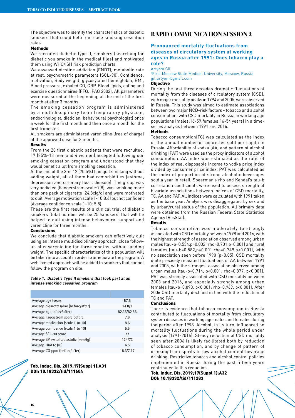The objective was to identify the characteristics of diabetic smokers that could help increase smoking cessation rates.

#### Methods

We recruited diabetic type II, smokers (searching for diabetic you smoke in the medical files) and motivated them using WHO/ISH risk prediction charts.

We assessed nicotine addiction (FNDT), metabolic rate at rest, psychometric parameters (SCL-90), Confidence, motivation, Body weight, glycosylated hemoglobin, BMI, Blood pressure, exhaled CO, CRP, Blood lipids, eating and exercise questionnaires (FFQ, IPAQ 2002). All parameters were measured at the beginning, at the end of the first month at after 3 months.

The smoking cessation program is administered by a multidisciplinary team (respiratory physician, endocrinologist, dietician, behavioural psychologist) once a week for the first month and then once a month for the first trimester.

All smokers are administered varenicline (free of charge) at the approved dose for 3 months.

# Results

From the 20 first diabetic patients that were recruited, 17 (85%-13 men and 4 women) accepted following our smoking cessation program and understood that they would benefit a lot from smoking cessation.

At the end of the 3m. 12 (70,5%) had quit smoking without adding weight, all of them had comorbidities (asthma, depression and coronary heart disease). The group was very addicted (Fangerstrom scale:7,8), was smoking more than one pack of cigarette (24.8cig/d) and were motivated to quit (Average motivation scale 1-10:8.6) but not confident (Average confidence scale 1-10: 5.5).

These are the first results of a clinical trial of diabetic smokers (total number will be 250smokers) that will be helped to quit using intense behavioural support and varenicline for three months.

#### Conclusions

We conclude that diabetic smokers can effectively quit using an intense multidisciplinary approach, close followup plus varenicline for three months, without adding weight. The specific characteristics of this population will be taken into account in order to ameliorate the program. A web-based approach will be added to smokers that cannot follow the program on site.

#### **Table 1. Diabetic Type II smokers that took part at an intense smoking cessation program**

| Average age (years)                   | 57.6        |
|---------------------------------------|-------------|
| Average cigarettes/day (before/after) | 24.8/3      |
| Average kg (before/after)             | 82.35/82.85 |
| Average Fagerström score before       | 7.8         |
| Average motivation (scale 1 to 10)    | 8.6         |
| Average confidence (scale 1 to 10)    | 5.5         |
| Average SCL-90 score                  | 77          |
| Average BP systolic/diastolic (mmHq)  | 124/73      |
| Average HbA1c (%)                     | 6.5         |
| Average CO ppm (before/after)         | 18.6/7.17   |

# Tob. Induc. Dis. 2019;17(Suppl 1):A31 DOI: 10.18332/tid/111604

# **RAPID COMMUNICATION SESSION 2**

# **Pronounced mortality fluctuations from diseases of circulatory system at working ages in Russia after 1991: Does tobacco play a role?**

# Artyom Gil1

1 First Moscow State Medical University, Moscow, Russia gil.artyom@gmail.com

# Objective

During the last three decades dramatic fluctuations of mortality from the diseases of circulatory system (CSD), with major mortality peaks in 1994 and 2005, were observed in Russia. This study was aimed to estimate associations between two major NCD-risk factors - tobacco and alcohol consumption, with CSD mortality in Russia in working age populations (males:16-59;females:16-54 years) in a timeseries analysis between 1991 and 2016.

### Methods

Tobacco consumption(TC) was calculated as the index of the annual number of cigarettes sold per capita in Russia. Affordability of vodka (AA) and pattern of alcohol drinking (PAT) were used as the proxy indicators of alcohol consumption. AA index was estimated as the ratio of the index of real disposable income to vodka price index divided by consumer price index. PAT was calculated as the index of proportion of strong alcoholic beverages sold a year in retail. Spearman's rho and Kendal's tau-b correlation coefficients were used to assess strength of bivariate associations between indices of CSD mortality, TC, AA and PAT. All indices were calculated with 1991 taken as the base year. Analysis was disaggregated by sex and by urban/rural status of the population. All primary data were obtained from the Russian Federal State Statistics Agency (RosStat).

#### **Results**

Tobacco consumption was moderately to strongly associated with CSD mortality between 1998 and 2016, with the highest strength of association observed among urban males (tau-b=0.534,p=0.002; rho=0.701,p=0.001) and rural females (tau-b=0.582,p=0.001;rho=0.749,p<0.001), with no association seen before 1998 (p>0.05). CSD mortality quite precisely repeated fluctuations of AA between 1991 and 2005, with the strongest association observed among urban males (tau-b=0.714, p<0.001; rho=0.877, p<0.001). PAT was strongly associated with CSD mortality between 2003 and 2016, and especially strongly among urban females (tau-b=0.890, p<0.001; rho=0.969, p<0.001). After 2006 CSD mortality declined in line with the reduction of TC and PAT.

# Conclusions

There is evidence that tobacco consumption in Russia contributed to fluctuations of mortality from circulatory system diseases in working age males and females during the period after 1998. Alcohol, in its turn, influenced on mortality fluctuations during the whole period under analysis (1991-2016). Steady reduction of CSD mortality seen after 2006 is likely facilitated both by reduction of tobacco consumption, and by change of pattern of drinking from spirits to low alcohol content beverage drinking. Restrictive tobacco and alcohol control policies implemented in Russia during the past fifteen years contributed to this reduction.

Tob. Induc. Dis. 2019;17(Suppl 1):A32 DOI: 10.18332/tid/111283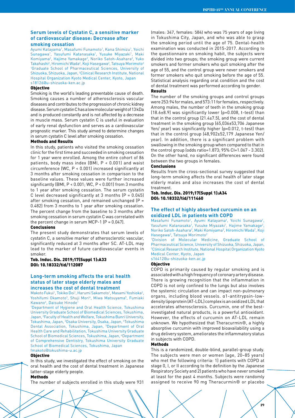# **Serum levels of Cystatin C, a sensitive marker of cardiovascular disease: Decrease after**

# **smoking cessation**

Ayumi Katayama<sup>1</sup>, Masafumi Funamoto<sup>1</sup>, Kana Shimizu<sup>1</sup>, Yoichi Sunagawa<sup>1</sup>, Yasufumi Katanasaka<sup>1</sup>, Yusuke Miyazaki<sup>1</sup>, Maki Komiyama<sup>2</sup>, Hajime Yamakage<sup>2</sup>, Noriko Satoh-Asahara<sup>2</sup>, Yuko Takahashi<sup>2</sup>, Hiromichi Wada<sup>2</sup>, Koji Hasegawa<sup>2</sup>, Tatsuya Morimoto<sup>2</sup> 1 Graduate School of Pharmaceutical Sciences, University of Shizuoka, Shizuoka, Japan, 2 Clinical Research Institute, National Hospital Organization Kyoto Medical Center, Kyoto, Japan s18126@u-shizuoka-ken.ac.jp

#### **Objective**

Smoking is the world's leading preventable cause of death. Smoking causes a number of atherosclerosis vascular diseases and contributes to the progression of chronic kidney disease. Serum cystatin C has a low molecular weight of 13 kDa and is produced constantly and is not affected by a decrease in muscle mass. Serum cystatin C is useful in evaluation of early renal dysfunction and serves as a cardiovascular prognostic marker. This study aimed to determine changes in serum cystatin C level after smoking cessation.

#### Methods and Results

In this study, patients who visited the smoking cessation clinic for the first time and succeeded in smoking cessation for 1 year were enrolled. Among the entire cohort of 86 patients, body mass index (BMI, P < 0.001) and waist circumference (WC, P < 0.001) increased significantly at 3 months after smoking cessation in comparison to the baseline values. These values were further increased significantly (BMI, P < 0.001; WC, P < 0.001) from 3 months to 1 year after smoking cessation. The serum cystatin C level decreased significantly at 3 months  $[P = 0.045]$ after smoking cessation, and remained unchanged  $(P =$ 0.482) from 3 months to 1 year after smoking cessation. The percent change from the baseline to 3 months after smoking cessation in serum cystatin C was correlated with the percent change in serum MCP-1  $(P = 0.047)$ .

# Conclusions

The present study demonstrates that serum levels of cystatin C, a sensitive marker of atherosclerotic vascular, significantly reduced at 3 months after SC. AT-LDL may lead to the marker of future cardiovascular events in smoker.

# Tob. Induc. Dis. 2019;17(Suppl 1):A33 DOI: 10.18332/tid/112087

# **Long-term smoking affects the oral health status of later stage elderly males and increases the cost of dental treatment**

Makoto Fukui<sup>1</sup>, Tokiko Doi<sup>1</sup>, Harumi Sakamoto<sup>1</sup>, Masami Yoshioka<sup>2</sup>,

Yoshifumi Okamoto<sup>3</sup>, Shuji Mori<sup>4</sup>, Miwa Matsuyama<sup>5</sup>, Fumiaki Kawano<sup>6</sup>, Daisuke Hinode<sup>1</sup> 1 Department of Hygiene and Oral Health Science, Tokushima

University Graduate School of Biomedical Sciences, Tokushima, Japan, 2 Faculty of Health and Welfare, Tokushima Bunri University, Tokushima, Japan, 3 Osaka University, Osaka, Japan, 4 Tokushima Dental Association, Tokushima, Japan, <sup>5</sup>Department of Oral Health Care and Rehabilitation, Tokushima University Graduate School of Biomedical Sciences, Tokushima, Japan, <sup>6</sup>Department of Comprehensive Dentistry, Tokushima University Graduate School of Biomedical Sciences, Tokushima, Japan

#### fmakoto@tokushima-u.ac.jp

# **Objective**

In this study, we investigated the effect of smoking on the oral health and the cost of dental treatment in Japanese latter-stage elderly people.

# Methods

The number of subjects enrolled in this study were 931

(males: 347, females: 584) who was 75 years of age living in Tokushima City, Japan, and who was able to grasp the smoking period until the age of 75. Dental-health examination was conducted in 2015-2017. According to the questionnaire on smoking habit, the subjects were divided into two groups; the smoking group were current smokers and former smokers who quit smoking after the age of 55, and the control group were never smokers and former smokers who quit smoking before the age of 55. Statistical analysis regarding oral condition and the cost of dental treatment was performed according to gender. Results

The number of the smoking groups and control groups were 253:94 for males, and 573:11 for females, respectively. Among males, the number of teeth in the smoking group (18.6±8.9) was significantly lower (p=0.008, t-test) than that in the control group  $[21.4\pm7.5]$ , and the cost of dental treatment in the smoking group (65,036±53,706 Japanese Yen/ year) was significantly higher (p=0.012, t-test) than that in the control group (48,902±52,179 Japanese Yen/ year). In addition, there is a significant problem with swallowing in the smoking group when compared to that in the control group (odds ratio=1.873; 95% CI=1.067 - 3.302). On the other hand, no significant differences were found between the two groups in females.

# Conclusions

Results from the cross-sectional survey suggested that long-term smoking affects the oral health of later stage elderly males and also increases the cost of dental treatment.

# Tob. Induc. Dis. 2019;17(Suppl 1):A34 DOI: 10.18332/tid/111460

# **The effect of highly absorbed curcumin on an oxidized LDL in patients with COPD**

Masafumi Funamoto<sup>1</sup>, Ayumi Katayama<sup>1</sup>, Yoichi Sunagawa<sup>1</sup>, Yasufumi Katanasaka<sup>1</sup>, Yusuke Miyazaki<sup>1</sup>, Hajime Yamakage<sup>2</sup>, Noriko Satoh-Asahara<sup>2</sup>, Maki Komiyama<sup>2</sup>, Hiromichi Wada<sup>2</sup>, Koji Hasegawa<sup>2</sup>, Tatsuya Morimoto<sup>2</sup>

1 Division of Molecular Medicine, Graduate School of Pharmaceutical Science, University of Shizuoka, Shizuoka, Japan, 2 Clinical Research Institute, National Hospital Organization Kyoto Medical Center, Kyoto, Japan

s16412@u-shizuoka-ken.ac.jp

#### **Objective**

COPD is primarily caused by regular smoking and is associated with a high frequency of coronary artery disease. There is growing recognition that the inflammation in COPD is not only confined to the lungs but also involves the systemic circulation and can impact non-pulmonary organs, including blood vessels. α1-antitrypsin-lowdensity lipoprotein (AT-LDL) complex is an oxidized LDL that accelerates atherosclerosis. Curcumin, one of the bestinvestigated natural products, is a powerful antioxidant. However, the effects of curcumin on AT-LDL remain unknown. We hypothesized that Theracurmin®, a highly absorptive curcumin with improved bioavailability using a drug delivery system, ameliorates the inflammatory status in subjects with COPD.

# Methods

This is a randomized, double-blind, parallel-group study. The subjects were men or women (age, 20–85 years) who met the following criteria: 1) patients with COPD at stage 0, I, or II according to the definition by the Japanese Respiratory Society and 2) patients who have never smoked at least for the past 4 months. Subjects were randomly assigned to receive 90 mg Theracurmin® or placebo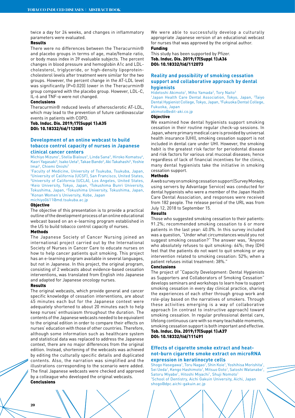twice a day for 24 weeks, and changes in inflammatory parameters were evaluated.

# Results

There were no differences between the Theracurmin® and placebo groups in terms of age, male/female ratio, or body mass index in 39 evaluable subjects. The percent changes in blood pressure and hemoglobin A1c and LDLcholesterol, triglyceride, or high-density lipoproteincholesterol levels after treatment were similar for the two groups. However, the percent change in the AT-LDL level was significantly (P=0.020) lower in the Theracurmin® group compared with the placebo group. However, LDL-C, IL-6 and TNF-α were not changed.

#### Conclusions

Theracurmin® reduced levels of atherosclerotic AT-LDL, which may lead to the prevention of future cardiovascular events in patients with COPD.

# Tob. Induc. Dis. 2019;17(Suppl 1):A35 DOI: 10.18332/tid/112085

# **Development of an online webcast to build tobacco control capacity of nurses in Japanese clinical cancer centers**

Michiyo Mizuno<sup>1</sup>, Stella Bialous<sup>2</sup>, Linda Sana<sup>3</sup>, Hiroko Komatsu<sup>4</sup>, Kaori Yagasaki<sup>4</sup>, Isako Ueta<sup>5</sup>, Takae Bando<sup>6</sup>, Aki Takahashi<sup>6</sup>, Yoshie Imai<sup>6</sup>, Chiemi Onishi<sup>7</sup>

 Faculty of Medicine, University of Tsukuba, Tsukuba, Japan, University of California (UCSF), San Francisco, United States, University of California (UCLA), Los Angeles, United States, Keio University, Tokyo, Japan, 5 Tokushima Bunri University, Tokushima, Japan, 'Tokushima University, Tokushima, Japan,<br><sup>7</sup>Kanan Waman's University, Kobe, Japan <sup>7</sup> Konan Women's University, Kobe, Japan

michiyo0611@md.tsukuba.ac.jp

# **Objective**

The objective of this presentation is to provide a practical outline of the development process of an online educational webcast based on an e-learning program established in the US to build tobacco control capacity of nurses.

#### Methods

The Japanese Society of Cancer Nursing joined an international project carried out by the International Society of Nurses in Cancer Care to educate nurses on how to help cancer patients quit smoking. This project has an e-learning program available in several languages, but not in Japanese. In this project, the original program, consisting of 2 webcasts about evidence-based cessation interventions, was translated from English into Japanese and adapted for Japanese oncology nurses.

#### Results

The original webcasts, which provide general and cancer specific knowledge of cessation interventions, are about 45 minutes each but for the Japanese context were adequately shortened to about 20 minutes each to help keep nurses' enthusiasm throughout the duration. The contents of the Japanese webcasts needed to be equivalent to the original edition in order to compare their effects on nurses' education with those of other countries. Therefore, although some information such as healthcare system and statistical data was replaced to address the Japanese context, there are no major differences from the original edition. Instead, shortening of the webcasts was achieved by editing the culturally specific details and duplicated contents. Also, the narration was simplified and the illustrations corresponding to the scenario were added. The final Japanese webcasts were checked and approved by a colleague who developed the original webcasts. **Conclusions** 

We were able to successfully develop a culturally appropriate Japanese version of an educational webcast for nurses that was approved by the original author.

# Funding

This study has been supported by Pfizer. Tob. Induc. Dis. 2019;17(Suppl 1):A36 DOI: 10.18332/tid/112073

# **Reality and possibility of smoking cessation support and collaborative approach by dental hygienists**

Hidetoshi Akimoto<sup>1</sup>, Miho Yamada<sup>2</sup>, Tory Naito<sup>3</sup> <sup>1</sup>Japan Health Care Dental Association, Tokyo, Japan, <sup>2</sup>Taiyo Dental Hygienist College, Tokyo, Japan, 3 Fukuoka Dental College, Fukuoka, Japan akimoto@edit-aki.co.jp

# Objective

We examined how dental hygienists support smoking cessation in their routine regular check-up sessions. In Japan, where primary medical care is provided by universal health insurance (UHI), smoking cessation support is not included in dental care under UHI. However, the smoking habit is the greatest risk factor for periodontal disease and risk factors for various oral mucosal diseases; hence regardless of lack of financial incentives for the clinics, many dental hygienists take the initiative in smoking cessation support.

# Methods

A web survey on smoking cessation support (Survey Monkey, using servers by Advantage Service) was conducted for dental hygienists who were a member of the Japan Health Care Dental Association, and responses were received from 182 people. The release period of the URL was from July 12, 2018 to September 15.

# Results

Those who suggested smoking cessation to their patients: 91.2%; recommended smoking cessation to 6 or more patients in the last year: 40.0%. In this survey included was a question, "Under what circumstances would you not suggest smoking cessation?" The answer was, "Anyone who absolutely refuses to quit smoking: 64%; they (DH) feel that the patients do not want to quit smoking or any intervention related to smoking cessation: 52%; when a patient refuses initial treatment: 38%."

#### Conclusions

The project of "Capacity Development: Dental Hygienists as Supporters and Collaborators of Smoking Cessation" develops seminars and workshops to learn how to support smoking cessation in every day clinical practice, sharing the experiences of each other through group work and role-play based on the narratives of smokers. Through these activities emerging is a way of collaborative approach (in contrast to instructive approach) toward smoking cessation. In regular professional dental care, lifelong continuous care with so many teachable moments, smoking cessation support is both important and effective. Tob. Induc. Dis. 2019;17(Suppl 1):A37 DOI: 10.18332/tid/111491

# **Effects of cigarette smoke extract and heatnot-burn cigarette smoke extract on microRNA expression in keratinocyte cells**

Shogo Hasegawa<sup>1</sup>, Toru Nagao<sup>1</sup>, Shin Koie<sup>1</sup>, Yoshihisa Morishita<sup>1</sup>, Sei Ueda<sup>1</sup>, Kengo Hashimoto<sup>1</sup>, Mitsuo Goto<sup>1</sup>, Satoshi Watanabe<sup>1</sup>, Satoru Miyabe<sup>1</sup>, Hitoshi Miyachi<sup>1</sup>, Shuji Nomoto<sup>1</sup> 1 School of Dentistry, Aichi Gakuin University, Aichi, Japan shogo@dpc.aichi-gakuin.ac.jp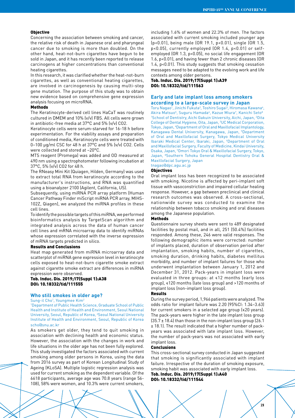#### **Objective**

Concerning the association between smoking and cancer, the relative risk of death in Japanese oral and pharyngeal cancer due to smoking is more than doubled. On the other hand, heat-not-burn cigarettes have begun to be sold in Japan, and it has recently been reported to release carcinogens at higher concentrations than conventional heating cigarettes.

In this research, it was clarified whether the heat-not-burn cigarettes, as well as conventional heating cigarettes, are involved in carcinogenesis by causing multi-step gene mutation. The purpose of this study was to obtain new evidence based on comprehensive gene expression analysis focusing on microRNA.

#### Methods

The Keratinocyte-derived cell lines HaCaT was routinely cultured in DMEM and 10% (v/v) FBS. All cells were grown in antibiotic-free media at 37°C and 5% (v/v) CO2.

Keratinocyte cells were serum-starved for 16-18 h before experimentation. For the viability assays and preparation of conditioned media, Keratinocyte cells were treated with 0–100 μg/ml CSC for 48 h at 37°C and 5% (v/v) CO2. Cells were collected and stored at −20°C.

MTS reagent (Promega) was added and OD measured at 490 nm using a spectrophotometer following incubation at 37°C, 5% (v/v) CO2 for 48 h.

The RNeasy Mini Kit (Quiagen, Hilden, Germany) was used to extract total RNA from keratinocyte according to the manufacturer's instructions, and RNA was quantified using a bioanalyzer 2100 (Agilent, California, US).

Subsequently, using miRNA PCR array platform (Human Cancer Pathway Finder miScript miRNA PCR array, MIHS-102Z, Qiagen), we analyzed the miRNA profiles in these cell lines.

To identify the possible targets of this miRNA, we performed bioinformatics analysis by TargetScan algorithm and integrated analysis across the data of human cancer cell lines and mRNA microarray data to identify miRNAs whose expression correlated with the inverse expression of mRNA targets predicted in silico.

#### Results and Conclusions

Heat map generated from miRNA microarray data and scatterplot of miRNA gene expression level in keratinocyte cells exposed to heat-not-burn cigarette smoke extract against cigarette smoke extract are differences in miRNA expression were observed.

# Tob. Induc. Dis. 2019;17(Suppl 1):A38 DOI: 10.18332/tid/111555

# **Who still smokes in older age?**

Sung-il Cho<sup>1</sup>, Youngmee Kim<sup>2</sup>

1 Department of Public Health Science, Graduate School of Public Health and Institute of Health and Environment, Seoul National University, Seoul, Republic of Korea, <sup>2</sup>Seoul National University Institute of Health and Environment, Seoul, Republic of Korea scho@snu.ac.kr

As smokers get older, they tend to quit smoking in association with declining health and economic status. However, the association with the changes in work and life situations in the older age has not been fully explored. This study investigated the factors associated with current smoking among older persons in Korea, using the data from 2016 survey as part of Korean Longitudinal Study of Ageing (KLoSA). Multiple logistic regression analysis was used for current smoking as the dependent variable. Of the 6618 participants, average age was 70.8 years (range 56- 108), 58% were women, and 10.3% were current smokers,

including 1.6% of women and 22.3% of men. The factors associated with current smoking included younger age (p<0.01), being male (OR 19.1, p<0.01), single (OR 1.5, p<0.05), currently employed (OR 1.4, p<0.01) or selfemployed (OR 1.3, p<0.05), no social life engagement (OR 1.6, p<0.01), and having fewer than 2 chronic diseases (OR 1.4, p<0.01). This study suggests that smoking cessation messages need to be adapted to the evolving work and life contexts among older persons.

# Tob. Induc. Dis. 2019;17(Suppl 1):A39 DOI: 10.18332/tid/111563

# **Early and late implant loss among smokers according to a large-scale survey in Japan**

Toru Nagao<sup>1</sup>, Jinichi Fukuta<sup>2</sup>, Toshiro Sugai<sup>3</sup>, Hiromasa Kawana<sup>4</sup>, Akira Matsuo<sup>5</sup>, Suguru Hamada<sup>6</sup>, Kazue Miura<sup>7</sup>, Kanichi Seto<sup>8</sup> <sup>1</sup>School of Dentistry, Aichi Gakuin University, Aichi, Japan, <sup>2</sup>Oita College of Dental Hygiene, Oita, Japan, 3 UC Medical Corporation, Tokyo, Japan, 4 Department of Oral and Maxillofacial Implantology, Kanagawa Dental University, Kanagawa, Japan, 5 Department of Oral and Maxillofacial Surgery, Tokyo Medical University Ibaraki Medical Center, Ibaraki, Japan, <sup>6</sup>Department of Oral and Maxillofacial Surgery, Faculty of Medicine, Kindai University, Osaka, Japan, 7 Omori Tokyo Oral & Maxillofacial Surgery, Tokyo, Japan, <sup>8</sup>Southern Tohoku General Hospital Dentistry Oral & Maxillofacial Surgery, Japan tnagao@dpc.agu.ac.jp

# Objectives

Oral implant loss has been recognized to be associated with smoking. Nicotine is affected by peri-implant soft tissue with vasoconstriction and impaired cellular healing response. However, a gap between preclinical and clinical research outcomes was observed. A cross-sectional, nationwide survey was conducted to examine the relationship between tobacco smoking and oral diseases among the Japanese population.

#### Methods

Questionnaire survey sheets were sent to 489 designated facilities by postal mail, and in all, 251 (50.4%) facilities responded. Among these, 246 were valid responses. The following demographic items were corrected: number of implants placed, duration of observation period after implantation, smoking habits, number of cigarettes, smoking duration, drinking habits, diabetes mellitus morbidity, and number of implant failures for those who underwent implantation between January 1, 2012 and December 31, 2012. Pack-years in implant loss were evaluated in three groups: at ≤12 months (early loss group), ≤120 months (late loss group) and >120 months of implant loss (non-implant loss group).

# Results

During the survey period, 1,966 patients were analyzed. The odds ratio for implant failure was 2.20 (95%CI: 1.34–3.63) for current smokers in a selected age group (≤20 years). The pack-years were higher in the late implant loss group  $(35.7 \pm 18.4)$  than those in the non-implant loss group (26.1) ± 18.1). The result indicated that a higher number of packyears was associated with late implant loss. However, the number of pack-years was not associated with early implant loss.

#### Conclusions

This cross-sectional survey conducted in Japan suggested that smoking is significantly associated with implant failure. Irrespective of the duration of smoking exposure, smoking habit was associated with early implant loss. Tob. Induc. Dis. 2019;17(Suppl 1):A40 DOI: 10.18332/tid/111544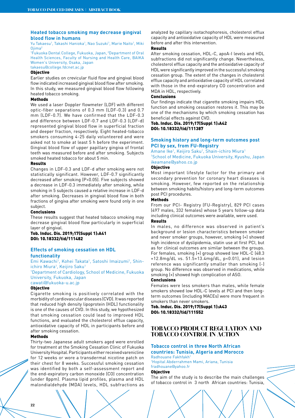# **Heated tobacco smoking may decrease gingival blood flow in humans**

Yu Takaesu<sup>1</sup>, Takashi Hanioka<sup>1</sup>, Nao Suzuki<sup>1</sup>, Marie Naito<sup>1</sup>, Miki Ojima2

1 Fukuoka Dental College, Fukuoka, Japan, 2 Department of Oral Health Sciences, Faculty of Nursing and Health Care, BAIKA Women's University, Osaka, Japan takaesu@college.fdcnet.ac.jp

#### Objective

Earlier studies on crevicular fluid flow and gingival blood flow indicated increased gingival blood flow after smoking. In this study, we measured gingival blood flow following heated tobacco smoking.

#### Methods

We used a laser Doppler flowmeter (LDF) with different optic-fiber separations of 0.3 mm (LDF-0.3) and 0.7 mm (LDF-0.7). We have confirmed that the LDF-0.3 and difference between LDF-0.7 and LDF-0.3 (LDF-d) represented gingival blood flow in superficial fraction and deeper fraction, respectively. Eight heated-tobacco smokers consuming 4-25 daily volunteered and were asked not to smoke at least 5 h before the experiment. Gingival blood flow of upper papillary gingiva of frontal teeth was measured before and after smoking. Subjects smoked heated tobacco for about 5 min.

# Results

Changes in LDF-0.3 and LDF-d after smoking were not statistically significant. However, LDF-0.7 significantly decreased after smoking (P<0.05). Five subjects showed a decrease in LDF-0.3 immediately after smoking, while smoking in 5 subjects caused a relative increase in LDF-d after smoking. Decreases in gingival blood flow in both fractions of gingiva after smoking were found only in one subject.

# Conclusions

These results suggest that heated tobacco smoking may decrease gingival blood flow particularly in superficial layer of gingival.

# Tob. Induc. Dis. 2019;17(Suppl 1):A41 DOI: 10.18332/tid/111482

# **Effects of smoking cessation on HDL functionality**

Emi Kawachi<sup>1</sup>, Kohei Takata<sup>1</sup>, Satoshi Imaizumi<sup>1</sup>, Shinichiro Miura<sup>1</sup>, Keijiro Saku<sup>1</sup><br>1Department of Cardiology 1

Department of Cardiology, School of Medicine, Fukuoka University, Fukuoka, Japan cawati@fukuoka-u.ac.jp

#### **Objective**

Cigarette smoking is positively correlated with the morbidity of cardiovascular diseases (CVD). It was reported that reduced high density lipoprotein (HDL) functionality is one of the causes of CVD. In this study, we hypothesized that smoking cessation could lead to improved HDL functions, and evaluated the cholesterol efflux capacity, antioxidative capacity of HDL in participants before and after smoking cessation.

# Methods

Thirty-two Japanese adult smokers aged were enrolled for treatment at the Smoking Cessation Clinic of Fukuoka University Hospital. Participants either received varenicline for 12 weeks or wore a transdermal nicotine patch on their chest for 8 weeks. Successful smoking cessation was identified by both a self-assessment report and the end-expiratory carbon monoxide (CO) concentration (under 8ppm). Plasma lipid profiles, plasma and HDL malondialdehyde (MDA) levels, HDL subfractions as

analyzed by capillary isotachophoresis, cholesterol efflux capacity and antioxidative capacity of HDL were measured before and after this intervention.

# Results

After smoking cessation, HDL-C, apoA-I levels and HDL subfractions did not significantly change. Nevertheless, cholesterol efflux capacity and the antioxidative capacity of HDL were significantly improved in the successful smoking cessation group. The extent of the changes in cholesterol efflux capacity and antioxidative capacity of HDL correlated with those in the end-expiratory CO concentration and MDA in HDL, respectively.

# Conclusions

Our findings indicate that cigarette smoking impairs HDL function and smoking cessation restores it. This may be one of the mechanisms by which smoking cessation has beneficial effects against CVD.

Tob. Induc. Dis. 2019;17(Suppl 1):A42 DOI: 10.18332/tid/111387

# **Smoking history and long-term outcomes post PCI by sex, from FU-Registry**

Amane Ike<sup>1</sup>, Keijiro Saku<sup>1</sup>, Shain-ichiro Miura<sup>1</sup> 1 School of Medicine, Fukuoka University, Kyushu, Japan ikeamane@yahoo.co.jp

# **Objective**

Most important lifestyle factor for the primary and secondary prevention for coronary heart diseases is smoking. However, few reported on the relationship between smoking habits/history and long-term outcomes post PCI procedures.

#### Methods

From our PCI- Registry (FU-Registry), 829 PCI cases (497 males, 332 females) whose 5 years follow-up data including clinical outcomes were available, were used. Results

In males, no difference was observed in patient's background or lesion characteristics between smoker and never smoker groups, however, smoking (+) showed high incidence of dyslipidemia, statin use at first PCI, but as for clinical outcomes are similar between the groups. For females, smoking (+) group showed low HDL-C (48.3 +12.8mg/dL vs. 51.5+13.4mg/dL, p<0.01), and lesion reference was significantly smaller than smoking (-) group. No difference was observed in medications, while smoking (+) showed high complication of ASO.

# Conclusions

Females were less smokers than males, while female smokers showed low HDL-C levels at PCI and then longterm outcomes (including MACEs) were more frequent in smokers than never smokers.

Tob. Induc. Dis. 2019;17(Suppl 1):A43 DOI: 10.18332/tid/111552

# **TOBACCO PRODUCT REGULATION AND TOBACCO CONTROL IN ACTION**

# **Tobacco control in three North African countries: Tunisia, Algeria and Morocco**

Radhouane Fakhfakh 1 Hopital Abderrahmen Mami, Ariana, Tunisia fradhouane@yahoo.fr

# Objective

The aim of the study is to describe the main challenges of tobacco control in 3 north African countries: Tunisia,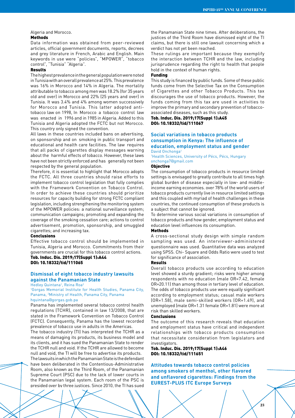#### Algeria and Morocco. Methods

Data information was obtained from peer-reviewed articles, official government documents, reports, decrees and grey literature in French, Arabic and English. Main keywords in use were "policies", "MPOWER", "tobacco control", "Tunisia" "Algeria".

# Results

The highest prevalence in the general population were noted in Tunisia with an overall prevalence at 25%. This prevalence was 16% in Morocco and 14% in Algeria. The mortality attributable to tobacco among men was 18.2% (for 35 years old and over) in Morocco and 22% (25 years and over) in Tunisia. It was 3.4% and 4% among women successively for Morocco and Tunisia. This latter adopted antitobacco law on 1998, In Morocco a tobacco control law was enacted in 1996 and in 1985 in Algeria. Added to this Tunisia and Algeria adopted the FCTC but not Morocco. This country only signed the convention.

All laws in these countries included bans on advertising, on sponsorship and on smoking in public transport and educational and health care facilities. The law requires that all packs of cigarettes display messages warning about the harmful effects of tobacco. However, these laws have not been strictly enforced and has generally not been respected by the general population.

Therefore, it is essential to highlight that Morocco adopts the FCTC. All three countries should raise efforts to implement tobacco control legislation that fully complies with the Framework Convention on Tobacco Control. In order to achieve these countries should prioritize resources for capacity building for strong FCTC compliant legislation, including strengthening the monitoring system of the MPOWER policies: a national surveillance system; communication campaigns; promoting and expanding the coverage of the smoking cessation care; actions to control advertisement, promotion, sponsorship, and smuggled cigarettes; and increasing tax.

# **Conclusions**

Effective tobacco control should be implemented in Tunisia, Algeria and Morocco. Commitments from their governments are crucial for this tobacco control actions.

# Tob. Induc. Dis. 2019;17(Suppl 1):A44 DOI: 10.18332/tid/111065

# **Dismissal of eight tobacco industry lawsuits against the Panamanian State**

Hedley Quintana<sup>1</sup>, Reina Roa<sup>2</sup>

1 Gorgas Memorial Institute for Health Studies, Panama City, Panama, 2 Ministry of Health, Panama City, Panama

#### hquintana@gorgas.gob.pa

Panama has implemented several tobacco control health regulations (TCHR), contained in law 13/2008, that are stated in the Framework Convention on Tobacco Control (FCTC). Consequently, Panama has the lowest recorded prevalence of tobacco use in adults in the Americas.

The tobacco industry (TI) has interpreted the TCHR as a means of damaging its products, its business model and its clients, and it has sued the Panamanian State to render the TCHR null and void. If the TCHR are allowed to become null and void, the TI will be free to advertise its products.

The lawsuits in which the Panamanian State is the defendant have been deliberated in the Contentious-Administrative Room, also known as the Third Room, of the Panamanian Supreme Court (PSC) due to the lack of lower courts in the Panamanian legal system. Each room of the PSC is presided over by three justices. Since 2010, the TI has sued

the Panamanian State nine times. After deliberations, the justices of the Third Room have dismissed eight of the TI claims, but there is still one lawsuit concerning which a verdict has not yet been reached.

These rulings are important because they exemplify the interaction between TCHR and the law, including jurisprudence regarding the right to health that people hold in the context of human rights.

#### Funding

This study is financed by public funds. Some of these public funds come from the Selective Tax on the Consumption of Cigarettes and other Tobacco Products. This tax discourages the use of tobacco products. However, the funds coming from this tax are used in activities to improve the primary and secondary prevention of tobaccoassociated diseases, such as this study.

Tob. Induc. Dis. 2019;17(Suppl 1):A45 DOI: 10.18332/tid/111067

# **Social variations in tobacco products consumption in Kenya: The influence of education, employment status and gender**

David Onchonga<sup>1</sup>

<sup>1</sup>Health Sciences, University of Pécs, Pécs, Hungary onchonga7@gmail.com

#### Objective

The consumption of tobacco products in resource limited settings is envisaged to greatly contribute to all times high global burden of disease especially in low- and middleincome earning economies. over 78% of the world users of tobacco products currently live in resource limited settings and this coupled with myriad of health challenges in these countries, the continued consumption of these products is a subject that cannot be ignored.

To determine various social variations in consumption of tobacco products and how gender, employment status and education level influences its consumption.

# Methods

A cross-sectional study design with simple random sampling was used. An interviewer-administered questionnaire was used. Quantitative data was analyzed using SPSS. Chi- Square and Odds Ratio were used to test for significance of association.

#### Results

Overall tobacco products use according to education level showed a sturdy gradient; risks were higher among respondents with no education (male OR=7.42, female OR=20.11) than among those in tertiary level of education. The odds of tobacco products use were equally significant according to employment status; casual male workers (OR=1.58), male semi-skilled workers (OR=1.49), and unemployed (male OR=1.31 female OR=1.81) were more at risk than skilled workers.

#### Conclusions

The outcome of this research reveals that education and employment status have critical and independent relationships with tobacco products consumption that necessitate consideration from legislators and investigators.

#### Tob. Induc. Dis. 2019;17(Suppl 1):A46 DOI: 10.18332/tid/111651

**Attitudes towards tobacco control policies among smokers of menthol, other flavored and unflavored cigarettes: Findings from the EUREST-PLUS ITC Europe Surveys**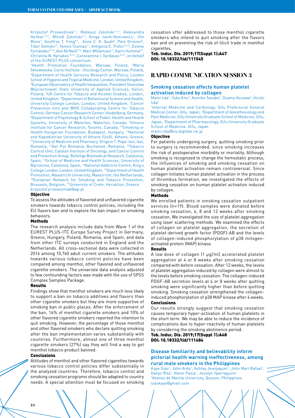Krzysztof Przewoźniak<sup>1,2</sup>, Mateusz Zatoński<sup>1,3,4</sup>, Aleksandra Herbeć<sup>1,5,6</sup>, Witold Zatoński<sup>1,4</sup>, Kinga Janik-Koncewicz<sup>1</sup>, Ute Mons<sup>7</sup>, Geoffrey T. Fong<sup>8,9</sup>, Anne C. K. Quah<sup>8</sup>, Pete Driezen<sup>8</sup>, Tibor Demjén<sup>10</sup>, Yannis Tountas<sup>11</sup>, Antigona C. Trofor<sup>12,13</sup>, Esteve Fernández<sup>14,15</sup>, Ann McNeill<sup>5,16</sup>, Marc Willemsen<sup>17</sup>, Karin Hummel<sup>17</sup>, Christina N. Kyriakos<sup>18,19</sup>, Constantine I. Vardavas<sup>18,19</sup>, on behalf of the EUREST-PLUS consortium

<sup>1</sup>Health Promotion Foundation, Warsaw, Poland, <sup>2</sup>Maria Skłodowska-Curie Institute - Oncology Center, Warsaw, Poland, 3 Department of Health Services Research and Policy, London School of Hygiene and Tropical Medicine, London, United Kingdom, 4 European Observatory of Health Inequalities, President Stanisław Wojciechowski State University of Applied Sciences, Kalisz, Poland, <sup>5</sup>UK Centre for Tobacco and Alcohol Studies, London, United Kingdom, <sup>6</sup>Department of Behavioural Science and Health, University College London, London, United Kingdom, 7 Cancer Prevention Unit and WHO Collaborating Centre for Tobacco Control, German Cancer Research Center, Heidelberg, Germany, 8 Department of Psychology & School of Public Health and Health Systems, University of Waterloo, Waterloo, Canada, <sup>9</sup>Ontario Institute for Cancer Research, Toronto, Canada, 10Smoking or Health Hungarian Foundation, Budapest, Hungary, 11National and Kapodistrian University of Athens (UoA), Athens, Greece, 12University of Medicine and Pharmacy 'Grigore T. Popa' Iasi, Iasi, Romania, 13Aer Pur Romania, Bucharest, Romania, 14Tobacco Control Unit, Catalan Institute of Oncology, and Cancer Control and Prevention Group, Bellvitge Biomedical Research, Catalonia, Spain, 15School of Medicine and Health Sciences, University of Barcelona, Catalonia, Spain, <sup>16</sup>National Addiction Centre, King's College London, London, United Kingdom, 17Department of Health Promotion, Maastricht University, Maastricht, the Netherlands, 18European Network for Smoking and Tobacco Prevention, Brussels, Belgium, 19University of Crete, Heraklion, Greece krzysztof.przewozniak@wp.pl

#### Objective

To assess the attitudes of flavored and unflavored cigarette smokers towards tobacco control policies, including the EU flavors ban and to explore the ban impact on smoking behaviors.

#### Methods

The research analysis include data from Wave 1 of the EUREST PLUS-ITC Europe Survey Project in Germany, Greece, Hungary, Poland, Romania, and Spain, and data from other ITC surveys conducted in England and the Netherlands. All cross-sectional data were collected in 2016 among 10,760 adult current smokers. The attitudes towards various tobacco control policies have been compared among menthol, other flavored and unflavored cigarette smokers. The univariate data analysis adjusted to few confounding factors was made with the use of SPSS Complex Samples Package.

#### Results

Findings show that menthol smokers are much less likely to support a ban on tobacco additives and flavors than other cigarette smokers but they are more supportive of smoking ban in public places. After the enforcement of the ban, 16% of menthol cigarette smokers and 10% of other flavored cigarette smokers reported the intention to quit smoking. However, the percentage of those menthol and other flavored smokers who declare quitting smoking after the ban implementation varies substantially with countries. Furthermore, almost one of three menthol cigarette smokers (27%) say they will find a way to get menthol tobacco product banned.

# Conclusions

Attitudes of menthol and other flavored cigarettes towards various tobacco control policies differ substantially in the analyzed countries. Therefore, tobacco control and smoking cessation programs should be adapted to country needs. A special attention must be focused on smoking

cessation offer addressed to those menthol cigarette smokers who intend to quit smoking after the flavors ban and on preventing the risk of illicit trade in menthol cigarettes.

Tob. Induc. Dis. 2019;17(Suppl 1):A47 DOI: 10.18332/tid/111545

# **RAPID COMMUNICATION SESSION 3**

# **Smoking cessation affects human platelet activation induced by collagen**

Mami lida<sup>1</sup>, Yuko Kito<sup>2</sup>, Kumiko Tanabe<sup>2</sup>, Osamu Kozawa<sup>3</sup>, Hiroki Iida2

1 Internal Medicine and Cardiology, Gifu Prefectural General Medical Center, Gifu, Japan, 2 Department of Anesthesiology and Pain Medicine, Gifu University Graduate School of Medicine, Gifu, Japan, 3 Department of Pharmacology, Gifu University Graduate School of Medicine, Gifu, Japan

mami.iida@kiu.biglobe.ne.jp

# Objective

For patients undergoing surgery, quitting smoking prior to surgery is recommended, since smoking increases the risk of postoperative morbidity or mortality. Although smoking is recognized to change the hemostatic process, the influences of smoking and smoking cessation on human platelet activation remain controversial. Since collagen initiates human platelet activation in the process of thrombus formation, we investigated the effects of smoking cessation on human platelet activation induced by collagen.

#### Methods

We enrolled patients in smoking cessation outpatient services (n=19). Blood samples were donated before smoking cessation, 4, 8 and 12 weeks after smoking cessation. We investigated the size of platelet aggregation using laser scattering methods. We examined the effects of collagen on platelet aggregation, the secretion of platelet-derived growth factor (PDGF)-AB and the levels of collagen-induced phosphorylation of p38 mitogenactivated protein (MAP) kinase.

# Results

A low dose of collagen (1 µg/ml) accelerated platelet aggregation at 4 or 8 weeks after smoking cessation compared with before cessation. After 12 weeks, the levels of platelet aggregation induced by collagen were almost to the levels before smoking cessation. The collagen-induced PDGF-AB secretion levels at 4 or 8 weeks after quitting smoking were significantly higher than before quitting smoking. Smoking cessation strengthened the collageninduced phosphorylation of p38 MAP kinase after 4 weeks. Conclusions

Our results strongly suggest that smoking cessation causes temporary hyper-activation of human platelets in the short term. We may be able to reduce the incidence of complications due to hyper-reactivity of human platelets by considering the smoking abstinence period.

Tob. Induc. Dis. 2019;17(Suppl 1):A48 DOI: 10.18332/tid/111484

# **Disease familiarity and believability inform pictorial health warning ineffectiveness, among rural male smokers in the Philippines**

Kaye Siao<sup>1</sup>, John Arda<sup>1</sup>, Ashley Jeanjaquet<sup>1</sup>, John Mari Rafael<sup>1</sup>, Danyz Rita<sup>1</sup>, Navin Pasia<sup>1</sup>, Jecelyn Yparraguire<sup>1</sup> 1 Ateneo de Manila University, Quezon, Philippines siaokaye@gmail.com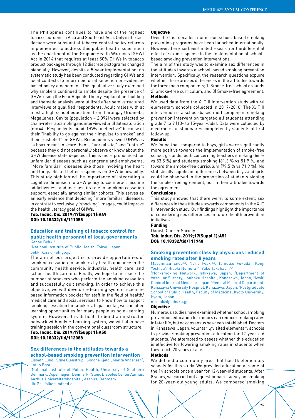The Philippines continues to have one of the highest tobacco burdens in Asia and Southeast Asia. Only in the last decade were substantial tobacco control policy reforms implemented to address this public health issue, such as the enactment of the Graphic Health Warnings (GHW) Act in 2014 that requires at least 50% GHWs in tobacco product packages through 12 discrete pictograms changed biennially. However, despite a 5-year implementation, no systematic study has been conducted regarding GHWs and local contexts to inform pictorial selection or evidencebased policy amendment. This qualitative study examined why smokers continued to smoke despite the presence of GHWs using the Fear Appeals Theory. Explanation-building and thematic analysis were utilized after semi-structured interviews of qualified respondents. Adult males with at most a high school education, from barangay Urdaneta, Magallanes, Cavite (population = 2,092) were selected by chain-referral sampling and interviewed until data saturation (n = 44). Respondents found GHWs "ineffective" because of their "inability to go against their impulse to smoke" and their "disbelief" on GHWs. Respondents viewed GHWs as "a hoax meant to scare them", "unrealistic," and "untrue" because they did not personally observe or know about the GHW disease state depicted. This is more pronounced for unfamiliar diseases such as gangrene and emphysema. "More familiar" diseases like those involving the heart and lungs elicited better responses on GHW believability. This study highlighted the importance of integrating a cognitive dimension to GHW policy to counteract nicotine addictiveness and increase its role in smoking cessation support, especially among similar cohorts. This serves as an early evidence that depicting "more familiar" diseases, in contrast to exclusively "shocking" images, could improve the health literacy goal of GHWs.

Tob. Induc. Dis. 2019;17(Suppl 1):A49 DOI: 10.18332/tid/111058

# **Education and training of tobacco control for public health personnel of local governments** Kanae Bekki<sup>1</sup>

1 National Institute of Public Health, Tokyo, Japan bekki.k.aa@niph.go.jp

The aim of our project is to provide opportunities of smoking cessation to smokers by health guidance in the community health service, industrial health care, and school health care etc. Finally, we hope to increase the number of smokers who perform the smoking cessation and successfully quit smoking. In order to achieve this objective, we will develop e-learning system, sciencebased information booklet for staff in the field of health/ medical care and social services to know how to support smoking cessation for smokers. In particular, we can offer learning opportunities for many people using e-learning system. However, it is difficult to build an instructor network with only e-learning system, we will also have training session in the conventional classroom structure. Tob. Induc. Dis. 2019;17(Suppl 1):A50

DOI: 10.18332/tid/112088

# **Sex differences in the attitudes towards a school-based smoking prevention intervention**

Lisbeth Lund<sup>1</sup>, Stine Glenstrup<sup>1</sup>, Simone Kjeld<sup>1</sup>, Anette Andersen<sup>2</sup>, Lotus Bast<sup>1</sup>

1 National Institute of Public Health, University of Southern Denmark, Copenhagen, Denmark, <sup>2</sup>Steno Diabetes Center Aarhus, Aarhus Universitetshospital, Aarhus, Denmark lilu@si-folkesundhed.dk

#### **Objective**

Over the last decades, numerous school-based smoking prevention programs have been launched internationally. However, there has been limited research on the differential effect of sex in response to the implementation of schoolbased smoking prevention interventions.

The aim of this study was to examine sex differences in the attitudes towards a school-based smoking prevention intervention. Specifically, the research questions explore whether there are sex differences in the attitudes towards the three main components; 1) Smoke-free school grounds 2) Smoke-free curriculum, and 3) Smoke-free agreement. Methods

We used data from the X:IT II intervention study with 46 elementary schools collected in 2017-2018. The X:IT II intervention is a school-based multicomponent smoking prevention intervention targeted all students attending grade 7 to 9 (13- to 15-year-olds). Data were collected by electronic questionnaires completed by students at first follow-up.

# Results

We found that compared to boys, girls were significantly more positive towards the implementation of smoke-free school grounds, both concerning teachers smoking (66 % vs 53.5 %) and students smoking (61.3 % vs 51.9 %) and toward the smoke-free curriculum (79.5 % vs 71.9 %). No statistically significant differences between boys and girls could be observed in the proportion of students signing the smoke-free agreement, nor in their attitudes towards the agreement.

#### Conclusions

This study showed that there were, to some extent, sex differences in the attitudes towards components in the X:IT II intervention study. Our findings highlight the importance of considering sex differences in future health prevention initiatives.

#### Funding

Danish Cancer Society. Tob. Induc. Dis. 2019;17(Suppl 1):A51 DOI: 10.18332/tid/111940

# **Smoking prevention class by physicians reduced smoking rates after 8 years**

Masamitsu Endo<sup>1,2</sup>, Norio Iwaki<sup>1,3</sup>, Tamutsu Fukuda<sup>1</sup>, Kenji Yoshida<sup>1</sup>, Hideki Nomura<sup>1,4</sup>, Yuko Takahashi<sup>1,5</sup>

<sup>1</sup>Non-smoking Network, Ishikawa, Japan, <sup>2</sup>Department of Vascular Surgery, Jouhoku Hospital, Kanazawa, Japan, 3lwaki Clinic of Internal Medicine, Japan, 'General Medical Department, Kanazawa University Hospital, Kanazawa, Japan, 5 Postgraduate School of Public Health, Faculty of Medicine, Kyoto University, Kyoto, Japan

m-endo@jouhoku.jp

# Objective

Numerous studies have examined whether school smoking prevention education for minors can reduce smoking rates in later life, but no consensus has been established. Doctors in Kanazawa, Japan, voluntarily visited elementary schools to provide smoking prevention education for 12-year-old students. We attempted to assess whether this education is effective for lowering smoking rates in students when they reach 20 years of age.

# Methods

We defined a community area that has 14 elementary schools for this study. We provided education at some of the 14 schools once a year for 12-year-old students. After 8 years, we carried out a questionnaire survey on smoking for 20-year-old young adults. We compared smoking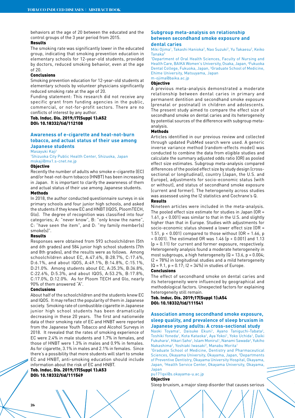behaviors at the age of 20 between the educated and the control groups of the 3 year period from 2015.

# Results

The smoking rate was significantly lower in the educated group, indicating that smoking prevention education in elementary schools for 12-year-old students, provided by doctors, reduced smoking behavior, even at the age of 20.

#### Conclusions

Smoking prevention education for 12-year-old students at elementary schools by volunteer physicians significantly reduced smoking rate at the age of 20.

Funding statement: This research did not receive any specific grant from funding agencies in the public, commercial, or not-for-profit sectors. There are no conflicts of interest by any author.

Tob. Induc. Dis. 2019;17(Suppl 1):A52 DOI: 10.18332/tid/112108

# **Awareness of e-cigarette and heat-not-burn tobacco, and actual status of their use among Japanese students**

Masayuki Kaji<sup>1</sup>

1 Shizuoka City Public Health Center, Shizuoka, Japan mskaji@mx1.s-cnet.ne.jp

# Objective

Recently the number of adults who smoke e-cigarette (EC) and/or heat-not-burn tobacco (HNBT) has been increasing in Japan. It is important to clarify the awareness of them and actual status of their use among Japanese students. Methods

In 2018, the author conducted questionnaire surveys in six primary schools and four junior high schools, and asked the students if they knew EC and HNBT (IQOS, PloomTECH, Glo). The degree of recognition was classified into four categories; A: "never know", B: "only know the name", C: "have seen the item", and D: "my family member(s) smoke(s)".

# Results

Responses were obtained from 593 schoolchildren (5th and 6th grades) and 584 junior high school students (7th and 8th grades), and the results were as follows. Among schoolchildren about EC, A:47.6%, B:28.7%, C:17.6%, D:6.1%, and about IQOS, A:49.1%, B:14.8%, C:15.1%, D:21.0%. Among students about EC, A:35.3%, B:36.8%, C:22.6%, D:5.3%, and about IQOS, A:53.2%, B:17.8%, C:17.0%, D:12.0%. As for Ploom TECH and Glo, nearly 90% of them answered "A".

#### Conclusions

About half of the schoolchildren and the students knew EC and IQOS. It may reflect the popularity of them in Japanese society. Smoking rate of combustible cigarette in Japanese junior high school students has been dramatically decreasing in these 20 years. The first and nationwide data of their smoking rate of EC and HNBT were reported from the Japanese Youth Tobacco and Alcohol Surveys in 2018. It revealed that the rates of smoking experience of EC were 2.4% in male students and 1.7% in females, and those of HNBT were 1.3% in males and 0.9% in females. As for cigarette, 3.1% in males and 2.1% in females. Since there's a possibility that more students will start to smoke EC and HNBT, anti-smoking education should include information about the risk of EC and HNBT.

Tob. Induc. Dis. 2019;17(Suppl 1):A53 DOI: 10.18332/tid/111549

# **Subgroup meta-analysis on relationship between secondhand smoke exposure and**

# **dental caries**

Miki Ojima<sup>1</sup>, Takashi Hanioka<sup>2</sup>, Nao Suzuki<sup>2</sup>, Yu Takaesu<sup>2</sup>, Keiko Tanaka<sup>3</sup>

1 Department of Oral Health Sciences, Faculty of Nursing and Health Care, BAIKA Women's University, Osaka, Japan, <sup>2</sup>Fukuoka Dental College, Fukuoka, Japan, 3 Graduate School of Medicine, Ehime University, Matsuyama, Japan m-ojima@baika.ac.jp

#### Objective

A previous meta-analysis demonstrated a moderate relationship between dental caries in primary and permanent dentition and secondhand smoke exposure (prenatal or postnatal) in children and adolescents. The present study aimed to compare the effect size of secondhand smoke on dental caries and its heterogeneity by potential sources of the difference with subgroup metaanalysis.

# Methods

Articles identified in our previous review and collected through updated PubMed search were used. A generic inverse variance method (random-effects model) was conducted to combine the data from eligible studies and calculate the summary adjusted odds ratio (OR) as pooled effect size estimates. Subgroup meta-analysis compared differences of the pooled effect size by study design (crosssectional or longitudinal), country (Japan, the U.S. and Europe), adjustments for socio-economic status (with or without), and status of secondhand smoke exposure (current and former). The heterogeneity across studies was assessed using the I2 statistics and Cochrane's Q.

#### Results

Nineteen articles were included in the meta-analysis. The pooled effect size estimate for studies in Japan (OR = 1.61, p < 0.001) was similar to that in the U.S. and slightly higher than that in Europe. Studies with adjustments for socio-economic status showed a lower effect size (OR = 1.51,  $p < 0.001$  compared to those without  $(OR = 1.66, p)$ < 0.001). The estimated OR was 1.46 (p < 0.001) and 1.13 (p = 0.11) for current and former exposure, respectively. Heterogeneity analysis found a moderate heterogeneity in most subgroups, a high heterogeneity  $[Q = 13.6, p = 0.004;$ I2 = 78%) in longitudinal studies and a mild heterogeneity  $(Q = 9.1, p = 0.17;$   $|2 = 34\%$  in studies of Europe.

# **Conclusions**

The effect of secondhand smoke on dental caries and its heterogeneity were influenced by geographical and methodological factors. Unexpected factors for explaining heterogeneity still remain.

# Tob. Induc. Dis. 2019;17(Suppl 1):A54 DOI: 10.18332/tid/111541

# **Association among secondhand smoke exposure, sleep quality, and prevalence of sleep bruxism in Japanese young adults: A cross-sectional study**

Naoki Toyama<sup>1</sup>, Daisuke Ekuni<sup>1</sup>, Ayano Taniguchi-Tabata<sup>2</sup>, Toshiki Yoneda<sup>1</sup>, Kota Kataoka<sup>1</sup>, Aya Yokoi<sup>1</sup>, Yoko Uchida<sup>1</sup>, Daiki Fukuhara<sup>1</sup>, Hikari Saho<sup>1</sup>, Islam Monirul<sup>1</sup>, Nanami Sawada<sup>2</sup>, Yukiho Nakashima<sup>2</sup>, Yoshiaki lwasaki<sup>3</sup>, Manabu Morita<sup>1</sup>

1 Graduate School of Medicine, Dentistry and Pharmaceutical Sciences, Okayama University, Okayama, Japan, <sup>2</sup>Departments of Preventive Dentistry, Okayama University Hospital, Okayama, Japan, 3 Health Service Center, Okayama University, Okayama, Japan

pu171qxi@s.okayama-u.ac.jp

**Objective** 

Sleep bruxism, a major sleep disorder that causes serious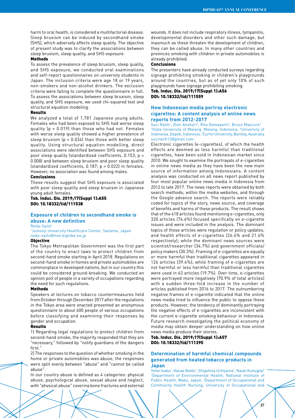harm to oral health, is considered a multifactorial disease. Sleep bruxism can be induced by secondhand smoke (SHS), which adversely affects sleep quality. The objective of present study was to clarify the associations between sleep bruxism, sleep quality, and SHS exposure.

#### Methods

To assess the prevalence of sleep bruxism, sleep quality, and SHS exposure, we conducted oral examinations and self-report questionnaires on university students in Japan. The inclusion criteria were age 18 or 19 years, non-smokers and non-alcohol drinkers. The exclusion criteria were failing to complete the questionnaire in full. To assess the associations between sleep bruxism, sleep quality, and SHS exposure, we used chi-squared test and structural equation modeling.

# Results

We analyzed a total of 1,781 Japanese young adults. Females who had been exposed to SHS had worse sleep quality (p = 0.019) than those who had not. Females with worse sleep quality showed a higher prevalence of sleep bruxism  $[p = 0.034]$  than those with better sleep quality. Using structural equation modelling, direct associations were identified between SHS exposure and poor sleep quality (standardized coefficients, 0.153; p = 0.008) and between sleep bruxism and poor sleep quality (standardized coefficients, 0.187; p = 0.022) in females. However, no association was found among males.

#### Conclusions

These results suggest that SHS exposure is associated with poor sleep quality and sleep bruxism in Japanese young adult females.

# Tob. Induc. Dis. 2019;17(Suppl 1):A55 DOI: 10.18332/tid/111538

# **Exposure of children to secondhand smoke is abuse: A new definition**

Reiko Saito<sup>1</sup>

1 Jumonji University Healthcare Center, Saitama, Japan reiko-saito@mve.biglobe.ne.jp

# **Objective**

The Tokyo Metropolitan Government was the first part of the country to enact laws to protect children from second-hand smoke starting in April 2018. Regulations on second-hand smoke in homes and private automobiles are commonplace in developed nations, but in our country this could be considered ground-breaking. We conducted an opinion poll of people in a variety of occupations regarding the need for such regulations.

#### Methods

Speakers at lectures on tobacco countermeasures held from October through December 2017 after the regulations in the Tokyo area were enacted presented an anonymous questionnaire to about 600 people of various occupations before classifying and examining their responses by gender and occupation.

#### Results

1) Regarding legal regulations to protect children from second-hand smoke, the majority responded that they are "necessary," followed by "notify guardians of the dangers first."

2) The responses to the question of whether smoking in the home or private automobiles was abuse, the responses were split evenly between "abuse" and "cannot be called abuse".

In our country abuse is defined as 4 categories: physical abuse, psychological abuse, sexual abuse and neglect, with "physical abuse" covering bone fractures and external wounds. It does not include respiratory illness, tympanitis, developmental disorders and other such damage, but inasmuch as these threaten the development of children, they can be called abuse. In many other countries and provinces smoking with children in private automobiles is already prohibited.

# Conclusions

The presenters have already conducted surveys regarding signage prohibiting smoking in children's playgrounds around the countries, but as of yet only 10% of such playgrounds have signage prohibiting smoking.

# Tob. Induc. Dis. 2019;17(Suppl 1):A56 DOI: 10.18332/tid/111559

# **How Indonesian media portray electronic cigarettes: A content analysis of online news reports from 2012-2017**

Suci Ratih<sup>1</sup>, Dien Anshari<sup>2</sup>, Rita Damayanti<sup>2</sup>, Bruce Maycock<sup>3</sup> <sup>1</sup>State University of Malang, Malang, Indonesia, <sup>2</sup>University of Indonesia, Depok, Indonesia, 3 Curtin University, Bentley, Australia suciratih12@gmail.com

Electronic cigarettes (e-cigarettes), of which the health effects are deemed as less harmful than traditional cigarettes, have been sold in Indonesian market since 2010. We sought to examine the portrayals of e-cigarettes in online news media as they have been the new main source of information among Indonesians. A content analysis was conducted on all news report published by four most popular online news media in Indonesia from 2012 to late 2017. The news reports were obtained by both search methods; within the media websites, and through the Google advance search. The reports were reliably coded for topics of the story, news source, and coverage of benefits and harms of these products. The result shows that of the 418 articles found mentioning e-cigarettes, only 320 articles (76.6%) focused specifically on e-cigarette issues and were included in the analysis. The dominant topics of those articles were regulation or policy updates, and health effects of e-cigarettes (26.6% and 21.6% respectively); while the dominant news sources were scientist/researcher (34.7%) and government officials/ policy makers (30.3%). Framing of e-cigarettes are equally or more harmful than traditional cigarettes appeared in 126 articles (39.4%); while framing of e-cigarettes are not harmful or less harmful than traditional cigarettes were used in 63 articles (19.7%). Over time, e-cigarettes were portrayed more negatively (70.9% of total articles) with a sudden three-fold increase in the number of articles published from 2016 to 2017. The outnumbering negative frames of e-cigarette indicated that the online news media tried to influence the public to oppose these products. However, the tendency of dominantly portraying the negative effects of e-cigarettes are inconsistent with the current e-cigarette smoking behaviour in Indonesia. Future research investigating the political economy of media may obtain deeper understanding on how online news media produce their stories.

# Tob. Induc. Dis. 2019;17(Suppl 1):A57 DOI: 10.18332/tid/111395

# **Determination of harmful chemical compounds generated from heated tobacco products in Japan**

Yohei Inaba<sup>1</sup>, Kanae Bekki<sup>1</sup>, Shigehisa Uchiyama<sup>1</sup>, Naoki Kunugita<sup>2</sup> 1 Department of Environmental Health, National Institute of Public Health, Wako, Japan, 2 Department of Occupational and Community Health Nursing, University of Occupational and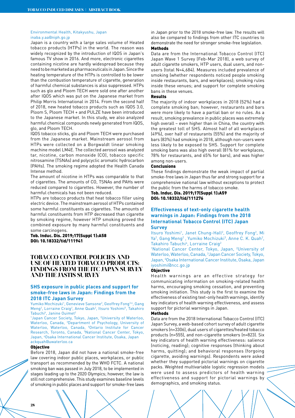#### Environmental Health, Kitakyushu, Japan inaba.y.aa@niph.go.jp

Japan is a country with a large sales volume of Heated tobacco products (HTPs) in the world. The reason was widely recognized by the introduction of IQOS in Japan's famous TV show in 2016. And more, electronic cigarettes containing nicotine are hardly widespread because they need to be marketed as pharmaceuticals in Japan. Since the heating temperature of the HTPs is controlled to be lower than the combustion temperature of cigarette, generation of harmful chemical substances is also suppressed. HTPs such as glo and Ploom TECH were sold one after another after IQOS which was put on the Japanese market from Philip Morris International in 2014. From the second half of 2018, new heated tobacco products such as IQOS 3.0, Ploom S, Ploom TECH + and PULZE have been introduced to the Japanese market. In this study, we also analyzed harmful chemical compounds newly generated from IQOS, glo, and Ploom TECH.

IQOS tobacco sticks, glo and Ploom TECH were purchased from the Japanese market. Mainstream aerosol from HTPs were collected on a Borgwaldt linear smoking machine model LM4E. The collected aerosol was analyzed tar, nicotine, carbon monoxide (CO), tobacco specific nitrosamine (TSNAs) and polycyclic aromatic hydrocarbon (PAHs). The smoking regime adopted the Health Canada Intense method.

The amount of nicotine in HTPs was comparable to that of cigarettes. The amounts of CO, TSNAs and PAHs were reduced compared to cigarettes. However, the number of harmful chemicals has not been reduced.

HTPs are tobacco products that heat tobacco filler using electric device. The mainstream aerosol of HTPs contained some harmful constituents as cigarettes. The amounts of harmful constituents from HTP decreased than cigarette by smoking regime, however HTP smoking proved the combined exposure by many harmful constituents and some carcinogens.

Tob. Induc. Dis. 2019;17(Suppl 1):A58 DOI: 10.18332/tid/111941

# **TOBACCO CONTROL POLICIES AND USE OF HEATED TOBACCO PRODUCTS: FINDINGS FROM THE ITC JAPAN SURVEY AND THE JASTIS SURVEY**

# **SHS exposure in public places and support for smoke-free laws in Japan: Findings from the 2018 ITC Japan Survey**

Yumiko Mochizuki<sup>1</sup>, Genevieve Sansone<sup>2</sup>, Geoffrey Fong<sup>3,4</sup>, Gang Meng<sup>2</sup>, Lorraine Craig<sup>2</sup>, Anne Quah<sup>2</sup>, Itsuro Yoshimi<sup>5</sup>, Takahiro Tabuchi<sup>6</sup>, Janine Ouimet<sup>2</sup>

1 Japan Cancer Society, Tokyo, Japan, 2 University of Waterloo, Waterloo, Canada, 3 Department of Psychology, University of Waterloo, Waterloo, Canada, 4 Ontario Institute for Cancer Research, Toronto, Canada, <sup>5</sup>National Cancer Center, Tokyo, Japan, <sup>6</sup>Osaka International Cancer Institute, Osaka, Japan ackquah@uwaterloo.ca

#### **Objective**

Before 2018, Japan did not have a national smoke-free law covering indoor public places, workplaces, or public transport as recommended by the WHO FCTC. A national smoking ban was passed in July 2018, to be implemented in stages leading up to the 2020 Olympics; however, the law is still not comprehensive. This study examines baseline levels of smoking in public places and support for smoke-free laws

in Japan prior to the 2018 smoke-free law. The results will also be compared to findings from other ITC countries to demonstrate the need for stronger smoke-free legislation. Methods

Data are from the International Tobacco Control (ITC) Japan Wave 1 Survey (Feb-Mar 2018), a web survey of adult cigarette smokers, HTP users, dual users, and nonusers (total N=4,684). Measures included prevalence of smoking (whether respondents noticed people smoking inside restaurants, bars, and workplaces); smoking rules inside these venues; and support for complete smoking bans in these venues.

# Results

The majority of indoor workplaces in 2018 (52%) had a complete smoking ban; however, restaurants and bars were more likely to have a partial ban or no rules. As a result, smoking prevalence in public places was extremely high overall – even higher than in China, the country with the greatest toll of SHS. Almost half of all workplaces (49%), over half of restaurants (55%) and the majority of bars (83%) had smoking in 2018, although non-users were less likely to be exposed to SHS. Support for complete smoking bans was also high overall (81% for workplaces, 78% for restaurants, and 65% for bars), and was higher among non-users.

# **Conclusions**

These findings demonstrate the weak impact of partial smoke-free laws in Japan thus far and strong support for a comprehensive national law without exceptions to protect the public from the harms of tobacco smoke.

Tob. Induc. Dis. 2019;17(Suppl 1):A59 DOI: 10.18332/tid/111276

# **Effectiveness of text-only cigarette health warnings in Japan: Findings from the 2018 International Tobacco Control (ITC) Japan Survey**

Itsuro Yoshimi<sup>1</sup>, Janet Chung-Hall<sup>2</sup>, Geoffrey Fong<sup>2</sup>, Mi Ya<sup>2</sup>, Gang Meng<sup>2</sup>, Yumiko Mochizuki<sup>3</sup>, Anne C. K. Quah<sup>2</sup>, Takahiro Tabuchi<sup>4</sup>, Lorraine Craig<sup>2</sup>

<sup>1</sup>National Cancer Center, Tokyo, Japan, <sup>2</sup>University of Waterloo, Waterloo, Canada, 3 Japan Cancer Society, Tokyo, Japan, 4 Osaka International Cancer Institute, Osaka, Japan iyoshimi@ncc.go.jp

# **Objective**

Health warnings are an effective strategy for communicating information on smoking-related health harms, encouraging smoking cessation, and preventing smoking initiation. This study is the first to examine the effectiveness of existing text-only health warnings, identify key indicators of health warning effectiveness, and assess support for pictorial warnings in Japan.

# Methods

Data are from the 2018 International Tobacco Control (ITC) Japan Survey, a web-based cohort survey of adult cigarette smokers (n=3306), dual users of cigarettes/heated tobacco products (n=555), and non-cigarette smokers (n=823). Six key indicators of health warning effectiveness: salience (noticing, reading); cognitive responses (thinking about harms, quitting); and behavioral responses (forgoing cigarette, avoiding warnings). Respondents were asked whether they supported pictorial warnings on cigarette packs. Weighted multivariable logistic regression models were used to assess predictors of health warning effectiveness and support for pictorial warnings by demographics, and smoking status.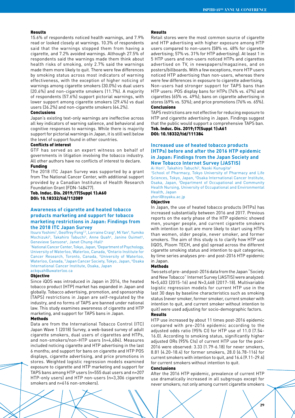#### Results

15.6% of respondents noticed health warnings, and 7.9% read or looked closely at warnings. 10.3% of respondents said that the warnings stopped them from having a cigarette, and 7.2% avoided warnings. Although 27.5% of respondents said the warnings made them think about health risks of smoking, only 2.7% said the warnings made them more likely to quit. There were few differences by smoking status across most indicators of warning effectiveness, with the exception of higher noticing of warnings among cigarette smokers (30.0%) vs dual users (20.6%) and non-cigarette smokers (11.7%). A majority of respondents (57.6%) support pictorial warnings, with lower support among cigarette smokers (29.4%) vs dual users (36.2%) and non-cigarette smokers (64.2%).

# Conclusions

Japan's existing text-only warnings are ineffective across all key indicators of warning salience, and behavioral and cognitive responses to warnings. While there is majority support for pictorial warnings in Japan, it is still well below the level of support found in other countries.

#### Conflicts of interest

GTF has served as an expert witness on behalf of governments in litigation involving the tobacco industry. All other authors have no conflicts of interest to declare. Funding

The 2018 ITC Japan Survey was supported by a grant from The National Cancer Center, with additional support provided by a Canadian Institutes of Health Research Foundation Grant (FDN-148477).

Tob. Induc. Dis. 2019;17(Suppl 1):A60 DOI: 10.18332/tid/112089

# **Awareness of cigarette and heated tobacco products marketing and support for tobacco marketing restrictions in Japan: Findings from the 2018 ITC Japan Survey**

Itsuro Yoshimi<sup>1</sup>, Geoffrey Fong<sup>2,3</sup>, Lorraine Craig<sup>4</sup>, Mi Yan<sup>4</sup>, Yumiko Mochizuki<sup>5</sup>, Takahiro Tabuchi<sup>6</sup>, Anne Quah<sup>4</sup>, Janine Ouimet<sup>4</sup>, Genevieve Sansone<sup>4</sup>, Janet Chung-Hall<sup>4</sup>

<sup>1</sup>National Cancer Center, Tokyo, Japan, <sup>2</sup>Department of Psychology, University of Waterloo, Waterloo, Canada, <sup>3</sup>Ontario Institute for Cancer Research, Toronto, Canada, 4 University of Waterloo, Waterloo, Canada, <sup>5</sup>Japan Cancer Society, Tokyo, Japan, <sup>6</sup>Osaka International Cancer Institute, Osaka, Japan ackquah@uwaterloo.ca

#### **Objective**

Since iQOS was introduced in Japan in 2014, the heated tobacco product (HTP) market has expanded in Japan and globally. Tobacco advertising, promotion, and sponsorship (TAPS) restrictions in Japan are self-regulated by the industry, and no forms of TAPS are banned under national law. This study examines awareness of cigarette and HTP marketing, and support for TAPS bans in Japan.

#### Methods

Data are from the International Tobacco Control (ITC) Japan Wave 1 (2018) Survey, a web-based survey of adult cigarette smokers, dual users of cigarettes and HTPs, and non-smokers/non-HTP users (n=4,684). Measures included noticing cigarette and HTP advertising in the last 6 months; and support for bans on cigarette and HTP POS displays, cigarette advertising, and price promotions in stores. Weighted logistic regression models examined exposure to cigarette and HTP marketing and support for TAPS bans among HTP users (n=555 dual users and n=207 HTP-only users) and HTP non-users (n=3,306 cigarette smokers and n=616 non-smokers).

#### Results

Retail stores were the most common source of cigarette and HTP advertising with higher exposure among HTP users compared to non-users (58% vs. 48% for cigarette advertising; 57% vs. 31% for HTP advertising). At least 1 in 5 HTP users and non-users noticed HTPs and cigarettes advertised on TV, in newspapers/magazines, and on posters/billboards. With a few exceptions, more HTP users noticed HTP advertising than non-users, whereas there were few differences in exposure to cigarette advertising. Non-users had stronger support for TAPS bans than HTP users: POS display bans for HTPs (74% vs. 47%) and cigarettes (65% vs. 49%); bans on cigarette advertising in stores (69% vs. 53%); and price promotions (76% vs. 65%). Conclusions

TAPS restrictions are not effective for reducing exposure to HTP and cigarette advertising in Japan. Findings suggest that the public would support a comprehensive TAPS ban. Tob. Induc. Dis. 2019;17(Suppl 1):A61 DOI: 10.18332/tid/111384

# **Increased use of heated tobacco products (HTPs) before and after the 2016 HTP epidemic in Japan: Findings from the Japan Society and New Tobacco Internet Survey (JASTIS)**

Ai Hori<sup>1</sup>, Takahiro Tabuchi<sup>2</sup>, Naoki Kunugita<sup>3</sup>

1 School of Pharmacy, Tokyo University of Pharmacy and Life Sciences, Tokyo, Japan, <sup>2</sup>Osaka International Cancer Institute, Osaka, Japan, 3 Department of Occupational and Community Health Nursing, University of Occupational and Environmental Health, Japan

yhori@toyaku.ac.jp

# Objective

In Japan, the use of heated tobacco products (HTPs) has increased substantially between 2016 and 2017. Previous reports on the early phase of the HTP epidemic showed men, younger people, and current cigarette smokers with intention to quit are more likely to start using HTPs than women, older people, never smoker, and former smokers. The aim of this study is to clarify how HTP use (IQOS, Ploom TECH, and glo) spread across the different cigarette smoking status and intention to quit categories, by time series analyses pre- and post-2016 HTP epidemic in Japan.

#### Methods

Two sets of pre- and post-2016 data from the Japan "Society and New Tobacco" Internet Survey (JASTIS) were analyzed: N=5,403 (2015-16) and N=3,468 (2017-18). Multivariable logistic regression models for current HTP use in the last 30 days by baseline characteristics such as smoking status (never smoker, former smoker, current smoker with intention to quit, and current smoker without intention to quit) were used adjusting for socio-demographic factors. Results

HTP use increased by about 11 times post-2016 epidemic compared with pre-2016 epidemic according to the adjusted odds ratio (95% CI) for HTP use of 11.0 (7.54- 16.0). According to smoking status, significantly higher adjusted ORs (95% CIs) of current HTP use for the post-2016 were observed: 3.33 (1.79-6.18) for never smokers, 8.81 (4.20-18.4) for former smokers, 28.0 (6.78-116) for current smokers with intention to quit, and 16.4 (9.11-29.6) for current smokers without intention to quit.

#### Conclusions

After the 2016 HTP epidemic, prevalence of current HTP use dramatically increased in all subgroups except for never smokers; not only among current cigarette smokers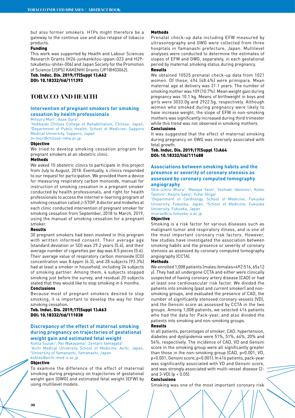but also former smokers. HTPs might therefore be a gateway to the continue use and also relapse of tobacco products.

#### Funding

This work was supported by Health and Labour Sciences Research Grants (H26-junkankitou-ippan-023 and H29 tokubetsu-shitei-006) and Japan Society for the Promotion of Science (JSPS) KAKENHI Grants (JP18H03062).

Tob. Induc. Dis. 2019;17(Suppl 1):A62 DOI: 10.18332/tid/111393

# **TOBACCO AND HEALTH**

# **Intervention of pregnant smokers for smoking cessation by health professionals**

Mitsuru Mori<sup>1</sup>, Asae Oura<sup>2</sup>

1 Hokkaido Chitose College of Rehabilitation, Chitose, Japan, 2 Department of Public Health, School of Medicine, Sapporo Medical University, Sapporo, Japan m-mori@chitose-reha.ac.jp

#### Objective

We tried to develop smoking cessation program for pregnant smokers at an obstetric clinic.

# **Methods**

We asked 10 obstetric clinics to participate in this project from July to August, 2018. Eventually, 4 clinics responded to our request for participation. We provided them a device for measuring respiratory carbon monoxide, manual for instruction of smoking cessation in a pregnant smoker conducted by health professionals, and right for health professionals to access the internet e-learning program of smoking cessation called J-STOP. A doctor and midwifes at each clinic conducted intervention of pregnant smoker for smoking cessation from September, 2018 to March, 2019, using the manual of smoking cessation for a pregnant smoker.

#### Results

30 pregnant smokers had been involved in this program with written informed consent. Their average age (standard deviation or SD) was 29.2 years (5.4), and their average number of cigarettes per day was 8.5 pieces (5.6). Their average value of respiratory carbon monoxide (CO) concentration was 8.6ppm (6.3), and 28 subjects (93.3%) had at least a smoker in household, including 24 subjects of smoking partner. Among them, 4 subjects stopped smoking just before the survey, and residual 20 subjects stated that they would like to stop smoking in 6 months. Conclusions

Because most of pregnant smokers desired to stop smoking, it is important to develop the way for their smoking cessation.

Tob. Induc. Dis. 2019;17(Suppl 1):A63 DOI: 10.18332/tid/111038

# **Discrepancy of the effect of maternal smoking during pregnancy on trajectories of gestational weight gain and estimated fetal weight**

Kohta Suzuki<sup>1</sup>, Rei Wakayama<sup>1</sup>, Zentaro Yamagata<sup>2</sup>

1 Aichi Medical University School of Medicine, Aichi, Japan, 2 University of Yamanashi, Yamanashi, Japan kohtas@aichi-med-u.ac.jp

#### **Objective**

To examine the difference of the effect of maternal smoking during pregnancy on trajectories of gestational weight gain (GWG) and estimated fetal weight (EFW) by using multilevel models.

#### **Mathods**

Prenatal check-up data including EFW measured by ultrasonography and GWG were collected from three hospitals in Yamanashi prefecture, Japan. Multilevel analyses were conducted to determine the estimates of slopes of EFW and GWG, separately, in each gestational period by maternal smoking status during pregnancy. Results

We obtained 10525 prenatal check-up data from 1021 women. Of these, 494 (48.4%) were primipara. Mean maternal age at delivery was 31.1 years. The number of smoking mother was 109 (10.7%). Mean weight gain during pregnancy was 10.1 kg. Means of birthweight in boys and girls were 3033.0g and 2922.5g, respectively. Although women who smoked during pregnancy were likely to have increase weight, the slope of EFW in non-smoking mothers was significantly increased during third trimester while this trend was not observed in smoking mothers.

# Conclusions

It was suggested that the effect of maternal smoking during pregnancy on GWG was inversely associated with fetal growth.

# Tob. Induc. Dis. 2019;17(Suppl 1):A64 DOI: 10.18332/tid/111488

# **Associations between smoking habits and the presence or severity of coronary stenosis as assessed by coronary computed tomography angiography**

Shin-ichiro Miura<sup>1</sup>, Masaya Yano<sup>2</sup>, Yoshiaki Idemoto<sup>2</sup>, Kohei Tashiro<sup>2</sup>, Keijiro Saku<sup>2</sup>, Yuhei Shiga<sup>2</sup>

1 Department of Cardiology, School of Medicine, Fukuoka University, Fukuoka, Japan, <sup>2</sup>School of Medicine, Fukuoka University, Fukuoka, Japan miuras@cis.fukuoka-u.ac.jp

# Objective

Smoking is a risk factor for various diseases such as malignant tumor and respiratory illness, and is one of the most important coronary risk factors. However, few studies have investigated the association between smoking habits and the presence or severity of coronary stenosis as assessed by coronary computed tomography angiography (CCTA).

#### Methods

We enrolled 1,008 patients (males:females=492:516, 65±12 y). They had all undergone CCTA and either were clinically suspected of having coronary artery disease (CAD) or had at least one cardiovascular risk factor. We divided the patients into smoking (past and current smoker) and nonsmoking groups, and evaluated the presence of CAD, the number of significantly stenosed coronary vessels (VD), and the Gensini score as assessed by CCTA in the two groups. Among 1,008 patients, we selected 416 patients who had the data for Pack-year, and also divided the patients into smoking and non-smoking groups.

# Results

In all patients, percentages of smoker, CAD, hypertension, diabetes and dyslipidemia were 51%, 51%, 64%, 20% and 54%, respectively. The incidence of CAD, VD and Gensini score in the smoking group were all significantly greater than those in the non-smoking group (CAD, p=0.001; VD, p<0.001; Gensini score, p<0.001). In 416 patients, pack-year was significantly associated with VD and Gensini score, and was strongly associated with multi-vessel disease (2 and  $3-VD$ ) ( $p < 0.05$ ).

#### Conclusions

Smoking was one of the most important coronary risk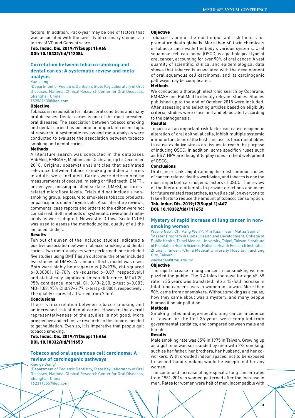factors. In addition, Pack-year may be one of factors that was associated with the severity of coronary stenosis in terms of VD and Gensini score.

Tob. Induc. Dis. 2019;17(Suppl 1):A65 DOI: 10.18332/tid/112084

# **Correlation between tobacco smoking and dental caries: A systematic review and metaanalysis**

Xue Jiang1

1 Department of Pediatric Dentistry, State Key Laboratory of Oral Diseases, National Clinical Research Center for Oral Diseases, Shanghai, China 1525676308@qq.com

#### Objective

Tobacco is responsible for infaust oral conditions and many oral diseases. Dental caries is one of the most prevalent oral diseases. The association between tobacco smoking and dental caries has become an important recent topic of research. A systematic review and meta-analysis were conducted to evaluate the association between tobacco smoking and dental caries.

# **Methods**

A literature search was conducted in the databases PubMed, EMBASE, Medline and Cochrane, up to December 2018. Original observational articles that estimated relevance between tobacco smoking and dental caries in adults were included. Caries were determined by measurements of decayed, missing or filled teeth (DMFT), or decayed, missing or filled surface (DMFS), or cariesrelated microflora levels. Trials did not include a nonsmoking group, exposure to smokeless tobacco products, or participants under 16 years old. Also, literature reviews, comments, case reports and letters to the editor were not considered. Both methods of systematic review and metaanalysis were adopted. Newcastle-Ottawa Scale (NOS) was used to assess the methodological quality of all the included studies.

#### Results

Ten out of eleven of the included studies indicated a positive association between tobacco smoking and dental caries. Two meta-analyses were performed: one included five studies using DMFT as an outcome; the other included two studies of DMFS. A random effects model was used. Both were highly heterogeneous (I2=93%, chi-squared p<0.00001; I2=70%, chi-squared p=0.07, respectively) and statistically significant (mean difference, MD=1.20, 95% confidence interval, CI: 0.40–2.00, z-test p=0.003; MD=1.88, 95% CI:0.99–2.77, z-test p<0.0001, respectively). The quality scores of all varied from 7 to 9.

#### Conclusions

There is a correlation between tobacco smoking and an increased risk of dental caries. However, the overall representativeness of the studies is not good. More prospective and extensive research on this topic is needed to get validation. Even so, it is imperative that people quit tobacco smoking.

# Tob. Induc. Dis. 2019;17(Suppl 1):A66 DOI: 10.18332/tid/111653

# **Tobacco and oral squamous cell carcinoma: A review of carcinogenic pathways**

Xiao ge Jiang1

1 Department of Pediatric Dentistry, State Key Laboratory of Oral Diseases, National Clinical Research Center for Oral Diseases, Shanghai, China 1623113557@qq.com

#### **Objective**

Tobacco is one of the most important risk factors for premature death globally. More than 60 toxic chemicals in tobacco can invade the body's various systems. Oral squamous cell carcinoma (OSCC) is a pathological type of oral cancer, accounting for over 90% of oral cancer. A vast quantity of scientific, clinical and epidemiological data shows that tobacco is associated with the development of oral squamous cell carcinoma, and its carcinogenic pathways may be complicated.

# Methods

We conducted a thorough electronic search by Cochrane, EMBASE and PubMed to identify relevant studies. Studies published up to the end of October 2018 were included. After assessing and selecting articles based on eligibility criteria, studies were classified and elaborated according to the pathogenesis.

#### Results

Tobacco as an important risk factor can cause epigenetic alteration of oral epithelial cells, inhibit multiple systemic immune functions of the host, and use its toxic metabolites to cause oxidative stress on tissues to reach the purpose of inducing OSCC. In addition, some specific viruses such as EBV, HPV are thought to play roles in the development of OSCC.

### Conclusions

Oral cancer ranks eighth among the most common causes of cancer-related deaths worldwide, and tobacco is one the most important carcinogenic factors of OSCC. The review of the literature attempts to provide directions and ideas for future related researches, as well as call on everyone to take efforts to reduce the amount of tobacco consumption.

Tob. Induc. Dis. 2019;17(Suppl 1):A67 DOI: 10.18332/tid/111652

# **Mystery of rapid increase of lung cancer in nonsmoking women**

Wayne Gao<sup>1</sup>, Chi Pang Wen<sup>2,3</sup>, Min Kuan Tsai<sup>2</sup>, Mattia Sanna<sup>1</sup> <sup>1</sup> Master Program in Global Health and Development, College of Public Health, Taipei Medical University, Taipei, Taiwan, 2Institute of Population Health Science, National Health Research Institutes, Zhunan, Taiwan, <sup>3</sup>China Medical University Hospital, Taichung City, Taiwan

waynegao@tmu.edu.tw

#### Objective

The rapid increase in lung cancer in nonsmoking women puzzled the public. The 3.4 folds increase for age 65-69 rate in 35 years was translated into a 13-fold increase in total lung cancer cases in women in Taiwan. More than 90% came from nonsmokers. Without smoking as a cause, how they came about was a mystery, and many people blamed it on air pollution.

# Methods

Smoking rates and age-specific lung cancer incidence in Taiwan for the last 35 years were compiled from governmental statistics, and compared between male and female.

#### Results

Male smoking rate was 65% in 1975 in Taiwan. Growing up as a girl, she was surrounded by men with 2/3 smoking, such as her father, her brothers, her husband, and her coworkers. With crowded indoor spaces, not to be exposed to second-hand smoking would be exceptional for any woman.

The continued increase of age-specific lung cancer rates from 1981-2016 in women patterned after the increase in men. Rates for women were half of men, incompatible with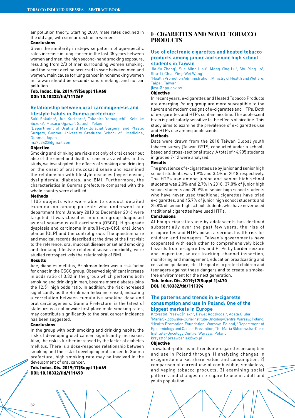air pollution theory. Starting 2009, male rates declined in the old age, with similar decline in women.

# Conclusions

Given the similarity in stepwise pattern of age-specific rates increase in lung cancer in the last 35 years between women and men, the high second-hand smoking exposure, resulting from 2/3 of men surrounding women smoking, and the recent decline occurred in sync between men and women, main cause for lung cancer in nonsmoking women in Taiwan should be second-hand smoking, and not air pollution.

Tob. Induc. Dis. 2019;17(Suppl 1):A68 DOI: 10.18332/tid/111269

# **Relationship between oral carcinogenesis and lifestyle habits in Gunma prefecture**

Saki Sakaino<sup>1</sup>, Jun Kurihara<sup>1</sup>, Takahiro Yamaguchi<sup>1</sup>, Keisuke Suzuki<sup>1</sup>, Masaru Ogawa<sup>1</sup>, Satoshi Yokoo<sup>1</sup>

1 Department of Oral and Maxillofacial Surgery, and Plastic Surgery, Gunma University Graduate School of Medicine, Gunma, Japan

ma753422@gmail.com

# **Objective**

Smoking and drinking are risks not only of oral cancer but also of the onset and death of cancer as a whole. In this study, we investigated the effects of smoking and drinking on the onset of oral mucosal disease and examined the relationship with lifestyle diseases (hypertension, dyslipidemia, diabetes) and BMI. Furthermore, the characteristics in Gumma prefecture compared with the whole country were clarified.

#### Methods

1105 subjects who were able to conduct detailed examination among patients who underwent our department from January 2010 to December 2016 were targeted. It was classified into each group diagnosed as oral squamous cell carcinoma (OSCC), High-grade dysplasia and carcinoma in situ(H-dys-CIS), oral lichen planus (OLP) and the control group. The questionnaire and medical records described at the time of the first visit to the reference, oral mucosal disease onset and smoking and drinking, lifestyle-related diseases morbidity, were studied retrospectively the relationship of BMI.

#### Results

Age, diabetes mellitus, Brinkman Index was a risk factor for onset in the OSCC group. Observed significant increase in odds ratio of 3.32 in the group which performs both smoking and drinking in men, became more diabetes joins the 12.51 high odds ratio. In addition, the risk increased significantly as the Brinkman Index increased, indicating a correlation between cumulative smoking dose and oral carcinogenesis. Gunma Prefecture, is the latest of statistics is a nationwide first place male smoking rates, may contribute significantly to the oral cancer incidence has been suggested.

#### Conclusions

In the group with both smoking and drinking habits, the risk of developing oral cancer significantly increases. Also, the risk is further increased by the factor of diabetes mellitus. There is a dose-response relationship between smoking and the risk of developing oral cancer. In Gunma prefecture, high smoking rate may be involved in the development of oral cancer.

Tob. Induc. Dis. 2019;17(Suppl 1):A69 DOI: 10.18332/tid/111490

# **E-CIGARETTES AND NOVEL TOBACCO PRODUCTS**

# **Use of electronic cigarettes and heated tobacco products among junior and senior high school students in Taiwan**

Jia-Yu Zhong<sup>1</sup>, Sue-Ming Liau<sup>1</sup>, Meng-Ying Lu<sup>1</sup>, Shu-Ying Lo<sup>1</sup>, Shu-Li Chia, Ying-Wei Wang1

1 Health Promotion Administration, Ministry of Health and Welfare, Taipei, Taiwan

# jiayu@hpa.gov.tw

**Objective** 

In recent years, e-cigarettes and Heated Tobacco Products are emerging. Young group are more susceptible to the flavors and modern designs of e-cigarettes and HTPs. Both of e-cigarettes and HTPs contain nicotine. The adolescent brain is particularly sensitive to the effects of nicotine. This study aims to examine the prevalence of e-cigarettes use and HTPs use among adolescents.

#### Methods

Data were drawn from the 2018 Taiwan Global youth tobacco survey (Taiwan GYTS) conducted under a schoolbased and cross-sectional study. A total of 44,905 students in grades 7-12 were analyzed.

# Results

The prevalence of e-cigarettes use by junior and senior high school students was 1.9% and 3.4% in 2018 respectively. The HTPs use among junior and senior high school students was 2.0% and 2.7% in 2018. 37.0% of junior high school students and 20.9% of senior high school students who have never used traditional cigarettes have tried e-cigarettes, and 45.7% of junior high school students and 25.8% of senior high school students who have never used traditional cigarettes have used HTPs.

# Conclusions

Although cigarettes use by adolescents has declined substantially over the past few years, the rise of e-cigarettes and HTPs poses a serious health risk for children and teenagers. Taiwan's governments have cooperated with each other to comprehensively block hazards from e-cigarettes and HTPs by border seizure and inspection, source tracking, channel inspection, monitoring and management, education broadcasting and cessation guidance, etc. The goal is to protect children and teenagers against these dangers and to create a smokefree environment for the next generation.

# Tob. Induc. Dis. 2019;17(Suppl 1):A70 DOI: 10.18332/tid/111394

# **The patterns and trends in e-cigarette consumption and use in Poland: One of the biggest markets in Europe**

Krzysztof Przewoźniak<sup>1,2</sup>, Paweł Koczkodaj<sup>3</sup>, Agata Ciuba<sup>3</sup> 1 Maria Sklodowska-Curie Institute-Oncology Centre, Warsaw, Poland, <sup>2</sup>Health Promotion Foundation, Warsaw, Poland, <sup>3</sup>Department of Epidemiology and Cancer Prevention, The Maria Sklodowska-Curie Institute-Oncology Centre, Warsaw, Poland krzysztof.przewozniak@wp.pl

#### Objective

To evaluate patterns and trends in e-cigarette consumption and use in Poland through 1) analyzing changes in e-cigarette market share, value, and consumption, 2) comparison of current use of combustible, smokeless, and vaping tobacco products, 3) examining social patterns and changes in e-cigarette use in adult and youth population.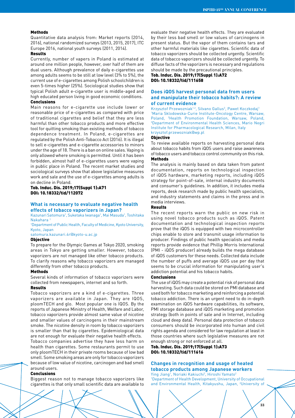#### Methods

Quantitative data analysis from: Market reports (2014, 2016), national randomized surveys (2013, 2015, 2017), ITC Europe 2016, national youth surveys (2011, 2014).

# Results

Currently, number of vapers in Poland is estimated at around one million people, however, over half of them are dual users. Although prevalence of daily e-cigarettes use among adults seems to be still at low level (3% to 5%), the current use of e-cigarettes among Polish schoolchildren is even 5-times higher (25%). Sociological studies show that typical Polish adult e-cigarette user is middle-aged and high educated person living in good economic conditions. Conclusions

Main reasons for e-cigarette use include lower or reasonable price of e-cigarettes as compared with price of traditional cigarettes and belief that they are less harmful than other tobacco products and more effective tool for quitting smoking than existing methods of tobacco dependence treatment. In Poland, e-cigarettes are regulated by the Polish Anti-Tobacco Act (2016). It is illegal to sell e-cigarettes and e-cigarette accessories to minors under the age of 18. There is a ban on online sales. Vaping is only allowed where smoking is permitted. Until it has been forbidden, almost half of e-cigarettes users were vaping in public place in Poland. The recent market studies and sociological surveys show that above legislative measures work and sale and the use of e-cigarettes among adults is on decline in Poland.

# Tob. Induc. Dis. 2019;17(Suppl 1):A71 DOI: 10.18332/tid/112072

# **What is necessary to evaluate negative health effects of tobacco vaporizers in Japan?**

Kazunari Satomura<sup>1</sup>, Suketaka Iwanaga<sup>1</sup>, Mai Masuda<sup>1</sup>, Toshitaka Nakahara 1

1 Department of Public Health, Faculty of Medicine, Kyoto University, Kyoto, Japan

satomura.kazunari.4r@kyoto-u.ac.jp

# Objective

To prepare for the Olympic Games at Tokyo 2020, smoking areas in Tokyo are getting smaller. However, tobacco vaporizers are not managed like other tobacco products. To clarify reasons why tobacco vaporizers are managed differently from other tobacco products.

# Methods

Several kinds of information of tobacco vaporizers were collected from newspapers, internet and so forth.

# Results

Tobacco vaporizers are a kind of e-cigarettes. Three vaporizers are available in Japan. They are IQOS, ploomTECH and glo. Most popular one is IQOS. By the reports of Japanese Ministry of Health, Welfare and Labor, tobacco vaporizers provide almost same value of nicotine and smaller values of carcinogens in their mainstream smoke. The nicotine density in room by tobacco vaporizers is smaller than that by cigarettes. Epidemiological data are not enough for evaluate their negative health effects.

Tobacco companies advertise they have less harm on health than cigarettes. Some restaurants permit to use only ploomTECH in their private rooms because of low bad smell. Some smoking areas are only for tobacco vaporizers because of low value of nicotine, carcinogen and bad smell around users.

#### Conclusions

Biggest reason not to manage tobacco vaporizers like cigarettes is that only small scientific data are available to evaluate their negative health effects. They are evaluated by their less bad smell or low values of carcinogens in present status. But the vapor of them contains tars and other harmful materials like cigarettes. Scientific data of tobacco vaporizers should be collected urgently. Scientific data of tobacco vaporizers should be collected urgently. To diffuse facts of the vaporizers is necessary and regulations should be made by the precautional principles.

# Tob. Induc. Dis. 2019;17(Suppl 1):A72 DOI: 10.18332/tid/111658

# **Does iQOS harvest personal data from users and manipulate their tobacco habits?: A review of current evidence**

Krzysztof Przewozniak<sup>1,2</sup>, Silvano Gallus<sup>3</sup>, Paweł Koczkodaj<sup>1</sup> 1 Maria Sklodowska-Curie Institute-Oncology Centre, Warsaw, Poland, <sup>2</sup>Health Promotion Foundation, Warsaw, Poland, Department of Environmental Health Sciences, Mario Negri Institute for Pharmacological Research, Milan, Italy krzysztof.przewozniak@wp.pl

#### Objective

To review available reports on harvesting personal data about tobacco habits from iQOS users and raise awareness of tobacco users and tobacco control community on this risk. Methods

The analysis is mainly based on data taken from patent documentation, reports on technological inspection of iQOS hardware, marketing reports, including iQOS strategy for point-of-sale, internal industry documents and consumer's guidelines. In addition, it includes media reports, desk research made by public health specialists, and industry statements and claims in the press and in media interviews.

## Results

The recent reports warn the public on new risk in using novel tobacco products such as iQOS. Patent documentation and technological inspection reports prove that the iQOS is equipped with two microcontroller chips enable to store and transmit usage information to producer. Findings of public health specialists and media reports provide evidence that Phillip Morris International (PMI - iQOS producer) already builds the mega database of iQOS customers for these needs. Collected data include the number of puffs and average iQOS use per day that seems to be crucial information for manipulating user's addiction potential and his tobacco habits.

#### Conclusions

The use of iQOS may create a potential risk of personal data harvesting. Such data could be stored on PMI database and used both for tobacco marketing and reinforcing a potential tobacco addiction. There is an urgent need to do in-depth examination on iQOS hardware capabilities, its software, PMI storage database and iQOS marketing and promotion strategy (both in points of sale and in Internet, including cloud and deep data). Personal data protection of tobacco consumers should be incorporated into human and civil rights agenda and considered for law regulation at least in those countries where such legislative measures are not enough strong or not enforced at all.

# Tob. Induc. Dis. 2019;17(Suppl 1):A73 DOI: 10.18332/tid/111616

# **Changes in recognition and usage of heated tobacco products among Japanese workers**

Ying Jiang<sup>1</sup>, Noriaki Kakiuchi<sup>2</sup>, Hiroshi Yamato<sup>2</sup> 1 Department of Health Development, University of Occupational and Environmental Health, Kitakyushu, Japan, 2 University of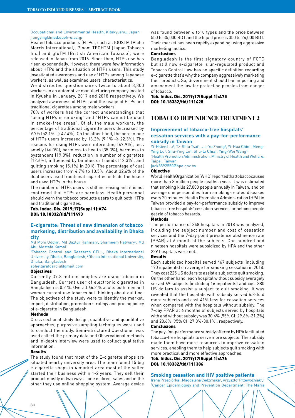#### Occupational and Environmental Health, Kitakyushu, Japan jiangying@med.uoeh-u.ac.jp

Heated tobacco products (HTPs), such as IQOSTM (Philip Morris International), Ploom TECHTM (Japan Tobacco Inc.) and gloTM (British American Tobacco), were released in Japan from 2016. Since then, HTPs use has risen exponentially. However, there were few information about HTPs and the situation of HTPs users. This study investigated awareness and use of HTPs among Japanese workers, as well as examined users' characteristics.

We distributed questionnaires twice to about 3,300 workers in an automotive manufacturing company located in Kyushu in January, 2017 and 2018 respectively. We analyzed awareness of HTPs, and the usage of HTPs and traditional cigarettes among male workers.

70% of workers had the correct understandings that "using HTPs is smoking" and "HTPs cannot be used in smoke-free areas". Of all the male workers, the percentage of traditional cigarette users decreased by 9.7% (52.1%  $\rightarrow$  42.4%). On the other hand, the percentage of HTPs users increased by 13.2% (9.1%  $\rightarrow$  22.3%). The reasons for using HTPs were interesting (47.9%), less smelly (46.0%), harmless to health (35.3%), harmless to bystanders (19.0%), reduction in number of cigarettes (12.6%), influenced by families or friends (12.3%), and quitting smoking (5.1%) in 2018. The percentage of dual users increased from 4.7% to 10.5%. About 32.6% of the dual users used traditional cigarettes outside the house and used HTPs in the house.

The number of HTPs users is still increasing and it is not confirmed that HTPs are harmless. Health personnel should warn the tobacco products users to quit both HTPs and traditional cigarettes.

Tob. Induc. Dis. 2019;17(Suppl 1):A74 DOI: 10.18332/tid/111493

# **E-cigarette: Threat of new dimension of tobacco marketing, distribution and availability in Dhaka city**

Md Mohi Uddin<sup>1</sup>, Md Bazlur Rahman<sup>2</sup>, Shameem Patwary<sup>2</sup>, Md Abu Mostafa Kamal2

1 Tobacco Control and Research CELL, Dhaka International University, Dhaka, Bangladesh, 2 Dhaka International University, Dhaka, Bangladesh

soheltarafdardiu@gmail.com

# **Objectives**

Currently 37.8 million peoples are using tobacco in Bangladesh. Current user of electronic cigarettes in Bangladesh is 0.2 %. Overall 66.2 % adults both men and women current use tobacco but thinking about quitting. The objectives of the study were to identify the market. import, distribution, promotion strategy and pricing policy of e-cigarette in Bangladesh.

#### Methods

Cross sectional study design, qualitative and quantitative approaches, purposive sampling techniques were used to conduct the study. Semi-structured Questioner was used collect the primary data and Observational methods and in-depth interview were used to collect qualitative information.

# Results

The study found that most of the E-cigarette shops are situated nearby university area. The team found 15 big e-cigarette shops in 4 market area most of the seller started their business within 1-2 years. They sell their product mostly in two ways - one is direct sales and in the other they use online shopping system. Average device

was found between 6 to10 types and the price between 550 to 35,000 BDT and the liquid price is 350 to 24,000 BDT. Their market has been rapidly expanding using aggressive marketing tactics.

# **Conclusions**

Bangladesh is the first signatory country of FCTC but still now e-cigarette is un-regulated product and Tobacco Control Law has no specific definition regarding e-cigarette that's why the company aggressively marketing their products. So, Government should ban importing and amendment the law for protecting peoples from danger of tobacco.

#### Tob. Induc. Dis. 2019;17(Suppl 1):A75 DOI: 10.18332/tid/111428

# **TOBACCO DEPENDENCE TREATMENT 2**

# **Improvement of tobacco-free hospitals' cessation services with a pay-for-performance subsidy in Taiwan**

Yi-Hsien Liu<sup>1</sup>, Tz-Shiu Tsai<sup>1</sup>, Jia-Yu Zhong<sup>1</sup>, Yi-Hua Chin<sup>1</sup>, Meng-Ying Lu<sup>1</sup>, Shu-Ying Lo<sup>1</sup>, Shu-Li Chia<sup>1</sup>, Ying-Wei Wang<sup>1</sup> <sup>1</sup> Health Promotion Administration, Ministry of Health and Welfare, Taipei, Taiwan

jack8892550@hpa.gov.tw

# Objective

World Health Organization (WHO) reported that tobacco causes more than 8 million people deaths a year. It was estimated that smoking kills 27,000 people annually in Taiwan, and on average one person dies from smoking-related diseases every 20 minutes. Health Promotion Administration (HPA) in Taiwan provided a pay-for-performance subsidy to improve tobacco-free hospitals' cessation services for helping people get rid of tobacco hazards.

# **Methods**

The performance of 348 hospitals in 2018 was analyzed, including the subject number and cost of cessation services and the 7-day point prevalence abstinence rate (PPAR) at 6 month of the subjects. One hundred and nineteen hospitals were subsidized by HPA and the other 229 hospitals were not.

#### Results

Each subsidized hospital served 467 subjects (including 170 inpatients) on average for smoking cessation in 2018. They cost 225 US dollars to assist a subject to quit smoking. On the other hand, each hospital without subsidy averagely served 69 subjects (including 16 inpatients) and cost 380 US dollars to assist a subject to quit smoking. It was revealed that the hospitals with subsidy served 6.8-fold more subjects and cost 41% less for cessation services when compared with the hospitals without subsidy. The 7-day PPAR at 6 months of subjects served by hospitals with and without subsidy was 30.4% (95% CI: 29.6%-31.2%) and 28.6% (95% CI: 27.0%-30.1%), respectively.

#### Conclusions

The pay-for-performance subsidy offered by HPA facilitated tobacco-free hospitals to serve more subjects. The subsidy made them have more resources to improve cessation services, enabling them to help subjects quit smoking with more practical and more effective approaches. Tob. Induc. Dis. 2019;17(Suppl 1):A76

DOI: 10.18332/tid/111386

# **Smoking cessation and HIV positive patients**

Irena Przepiórka<sup>1</sup>, Magdalena Cedzynska<sup>1</sup>, Krzysztof Przewoźniak<sup>2</sup>,<sup>3</sup> 1 Cancer Epidemiology and Prevention Department, The Maria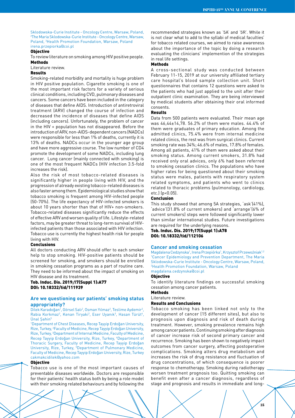Sklodowska-Curie Institute - Oncology Centre, Warsaw, Poland, 2 The Maria Sklodowska-Curie Institute - Oncology Centre, Warsaw, Poland, 3 Health Promotion Foundation, Warsaw, Poland irena.przepiorka@coi.pl

# Objective

To review literature on smoking among HIV positive people. Methods

#### Literature review.

#### Results

Smoking-related morbidity and mortality is huge problem in HIV positive population. Cigarette smoking is one of the most important risk factors for a variety of serious clinical conditions, including CVD, pulmonary diseases and cancers. Some cancers have been included in the category of diseases that define AIDS. Introduction of antiretroviral treatment (ARV) changed the course of infection and decreased the incidence of diseases that define AIDS (including cancers). Unfortunately, the problem of cancer in the HIV + population has not disappeared. Before the introduction of ARV, non-AIDS-dependent cancers (NADCs) were responsible for less than 1% of deaths, currently it is 13% of deaths. NADCs occur in the younger age group and have more aggressive course. The low number of CD4 promote the development of some NADCs, including lung cancer. Lung cancer (mainly connected with smoking) is one of the most frequent NADCs (HIV infection 3.5-fold increases the risk).

Also the risk of most tobacco-related diseases is significantly higher in people living with HIV, and the progression of already existing tobacco-related diseases is also faster among them. Epidemiological studies show that tobacco smoking is frequent among HIV-infected people (50-70%). The life expectancy of HIV-infected smokers is about 10 years shorter than that of HIV+ non-smokers. Tobacco-related diseases significantly reduce the effects of effective ARV and worsen quality of life. Lifestyle-related factors, may be greater threat to long-term survival of HIVinfected patients than those associated with HIV infection. Tobacco use is currently the highest health risk for people living with HIV.

#### Conclusions

All doctors conducting ARV should offer to each smoker help to stop smoking. HIV-positive patients should be screened for smoking, and smokers should be enrolled in smoking cessation programs as a part of routine care. They need to be informed about the impact of smoking on HIV disease and its treatment.

# Tob. Induc. Dis. 2019;17(Suppl 1):A77 DOI: 10.18332/tid/111939

# **Are we questioning our patients' smoking status appropriately?**

Dilek Karadoğan<sup>1</sup>, Görsel Salı<sup>2</sup>, Osman Yılmaz<sup>2</sup>, Teslime Aydemir<sup>2</sup>, Rabia Korkmaz<sup>2</sup>, Kenan Tiryaki<sup>2</sup>, Eser Uyanık<sup>3</sup>, Hasan Türüt<sup>4</sup>, Ünal Şahin5

1 Department of Chest Diseases, Recep Tayyip Erdoğan University, Rize, Turkey, 2 Faculty of Medicine, Recep Tayyip Erdoğan University, Rize, Turkey, <sup>3</sup>Department of Internal Medicine, Faculty of Medicine, Recep Tayyip Erdoğan University, Rize, Turkey, 4 Department of Thoracic Surgery, Faculty of Medicine, Recep Tayyip Erdoğan University, Rize, Turkey, <sup>5</sup>Department of Pulmonary Medicine, Faculty of Medicine, Recep Tayyip Erdoğan University, Rize, Turkey cakmakcidilek@yahoo.com

#### Objective

Tobacco use is one of the most important causes of preventable diseases worldwide. Doctors are responsible for their patients' health status both by being a role model with their smoking related behaviours and by following the

recommended strategies known as '5A' and '5R'. While it is not clear what to add to the syllabi of medical faculties' for tobacco related courses, we aimed to raise awareness about the importance of the topic by doing a research evaluating the clinicians' implemention of the strategies in real life settings.

# Methods

A cross-sectional study was conducted between February 11-15, 2019 at our university affiliated tertiary care hospital's blood sample collection unit. Short questionnaires that contains 12 questions were asked to the patients who had just applied to the unit after their outpatient clinic examination. They are being interviewed by medical students after obtaining their oral informed consents.

#### Results

Data from 500 patients were evaluated. Their mean age was 46,44±14,78. 56.2% of them were males. 44.4% of them were graduates of primary education. Among the admitted clinics, 75.4% were from internal medicine related clinics, the rest was from surgical clinics. Current smoking rate was 34%; 46.6% of males, 17.8% of females. Among all patients, 41% of them were asked about their smoking status. Among current smokers, 31.8% had received only oral advices, only 6% had been referred to smoking cessation clinics. The populations who have higher rates for being questioned about their smoking status were males, patients with respiratory system related symptoms, and patients who went to clinics related to thoracic problems (pulmonology, cardiology, etc.) (p<0.05).

#### Conclusion

This study showed that among 5A strategies, 'ask'(41%), 'advice'(31.8% of current smokers) and 'arrange'(6% of current smokers) steps were followed significantly lower than similar international studies. Future investigations are required for the underlying reasons.

Tob. Induc. Dis. 2019;17(Suppl 1):A78 DOI: 10.18332/tid/112106

#### **Cancer and smoking cessation**

Magdalena Cedzynska<sup>1</sup>, Irena Przepiórka<sup>1</sup>, Krzysztof Przewoźniak<sup>1,2</sup> 1 Cancer Epidemiology and Prevention Department, The Maria Sklodowska-Curie Institute - Oncology Centre, Warsaw, Poland, 2 Health Promotion Foundation, Warsaw, Poland magdalena.cedzynska@coi.pl

# Objective

To identify literature findings on successful smoking cessation among cancer patients.

# Methods

Literature review.

# Results and Conclusions

Tobacco smoking has been linked not only to the development of cancer (15 different sites), but also to prognosis upon diagnosis and risk of death during treatment. However, smoking prevalence remains high among cancer patients. Continuing smoking after diagnosis of cancer increase risk of second primary cancer and recurrence. Smoking has been shown to negatively impact outcomes from cancer surgery, affecting postoperative complications. Smoking alters drug metabolism and increases the risk of drug resistance and fluctuation of drug concentrations, of which consequence is poorer response to chemotherapy. Smoking during radiotherapy worsen treatment prognosis too. Quitting smoking can benefit even after a cancer diagnosis, regardless of stage and prognosis and results in immediate and long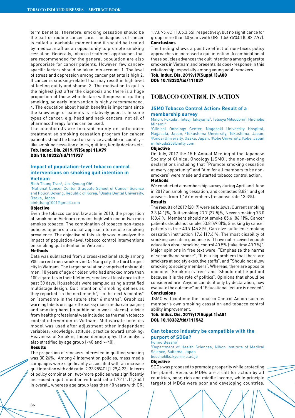term benefits. Therefore, smoking cessation should be the part or routine cancer care. The diagnosis of cancer is called a teachable moment and it should be treated by medical staff as an opportunity to promote smoking cessation. Generally, tobacco treatment approaches that are recommended for the general population are also appropriate for cancer patients. However, few cancerspecific factors should be taken into account. 1. The level of stress and depression among cancer patients is high 2. If cancer is smoking-related that may result in high level of feeling guilty and shame. 3. The motivation to quit is the highest just after the diagnosis and there is a huge proportion of those who declare willingness of quitting smoking, so early intervention is highly recommended. 4. The education about health benefits is important since the knowledge of patients is relatively poor. 5. In some types of cancer, e.g. head and neck cancers, not all of pharmacotherapy forms can be used.

The oncologists are focused mainly on anticancer treatment so smoking cessation program for cancer patients should be based on service available in country – like smoking cessation clinics, quitline, family doctors etc.

Tob. Induc. Dis. 2019;17(Suppl 1):A79 DOI: 10.18332/tid/111937

# **Impact of population-level tobacco control interventions on smoking quit intention in Vietnam**

Binh Thang Tran<sup>1</sup>, Jin-Kyoung Oh<sup>2</sup>

1 National Cancer Center Graduate School of Cancer Science and Policy, Goyang, Republic of Korea, 2 Osaka Dental University, Osaka, Japan

# binhthang1001@gmail.com

#### Objective

Even the tobacco control law acts in 2010, the proportion of smoking in Vietnam remains high with one in two men smokes tobacco. The combination of tobacco non-taxes policies appears a crucial approach to reduce smoking prevalence. The objective of this study was to analyze the impact of population-level tobacco control interventions on smoking quit intention in Vietnam.

#### Methods

Data was subtracted from a cross-sectional study among 900 current men smokers in Da Nang city, the third largest city in Vietnam. The target population comprised only adult men, 18 years of age or older, who had smoked more than 100 cigarettes in their lifetimes, smoked at least once in the past 30 days. Households were sampled using a stratified multistage design. Quit intention of smoking defines as they reported "in the next month", "in the next 6 months" or "sometime in the future after 6 months". Graphical warning labels on cigarette packs; mass media campaigns; and smoking bans (in public or in work places); advice from health professional was included as the main tobacco control intervention in Vietnam. Multivariate logistics model was used after adjustment other independent variables: knowledge, attitude, practice toward smoking; Heaviness of Smoking Index; demography. The analysis also stratified by age group (<40 and >=40).

#### Results

The proportion of smokers interested in quitting smoking was 30.26%. Among 4 intervention policies, mass media campaigns were significantly associated with an increase quit intention with odd ratio: 2.33 95%CI (1.29,4.23). In term of policy combination, two/more policies was significantly increased a quit intention with odd ratio 1.72 (1.11,2.65) in overall, whereas age group less than 40 years with OR:

1.93, 95%CI (1.05,3.55), respectively; but no significance for group more than 40 years with OR: 1.56 95%CI (0.82,2.97). Conclusions

The finding shows a positive effect of non-taxes policy approaches in increased a quit intention. A combination of these policies advances the quit intentions among cigarette smokers in Vietnam and presents its dose-response in this relationship, especially among young adult smokers.

Tob. Induc. Dis. 2019;17(Suppl 1):A80 DOI: 10.18332/tid/111037

# **TOBACCO CONTROL IN ACTION**

#### **JSMO Tobacco Control Action: Result of a membership survey**

Minoru Fukuda<sup>1</sup>, Tetsuji Takayama<sup>2</sup>, Tetsuya Mitsudomi<sup>3</sup>, Hironobu Minami4

1 Clinical Oncology Center, Nagasaki University Hospital, Nagasaki, Japan, <sup>2</sup>Tokushima University, Tokushima, Japan,<br><sup>3</sup>Kindai University Osaka, Japan <sup>4</sup>Koho University Koho, Japan, Kindai University, Osaka, Japan, <sup>4</sup>Kobe University, Kobe, Japan mifukuda258@nifty.com

# **Objective**

On July, 2017 the 15th Annual Meeting of the Japanese Society of Clinical Oncology (JSMO), the non-smoking declarations including that "Promote smoking cessation at every opportunity" and "Aim for all members to be nonsmokers" were made and started tobacco control action. Methods

We conducted a membership survey during April and June in 2019 on smoking cessation, and contacted 8,821 and got answers from 1,169 members (response rate 13.3%).

#### Results

The results of 2019 (2017) were as follows: Current smoking 3.3 (4.1)%, Quit smoking 23.7 (27.5)%, Never smoking 73.0 (68.4)%, Members should not smoke 85.6 (86.1)%, Cancer patients should not smoke 53.8 (49.0)%, Smoking by cancer patients is free 40.9 (45.8)%, Can give sufficient smoking cessation instruction 17.6 (19.6)%, The most disability of smoking cessation guidance is "I have not received enough education about smoking control 40.5% (take time 40.7%)". Major opinions in free text were: "Emphasize the harms of secondhand smoke", "It is a big problem that there are smokers at society executive staffs", and "Should not allow smoking to society members". Whereas, there are opposite opinions "Smoking is free" and "Should not be put out because it is the role of politics". Opinions that should be considered are "Anyone can do it only by declaration, how evaluate the outcome" and "Educational lecture is needed". Conclusions

JSMO will continue the Tobacco Control Action such as member's own smoking cessation and tobacco control ability improvement.

Tob. Induc. Dis. 2019;17(Suppl 1):A81 DOI: 10.18332/tid/111542

# **Can tobacco industry be compatible with the purport of SDGs?**

#### Fumio Bessho<sup>1</sup>

1 Department of Health Sciences, Nihon Institute of Medical Science, Saitama, Japan bessho@ks.kyorin-u.ac.jp

# Objective

SDGs was proposed to promote prosperity while protecting the planet. Because MDGs are a call for action by all countries, poor, rich and middle income, while principle targets of MDGs were poor and developing countries,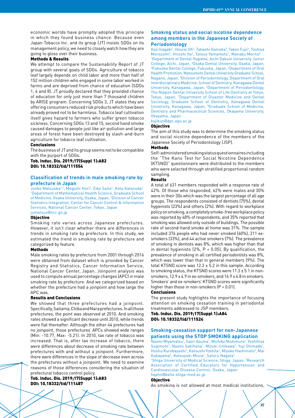economic worlds have promptly adopted this principle in which they found business chance. Because even Japan Tobacco Inc. and its group (JT) insists SDGs on its management policy, we need to closely watch how they are going to gloss over their business.

# Methods & Results

We attempt to compare the Sustainability Report of JT group with several goals of SDGs. Agriculture of tobacco leaf largely depends on child labor and more than half of 152 million children who engaged in some labor worked in farms and are deprived from chance of education (SDGs 1, 4 and 8). JT proudly declared that they provided chance of education for only just more than 7 thousand children by ARISE program. Concerning SDGs 3, JT states they are offering consumers reduced risk products which have been already proved not to be harmless. Tobacco leaf cultivation itself gives hazard to farmers who suffer green tobacco sickness. Concerning SDGs 13 and 15, second hand smoke caused damages to people just like air-pollution and large areas of forest have been destroyed by slash-and-burn agriculture for tobacco leaf cultivation.

#### Conclusions

The business of JT and its group seems not to be compatible with the purport of SDGs.

Tob. Induc. Dis. 2019;17(Suppl 1):A82 DOI: 10.18332/tid/111554

# **Classification of trends in male smoking rate by prefecture in Japan**

Junko Matsuoka<sup>1,2</sup>, Megumi Hori<sup>2</sup>, Eiko Saito<sup>2</sup>, Kota Katanoda<sup>2</sup> 1 Department of Mathematical Health Science, Graduate School of Medicine, Osaka University, Osaka, Japan, 2 Division of Cancer Statistics Integration, Center for Cancer Control & Information Services, National Cancer Center, Tokyo, Japan

jumatsuo@ncc.go.jp

### Objective

Smoking rate varies across Japanese prefectures. However, it isn't clear whether there are differences in trends in smoking rate by prefecture. In this study, we estimated the trend in smoking rate by prefecture and categorized by feature.

### Methods

Male smoking rates by prefecture from 2001 through 2016 were obtained from dataset which is provided by Cancer Registry and Statistics, Cancer Information Service, National Cancer Center, Japan. Joinpoint analysis was used to compute annual percentage changes (APC) in male smoking rate by prefecture. And we categorized based on whether the prefecture had a joinpoint and how large the APC was.

#### Results and Conclusions

We showed that three prefectures had a joinpoint. Specifically, Saitama, Chiba and Nara prefectures. In all those prefectures, the point was observed at 2010. And smoking rates showed a significant decrease until 2010, while trends were flat thereafter. Although the other 44 prefectures had no joinpoint, those prefectures' APCs showed wide ranges (Min: -10.77, Max: -5.21). In 2010, tax rate of tobacco was increased. That is, after tax increase of tobacco, there were differences about decrease of smoking rate between prefectures with and without a joinpoint. Furthermore, there were differences in the slope of decrease even across the prefectures without a joinpoint. We need to examine reasons of those differences considering the situation of prefectural tobacco control policy.

### Tob. Induc. Dis. 2019;17(Suppl 1):A83 DOI: 10.18332/tid/111487

# **Smoking status and social nicotine dependence among members in the Japanese Society of Periodontology**

Koji Inagaki<sup>1</sup>, Hourei Oh<sup>2</sup>, Takashi Hanioka<sup>3</sup>, Takeo Fujii<sup>4</sup>, Toshiya Morozumi<sup>5</sup>, Hiroshi Ito<sup>6</sup>, Tatsuo Yamamoto<sup>7</sup>, Manabu Morita<sup>8</sup> 1 Department of Dental Hygiene, Aichi Gakuin University Junior College, Aichi, Japan, <sup>2</sup>Osaka Dental University, Osaka, Japan,<br><sup>3Eukuoka Dental College, Eukuoka, Japan, <sup>4</sup>Denartment of Oral</sup> Fukuoka Dental College, Fukuoka, Japan, 4 Department of Oral Health Promotion, Matsumoto Dental University Graduate School, Nagano, Japan, 5 Division of Periodontology, Department of Oral Interdisciplinary Medicine, School of Dentistry, Kanagawa Dental University, Kanagawa, Japan, <sup>6</sup>Department of Periodontology, The Nippon Dental University School of Life Dentistry at Tokyo, Tokyo, Japan, 7 Department of Disaster Medicine and Dental Sociology, Graduate School of Dentistry, Kanagawa Dental University, Kanagawa, Japan, <sup>8</sup>Graduate School of Medicine, Dentistry and Pharmaceutical Sciences, Okayama University, Okayama, Japan

kojikun@dpc.agu.ac.jp

#### Objective

The aim of this study was to determine the smoking status and social nicotine dependence of the members of the Japanese Society of Periodontology (JSP).

#### Methods

Self-administered smoking status questionnaires including the "The Kano Test for Social Nicotine Dependence (KTSND)" questionnaire were distributed to the members who were selected through stratified proportional random sampling

#### Results

A total of 631 members responded with a response rate of 42%. Of those who responded, 62% were males and 30% were in their 30s which was the largest percentage of all age groups. The respondents consisted of dentists (75%), dental hygienists (23%) and others (2%). With regard to workplace policy on smoking, a completely smoke-free workplace policy was reported by 48% of respondents, and 35% reported that smoking was allowed only outside of buildings. The possible rate of second-hand smoke at home was 31%. The sample included 376 people who had never smoked (60%), 211 exsmokers (33%), and 44 active smokers (7%). The prevalence of smoking in dentists was 8%, which was higher than that in dental hygienists (2%, P < 0.05). By qualification, the prevalence of smoking in all certified periodontists was 8%, which was lower than that in general members (9%). The total KTSND score was 12.2 ± 5.2 in this sample. According to smoking status, the KTSND scores were  $11.3 \pm 5.1$  in nonsmokers,  $12.9 \pm 4.9$  in ex-smokers, and  $16.9 \pm 4.8$  in smokers. Smokers' and ex-smokers' KTSND scores were significantly higher than those in non-smokers (P < 0.01).

# Conclusions

The present study highlights the importance of focusing attention on smoking cessation training in periodontal treatments addressed to JSP members. Tob. Induc. Dis. 2019;17(Suppl 1):A84

DOI: 10.18332/tid/111524

# **Smoking-cessation support for non-Japanese patients using the STOP SMOKING application**

Naomi Miyamatsu<sup>1</sup>, Saori Azuma<sup>1</sup>, Michiko Nishimura<sup>1</sup>, Yoshihisa Sugimoto<sup>1</sup>, Naomi Sakihana<sup>1</sup>, Mizuki Ichikawa<sup>1</sup>, Yuji Shimada<sup>1</sup>, Hoshu Kurebayashi<sup>1</sup>, Katsushi Yoshita<sup>2</sup>, Miyoko Hashimoto<sup>2</sup>, Mai Kabayama<sup>2</sup>, Katsuyuki Miura<sup>1</sup>, Satoru Nagata<sup>1</sup>

<sup>1</sup>Shiga University of Medical Science, Shiga, Japan, <sup>2</sup>Research Association of Certified Educators for Hypertension and Cardiovascular Disease Control, Osaka, Japan hqahn@belle.shiga-med.ac.jp

Objective

As smoking is not allowed at most medical institutions,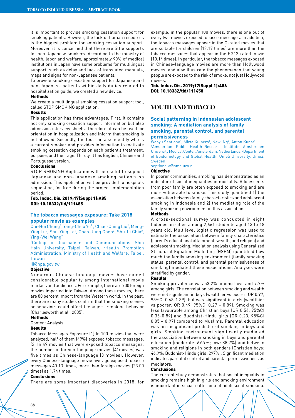it is important to provide smoking cessation support for smoking patients. However, the lack of human resources is the biggest problem for smoking cessation support. Moreover, it is concerned that there are little supports for non-Japanese smokers. According to the ministry of health, labor and welfare, approximately 90% of medical institutions in Japan have some problems for multilingual support, such as delay and lack of translated manuals, maps and signs for non-Japanese patients.

To provide smoking cessation support for Japanese and non-Japanese patients within daily duties related to hospitalization guide, we created a new device.

# **Methods**

We create a multilingual smoking cessation support tool, called STOP SMOKING application.

#### Results

This application has three advantages. First, it contains not only smoking cessation support information but also admission interview sheets. Therefore, it can be used for orientation in hospitalization and inform that smoking is not allowed. Secondly, the tool can also identify who is a current smoker and provides information to motivate smoking cessation depends on each patient's treatment, purpose, and their age. Thirdly, it has English, Chinese and Portuguese version.

# **Conclusions**

STOP SMOKING Application will be useful to support Japanese and non-Japanese smoking patients on admission. This application will be provided to hospitals requesting, for free during the project implementation period.

# Tob. Induc. Dis. 2019;17(Suppl 1):A85 DOI: 10.18332/tid/111485

# **The tobacco messages exposure: Take 2018 popular movie as examples**

Chi-Hui Chung<sup>1</sup>, Yang-Chou Yu<sup>1</sup>, Chiao-Ching Liu<sup>2</sup>, Meng-Ying Lu<sup>2</sup>, Shu-Ying Lo<sup>2</sup>, Chao-Jung Chen<sup>2</sup>, Shu-Li Chia<sup>2</sup>, Ying-Wei Wang<sup>2</sup><br><sup>1</sup>College\_of\_Jol

College of Journalism and Communications, Shih Hsin University, Taipei, Taiwan, <sup>2</sup>Health Promotion Administration, Ministry of Health and Welfare, Taipei, Taiwan

iii@hpa.gov.tw

# Objective

Numerous Chinese-language movies have gained considerable popularity among international movie markets and audiences. For example, there are 700 foreign movies imported into Taiwan. Among these movies, there are 80 percent import from the Western world. In the past, there are many studies confirm that the smoking scenes or behaviors could affect teenagers' smoking behavior (Charlesworth et al., 2005).

# Methods

Content Analysis.

# Results

Tobacco Messages Exposure (1) In 100 movies that were analyzed, half of them (49%) exposed tobacco messages. (2) In 49 movies that were exposed tobacco messages, the number of foreign-language movies (41movies) was five times as Chinese-language (8 movies). However, every Chinese-language movie average exposed tobacco messages 40.13 times, more than foreign movies (23.00 times) as 1.74 times.

#### Conclusions

There are some important discoveries in 2018, for

example, in the popular 100 movies, there is one out of every two movies exposed tobacco messages. In addition, the tobacco messages appear in the G-rated movies that are suitable for children (13.17 times) are more than the tobacco messages that appear in the PG12-rated movie (10.14 times). In particular, the tobacco messages exposed in Chinese-language movies are more than Hollywood movies, and also illustrate the phenomenon that young people are exposed to the risk of smoke, not just Hollywood movies.

Tob. Induc. Dis. 2019;17(Suppl 1):A86 DOI: 10.18332/tid/111458

# **YOUTH AND TOBACCO**

# **Social patterning in Indonesian adolescent smoking: A mediation analysis of family smoking, parental control, and parental permissiveness**

Wahyu Septiono<sup>1</sup>, Mirte Kuipers<sup>1</sup>, Nawi Ng<sup>2</sup>, Anton Kunst<sup>1</sup> 1 Amsterdam Public Health Research Institute, Amsterdam University Medical Center, Amsterdam, Netherlands, 2 Department of Epidemiology and Global Health, Umeå University, Umeå, Sweden

septiono.w@amc.uva.nl

# Objective

In poorer communities, smoking has demonstrated as an indicator of social inequalities in mortality. Adolescents from poor family are often exposed to smoking and are more vulnerable to smoke. This study quantified 1) the association between family characteristics and adolescent smoking in Indonesia and 2) the mediating role of the family smoking environment in this association.

# Methods

A cross-sectional survey was conducted in eight Indonesian cities among 2,661 students aged 13 to 18 years old. Multilevel logistic regression was used to estimate the association between family characteristics (parent's educational attainment, wealth, and religion) and adolescent smoking. Mediation analysis using Generalized Structural Equation Modelling (GSEM) quantified how much the family smoking environment (family smoking status, parental control, and parental permissiveness of smoking) mediated these associations. Analyses were stratified by gender.

#### Results

Smoking prevalence was 53.2% among boys and 7.7% among girls. The correlation between smoking and wealth were not significant in boys (wealthier vs poorer: OR 0.97, 95%CI 0.68-1.39), but was significant in girls (wealthier vs poorer: OR 0.49, 95%CI 0.27 – 0.89). Smoking was less favourable among Christian boys (OR 0.56, 95%CI 0.35-0.89) and Buddhist-Hindu girls (OR 0.23, 95%CI 0.05 – 0.97) compared to Muslims. Parental education was an insignificant predictor of smoking in boys and girls. Smoking environment significantly mediated the association between smoking in boys and parental education (moderate: 69.9%; low: 88.7%) and between smoking and religions in both genders (Christian boys: 46.9%; Buddhist-Hindu girls: 297%). Significant mediation indicates parental control and parental permissiveness as mediators.

# Conclusions

The current study demonstrates that social inequality in smoking remains high in girls and smoking environment is important in social patterning of adolescent smoking.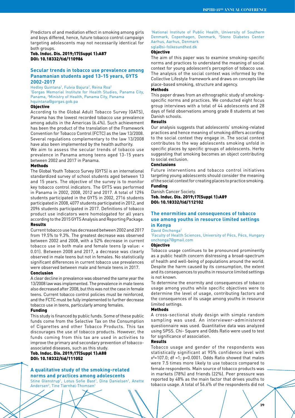Predictors of and mediation effect in smoking among girls and boys differed, hence, future tobacco control campaign targeting adolescents may not necessarily identical for both groups.

Tob. Induc. Dis. 2019;17(Suppl 1):A87 DOI: 10.18332/tid/110986

# **Secular trends in tobacco use prevalence among Panamanian students aged 13-15 years, GYTS 2002-2017**

Hedley Quintana<sup>1</sup>, Fulvia Bajura<sup>2</sup>, Reina Roa<sup>2</sup> 1 Gorgas Memorial Institute for Health Studies, Panama City, Panama, 2 Ministry of Health, Panama City, Panama hquintana@gorgas.gob.pa

# Objective

According to the Global Adult Tobacco Survey (GATS), Panama has the lowest recorded tobacco use prevalence among adults in the Americas (6.4%). Such achievement has been the product of the translation of the Framework Convention for Tobacco Control (FCTC) as the law 13/2008. Several regulations complementary to the law 13/2008 have also been implemented by the health authority.

We aim to assess the secular trends of tobacco use prevalence in Panama among teens aged 13-15 years between 2002 and 2017 in Panama.

# Methods

The Global Youth Tobacco Survey (GYTS) is an international standardized survey of school students aged between 13 and 15 years. The objective of the survey is to monitor key tobacco control indicators. The GYTS was performed in Panama in 2002, 2008, 2012 and 2017. A total of 1296 students participated in the GYTS in 2002, 2716 students participated in 2008, 4077 students participated in 2012, and 2096 students participated in 2017. Definitions of tobacco product use indicators were homologated for all years according to the 2015 GYTS Analysis and Reporting Package. Results

Current tobacco use has decreased between 2002 and 2017 from 19.5% to 9.3%. The greatest decrease was observed between 2002 and 2008, with a 52% decrease in current tobacco use in both male and female teens (p value: < 0.01). Between 2008 and 2017, a decrease was clearly observed in male teens but not in females. No statistically significant differences in current tobacco use prevalences were observed between male and female teens in 2017.

#### Conclusion

A clear decline in prevalence was observed the same year the 13/2008 law was implemented. The prevalence in male teens also decreased after 2008, but this was not the case in female teens. Current tobacco control policies must be reinforced, and the FCTC must be fully implemented to further decrease tobacco use in teens, particularly among females.

#### Funding

This study is financed by public funds. Some of these public funds come from the Selective Tax on the Consumption of Cigarettes and other Tobacco Products. This tax discourages the use of tobacco products. However, the funds coming from this tax are used in activities to improve the primary and secondary prevention of tobaccoassociated diseases, such as this study.

# Tob. Induc. Dis. 2019;17(Suppl 1):A88 DOI: 10.18332/tid/111052

# **A qualitative study of the smoking-related norms and practices among adolescents**

Stine Glenstrup<sup>1</sup>, Lotus Sofie Bast<sup>1</sup>, Dina Danielsen<sup>1</sup>, Anette Andersen<sup>2</sup>, Tine Tjørnhøj-Thomsen<sup>1</sup>

1 National Institute of Public Health, University of Southern Denmark, Copenhagen, Denmark, <sup>2</sup>Steno Diabetes Center Aarhus, Aarhus, Denmark

# sgla@si-folkesundhed.dk

# **Objective**

The aim of this paper was to examine smoking-specific norms and practices to understand the meaning of social context for young adolescent's perception of tobacco use. The analysis of the social context was informed by the Collective Lifestyle framework and draws on concepts like place-based smoking, structure and agency.

# **Methods**

This paper draws from an ethnographic study of smokingspecific norms and practices. We conducted eight focus group interviews with a total of 44 adolescents and 28 days of field observations among grade 8 students at two Danish schools.

# Results

Our analysis suggests that adolescents' smoking-related practices and hence meaning of smoking differs according to the social context they engage in. The social context contributes to the way adolescents smoking unfold in specific places by specific groups of adolescents. Herby suggesting that smoking becomes an object contributing to social exclusion.

# Conclusions

Future interventions and tobacco control initiatives targeting young adolescents should consider the meaning of the social context for creating places to practice smoking. Funding

Danish Cancer Society. Tob. Induc. Dis. 2019;17(Suppl 1):A89 DOI: 10.18332/tid/112102

# **The enormities and consequences of tobacco use among youths in resource limited settings in Kenya**

David Onchonga<sup>1</sup>

1 Faculty of Health Sciences, University of Pécs, Pécs, Hungary onchonga7@gmail.com

# Objective

Tobacco usage continues to be pronounced prominently as a public health concern distressing a broad-spectrum of health and well-being of populations around the world. Despite the harm caused by its consumption, the extent and its consequences to youths in resource limited settings is not known.

To determine the enormity and consequences of tobacco usage among youths while specific objectives were to determine the level of usage, contributing factors and the consequences of its usage among youths in resource limited settings.

# Methods

A cross-sectional study design with simple random sampling was used. An interviewer-administered questionnaire was used. Quantitative data was analyzed using SPSS. Chi- Square and Odds Ratio were used to test for significance of association.

# Results

Tobacco usage and gender of the respondents was statistically significant at 95% confidence level with  $x^2$ =107.0; df =1; p=0.0001. Odds Ratio showed that males were 7.5 times more likely to use tobacco compared to female respondents. Main source of tobacco products was in markets (78%) and friends (22%). Peer pressure was reported by 48% as the main factor that drives youths to tobacco usage. A total of 56.6% of the respondents did not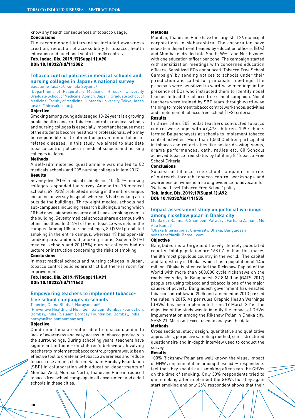know any health consequences of tobacco usage. Conclusions

The recommended intervention included awareness creation, reduction of accessibility to tobacco, health education and functional youth friendly centres.

# Tob. Induc. Dis. 2019;17(Suppl 1):A90 DOI: 10.18332/tid/112082

# **Tobacco control policies in medical schools and nursing colleges in Japan: A national survey**

Sadatomo Tasaka', Kuniaki Seyama<sup>2</sup><br>'Department of Respiratory Medicine, Hirosaki University Graduate School of Medicine, Aomori, Japan, <sup>2</sup>Graduate School of Medicine, Faculty of Medicine, Juntendo University, Tokyo, Japan tasaka@hirosaki-u.ac.jp

#### Objective

Smoking among young adults aged 18-24 years is a growing public health concern. Tobacco control in medical schools and nursing colleges is especially important because most of the students become healthcare professionals, who may be responsible for treatment or prevention of tobaccorelated diseases. In this study, we aimed to elucidate tobacco control policies in medical schools and nursing colleges in Japan.

#### Methods

A self-administered questionnaire was mailed to 82 medicals schools and 209 nursing colleges in late 2017.

# Results

Seventy-five (91%) medical schools and 105 (50%) nursing colleges responded the survey. Among the 75 medical schools, 69 (92%) prohibited smoking in the entire campus including university hospital, whereas 6 had smoking area outside the buildings. Thirty-eight medical schools had sub-campuses including research buildings, among which 10 had open-air smoking area and 1 had a smoking room in the building. Seventy medical schools share a campus with other faculties. In 3 (4%) of them, tobacco was sold in the campus. Among 105 nursing colleges, 80 (76%) prohibited smoking in the entire campus, whereas 19 had open-air smoking area and 6 had smoking rooms. Sixteen (21%) medical schools and 20 (19%) nursing colleges had no lecture or instruction concerning the risks of smoking.

#### Conclusions

In most medical schools and nursing colleges in Japan, tobacco control policies are strict but there is room for improvement.

#### Tob. Induc. Dis. 2019;17(Suppl 1):A91 DOI: 10.18332/tid/111643

# **Empowering teachers to implement tobaccofree school campaigns in schools**

Tshering Doma Bhutia<sup>1</sup>, Narayan Lad<sup>2</sup> 1 Preventive Health and Nutrition, Salaam Bombay Foundation, Bombay, India, 2 Salaam Bombay Foundation, Bombay, India narayan@salaambombay.org

# Objective

Children in India are vulnerable to tobacco use due to lack of awareness and easy access to tobacco products in the surroundings. During schooling years, teachers have significant influence on children's behaviour. Involving teachers to implement tobacco control program would be an effective tool to create anti-tobacco awareness and reduce tobacco use among children. Salaam Bombay Foundation (SBF) in collaboration with education departments of Mumbai West, Mumbai North, Thane and Pune introduced tobacco free school campaign in all government and aided schools in these cities.

#### **Mathods**

Mumbai, Thane and Pune have the largest of 26 municipal corporations in Maharashtra. The corporation have education department headed by education officers (EOs) and Mumbai is divided into South, West and North zones with one education officer per zone. The campaign started with sensitization meetings with concerned education officers. Sensitized EOs announced 'Tobacco Free School Campaign' by sending notices to schools under their jurisdiction and called for principals' meetings. The principals were sensitized in ward-wise meetings in the presence of EOs who instructed them to identify nodal teacher to lead the tobacco free school campaign. Nodal teachers were trained by SBF team through ward-wise training to implement tobacco control workshops, activities and implement 8 tobacco free school (TFS) criteria.

#### Results

In three cities 303 nodal teachers conducted tobacco control workshops with 49,478 children. 109 schools formed Balpanchayats at schools to implement tobacco control activities. More than 1,500 Children participated in tobacco control activities like poster drawing, songs, drama performances, oath, rallies etc. 80 Schools achieved tobacco free status by fulfilling 8 'Tobacco Free School Criteria'.

# Conclusions

Success of tobacco free school campaign in terms of outreach through tobacco control workshops and awareness activities is a strong evidence to advocate for 'National Level Tobacco Free School' policy.

# Tob. Induc. Dis. 2019;17(Suppl 1):A92 DOI: 10.18332/tid/111535

# **Impact assessment study on pictorial warnings among rickshaw polar in Dhaka city**

Md Bazlur Rahman<sup>1</sup>, Shameem Patwary<sup>1</sup>, Farhana Zaman<sup>1</sup>, Md Abu Kamal1

1 Dhaka International University, Dhaka, Bangladesh soheltarafdardiu@gmail.com

#### **Objective**

Bangladesh is a large and heavily densely populated country. Total population are 168.07 million, this makes the 8th most populous country in the world. The capital and largest city is Dhaka, which has a population of 14.4 million. Dhaka is often called the Rickshaw Capital of the World with more than 600,000 cycle rickshaws on the roads every day. In Bangladesh 37.8 Million (GATS-2017) people are using tobacco and tobacco is one of the major causes of poverty. Bangladesh government has enacted tobacco control law in 2005 and amended in 2013 passed the rules in 2015. As per rules Graphic Health Warnings (GHWs) has been implemented from 19 March 2016. The objective of the study was to identify the impact of GHWs implementation among the Rikshaw Polar in Dhaka city. SPSS 21, Microsoft Excel used to analysis the data.

#### Methods

Cross sectional study design, quantitative and qualitative approaches, purposive sampling method, semi-structured questionnaire and in-depth interview used to conduct the survey.

#### Results

100% Rickshaw Polar are well known the visual impact of GHWs implementation among these 54 % respondents feel that they should quit smoking after seen the GHWs on the time of smoking. Only 30% respondents tried to quit smoking after implement the GHWs but they again start smoking and only 26% respondent shows that their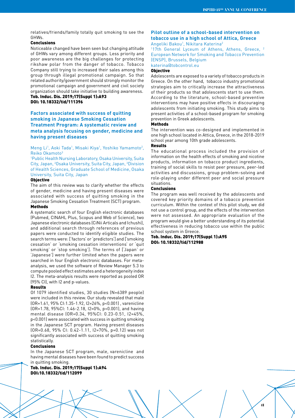relatives/friends/family totally quit smoking to see the GHWs.

#### Conclusions

Noticeable changed have been seen but changing attitude of GHWs vary among different groups. Less priority and poor awareness are the big challenges for protecting rikshaw polar from the danger of tobacco. Tobacco Company still trying to increased their sales among this group through illegal promotional campaign. So that related authority/government should strongly monitor the promotional campaign and government and civil society organization should take initiative to building awareness. Tob. Induc. Dis. 2019;17(Suppl 1):A93 DOI: 10.18332/tid/111396

# **Factors associated with success of quitting smoking in Japanese Smoking Cessation Treatment Program: A systematic review and meta analysis focusing on gender, medicine and having present diseases**

Meng Li<sup>1</sup>, Aoki Tada<sup>1</sup>, Misaki Kiya<sup>1</sup>, Yoshiko Yamamoto<sup>2</sup>, Reiko Okamoto3

1 Public Health Nursing Laboratory, Osaka University, Suita City, Japan, 2 Osaka University, Suita City, Japan, 3 Division of Health Sciences, Graduate School of Medicine, Osaka University, Suita City, Japan

#### **Objective**

The aim of this review was to clarify whether the effects of gender, medicine and having present diseases were associated with success of quitting smoking in the Japanese Smoking Cessation Treatment (SCT) program.

#### Methods

A systematic search of four English electronic databases (Pubmed, CINAHL Plus, Scopus and Web of Science), two Japanese electronic databases (CiNii Articals and Ichushi), and additional search through references of previous papers were conducted to identify eligible studies. The search terms were: ['factors' or 'predictors'] and ['smoking cessation' or 'smoking cessation interventions' or 'quit smoking' or 'stop smoking']. The terms of ['Japan' or 'Japanese'] were further limited when the papers were searched in four English electronic databases. For metaanalysis, we used the software of Review Manager 5.3 to compute pooled effect estimates and a heterogeneity index I2. The meta-analysis results were reported as pooled OR (95% CI), with I2 and p-values.

# Results

Of 1079 identified studies, 30 studies (N=6389 people) were included in this review. Our study revealed that male (OR=1.61, 95% CI:1.35-1.92, I2=26%, p<0.001) , varenicline (OR=1.78, 95%CI: 1.46-2.18, I2=0%, p<0.001), and having mental disease (OR=0.34, 95%CI: 0.23-0.51, I2=45%, p<0.001) were associated with success in quitting smoking in the Japanese SCT program. Having present diseases (OR=0.68, 95% CI: 0.42-1.11, I2=70%, p=0.12) was not significantly associated with success of quitting smoking statistically.

# Conclusions

In the Japanese SCT program, male, varenicline and having mental diseases have been found to predict success in quitting smoking.

# Tob. Induc. Dis. 2019;17(Suppl 1):A94 DOI:10.18332/tid/112099

# **Pilot outline of a school-based intervention on tobacco use in a high school of Attica, Greece** Angeliki Bakou<sup>1</sup>, Nikitara Katerina<sup>2</sup>

<sup>1</sup>17th General Lyceum of Athens, Athens, Greece, <sup>2</sup> European Network for Smoking and Tobacco Prevention (ENSP), Brussels, Belgium

katerina@tobcontrol.eu

# **Objective**

Adolescents are exposed to a variety of tobacco products in Greece. On the other hand, tobacco industry promotional strategies aim to critically increase the attractiveness of their products so that adolescents start to use them. According to the literature, school-based preventive interventions may have positive effects in discouraging adolescents from initiating smoking. This study aims to present activities of a school-based program for smoking prevention in Greek adolescents.

# **Mathods**

The intervention was co-designed and implemented in one high school located in Attica, Greece, in the 2018-2019 school year among 10th grade adolescents.

#### Results

The educational process included the provision of information on the health effects of smoking and nicotine products, information on tobacco product ingredients, training of social skills to resist peer pressure, peer-led activities and discussions, group problem-solving and role-playing under different peer and social pressure situations.

# Conclusions

The program was well received by the adolescents and covered key priority domains of a tobacco prevention curriculum. Within the context of this pilot study, we did not use a control group, and the effects of the intervention were not assessed. An appropriate evaluation of the program would give a better understanding of its potential effectiveness in reducing tobacco use within the public school system in Greece.

**41**

#### Tob. Induc. Dis. 2019;17(Suppl 1):A95 DOI: 10.18332/tid/112988